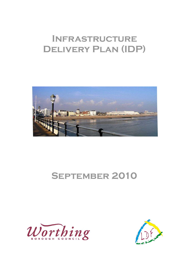# **Infrastructure Delivery Plan (IDP)**



## **September 2010**



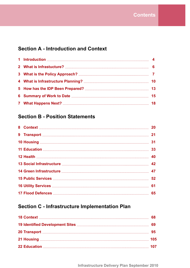### **Section A - Introduction and Context**

### **Section B - Position Statements**

| 8 Context 20                                                                                                                                                                                                                   |  |
|--------------------------------------------------------------------------------------------------------------------------------------------------------------------------------------------------------------------------------|--|
| 9 Transport 21                                                                                                                                                                                                                 |  |
| 10 Housing 21 and 20 July 20 Apr 20 and 20 July 20 Apr 20 and 20 Apr 20 and 20 and 20 and 20 and 20 and 20 and 20 and 20 and 20 and 20 and 20 and 20 and 20 and 20 and 20 and 20 and 20 and 20 and 20 and 20 and 20 and 20 and |  |
|                                                                                                                                                                                                                                |  |
|                                                                                                                                                                                                                                |  |
| 13 Social Infrastructure <b>Election Communities</b> 42                                                                                                                                                                        |  |
|                                                                                                                                                                                                                                |  |
|                                                                                                                                                                                                                                |  |
|                                                                                                                                                                                                                                |  |
|                                                                                                                                                                                                                                |  |

### **Section C - Infrastructure Implementation Plan**

| 68  |
|-----|
| 69  |
| 95  |
| 105 |
| 107 |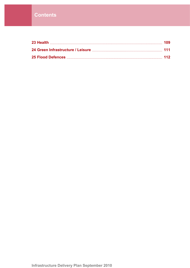### **Contents**

| 109  |
|------|
| -111 |
| -112 |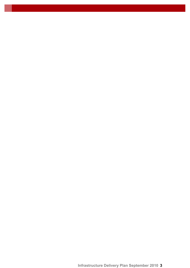**Infrastructure Delivery Plan September 2010 3**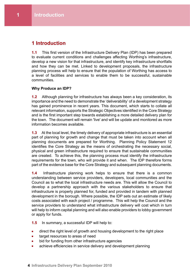### <span id="page-5-0"></span>**1 Introduction**

**1.1** This first version of the Infrastructure Delivery Plan (IDP) has been prepared to evaluate current conditions and challenges affecting Worthing's infrastructure, develop a new vision for that infrastructure, and identify key infrastructure shortfalls and how they can be met. Linked to development proposals, the infrastructure planning process will help to ensure that the population of Worthing has access to a level of facilities and services to enable them to be successful, sustainable communities.

#### **Why Produce an IDP?**

**1.2** Although planning for infrastructure has always been a key consideration, its importance and the need to demonstrate the 'deliverability' of a development strategy has gained prominence in recent years. This document, which starts to collate all relevant information, supports the Strategic Objectives identified in the Core Strategy and is the first important step towards establishing a more detailed delivery plan for the town. The document will remain 'live' and will be update and monitored as more information becomes available.

**1.3** At the local level, the timely delivery of appropriate infrastructure is an essential part of planning for growth and change that must be taken into account when all planning documents are prepared for Worthing. Planning Policy Statement 12 identifies the Core Strategy as the means of orchestrating the necessary social, physical and green infrastructure required to ensure that sustainable communities are created. To achieve this, the planning process must identify the infrastructure requirements for the town, who will provide it and when. The IDP therefore forms part of the evidence base for the Core Strategy and subsequent planning documents.

**1.4** Infrastructure planning work helps to ensure that there is a common understanding between service providers, developers, local communities and the Council as to what the local infrastructure needs are. This will allow the Council to develop a partnership approach with the various stakeholders to ensure that infrastructure is properly planned for, funded and provided in tandem with planned development in the borough. Where possible, the IDP sets out an estimate of likely costs associated with each project / programme. This will help the Council and the service providers to understand what infrastructure delivery will cost which in turn will help to inform capital planning and will also enable providers to lobby government or apply for funds.

**1.5** In summary, a successful IDP will help to:

- direct the right level of growth and housing development to the right place
- target resources to areas of need
- bid for funding from other infrastructure agencies
- achieve efficiencies in service delivery and development planning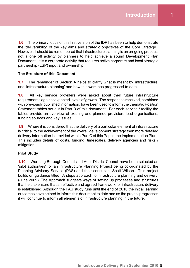**1.6** The primary focus of this first version of the IDP has been to help demonstrate the 'deliverability' of the key aims and strategic objectives of the Core Strategy. However, it should be remembered that infrastructure planning is an on-going process, not a one off activity by planners to help achieve a sound Development Plan Document. It is a corporate activity that requires active corporate and local strategic partnership (LSP) input and ownership.

#### **The Structure of this Document**

**1.7** The remainder of Section A helps to clarify what is meant by 'infrastructure' and 'infrastructure planning' and how this work has progressed to date.

**1.8** All key service providers were asked about their future infrastructure requirements against expected levels of growth. The responses received, combined with previously published information, have been used to inform the thematic Position Statement tables set out in Part B of this document. For each service / facility the tables provide an overview of existing and planned provision, lead organisations, funding sources and key issues.

**1.9** Where it is considered that the delivery of a particular element of infrastructure is critical to the achievement of the overall development strategy then more detailed delivery information is provided within Part C of this Paper, the Implementation Plan. This includes details of costs, funding, timescales, delivery agencies and risks / mitigation.

#### **Pilot Study**

**1.10** Worthing Borough Council and Adur District Council have been selected as 'pilot authorities' for an Infrastructure Planning Project being co-ordinated by the Planning Advisory Service (PAS) and their consultant Scott Wilson. This project builds on guidance titled, 'A steps approach to infrastructure planning and delivery' (June 2009). The Approach suggests ways of setting up processes and structures that help to ensure that an effective and agreed framework for infrastructure delivery is established. Although the PAS study runs until the end of 2010 the initial learning outcomes have helped to inform this document to date and as the project progresses it will continue to inform all elements of infrastructure planning in the future.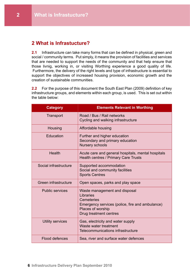### <span id="page-7-0"></span>**2 What is Infrastucture?**

**2.1** Infrastructure can take many forms that can be defined in physical, green and social / community terms. Put simply, it means the provision of facilities and services that are needed to support the needs of the community and that help ensure that those livnig, working in, or visiting Worthing experience a good quality of life. Furthermore, the delivery of the right levels and type of infrastructure is essential to support the objectives of increased housing provision, economic growth and the creation of sustainable communities.

**2.2** For the purpose of this document the South East Plan (2009) definition of key infrastructure groups, and elements within each group, is used. This is set out within the table below:

| <b>Category</b>        | <b>Elements Relevant in Worthing</b>                                                                                                                              |
|------------------------|-------------------------------------------------------------------------------------------------------------------------------------------------------------------|
| Transport              | Road / Bus / Rail networks<br>Cycling and walking infrastructure                                                                                                  |
| Housing                | Affordable housing                                                                                                                                                |
| Education              | Further and higher education<br>Secondary and primary education<br>Nursery schools                                                                                |
| <b>Health</b>          | Acute care and general hospitals, mental hospitals<br><b>Health centres / Primary Care Trusts</b>                                                                 |
| Social infrastructure  | Supported accommodation<br>Social and community facilities<br><b>Sports Centres</b>                                                                               |
| Green infrastructure   | Open spaces, parks and play space                                                                                                                                 |
| <b>Public services</b> | Waste management and disposal<br>Libraries<br><b>Cemeteries</b><br>Emergency services (police, fire and ambulance)<br>Places of worship<br>Drug treatment centres |
| Utility services       | Gas, electricity and water supply<br>Waste water treatment<br>Telecommunications infrastructure                                                                   |
| <b>Flood defences</b>  | Sea, river and surface water defences                                                                                                                             |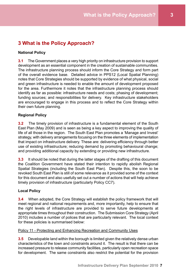### <span id="page-8-0"></span>**3 What is the Policy Approach?**

#### **National Policy**

**3.1** The Government places a very high priority on infrastructure provision to support development as an essential component in the creation of sustainable communities. The infrastructure planning process should inform the Core Strategy and form part of the overall evidence base. Detailed advice in PPS12 (Local Spatial Planning) notes that Core Strategies should be supported by evidence of what physical, social and green infrastructure is needed to enable the amount of development proposed for the area. Furthermore it notes that the infrastructure planning process should identify as far as possible: infrastructure needs and costs; phasing of development; funding sources; and responsibilities for delivery. Key infrastructure stakeholders are encouraged to engage in this process and to reflect the Core Strategy within their own future planning.

#### **Regional Policy**

**3.2** The timely provision of infrastructure is a fundamental element of the South East Plan (May 2009) and is seen as being a key aspect to improving the quality of life of all those in the region. The South East Plan promotes a 'Manage and Invest' strategy, with delivery arrangements focusing on the three elements of implementation that impact on infrastructure delivery. These are: delivering efficiency through better use of existing infrastructure; reducing demand by promoting behavioural change; and providing additional capacity by extending or providing new infrastructure.

**3.3** It should be noted that during the latter stages of the drafting of this document the Coalition Government have stated their intention to rapidly abolish Regional Spatial Strategies (including the South East Plan). Despite this, the soon to be revoked South East Plan is still of some relevance as it provided some of the context for this document and also usefully set out a number of actions that will help achieve timely provision of infrastructure (particularly Policy CC7).

#### **Local Policy**

**3.4** When adopted, the Core Strategy will establish the policy framework that will meet regional and national requirements and, more importantly, help to ensure that the right levels of infrastructure are provided to serve future developments at appropriate times throughout their construction. The Submission Core Strategy (April 2010) includes a number of polices that are particularly relevant. The local context for these policies is summarised below:

#### Policy 11 - Protecting and Enhancing Recreation and Community Uses

**3.5** Developable land within the borough is limited given the relatively dense urban characteristics of the town and constraints around it. The result is that there can be increased pressure to release community facilities, particularly open recreation space for development. The same constraints also restrict the potential for the provision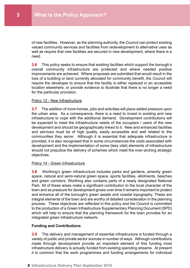of new facilities. However, as the planning authority, the Council can protect existing valued community services and facilities from redevelopment to alternative uses as well as require that new facilities are secured in new development, where there is a need.

**3.6** This policy seeks to ensure that existing facilities which support the borough's overall community infrastructure are protected and where needed positive improvements are achieved. Where proposals are submitted that would result in the loss of a building or land currently allocated for community benefit, the Council will require the developer to ensure that the facility is either replaced in an accessible location elsewhere, or provide evidence to illustrate that there is no longer a need for the particular provision.

#### Policy 12 - New Infrastructure

**3.7** The addition of more homes, jobs and activities will place added pressure upon the urban area. As a consequence, there is a need to invest in existing and new infrastructure to cope with the additional demand. Development contributions will be expected to meet the infrastructure needs of the occupiers / users of the new development and should be geographically linked to it. New and enhanced facilities and services must be of high quality, easily accessible and well related to the communities they serve. Although it is essential that adequate infrastructure is provided, it is also recognised that in some circumstances the costs associated with development and the implementation of some (less vital) elements of infrastructure should not prejudice the delivery of schemes which meet the over-arching strategic objectives.

#### Policy 14 - Green Infrastructure

**3.8** Worthing's green infrastructure includes parks and gardens, amenity green space, natural and semi-natural green space, sports facilities, allotments, beaches and green corridors. Worthing also contains parts of a newly designated National Park. All of these areas make a significant contribution to the local character of the town and as pressure for development grows over time it remains important to protect and enhance all of the borough's green assets and coastal topography. These are integral elements of the town and are worthy of detailed consideration in the planning process. These objectives are reflected in this policy and the Council is committed to the production of a Green Infrastructure Supplementary Planning Document (SPD) which will help to ensure that the planning framework for the town provides for an integrated green infrastructure network.

#### **Funding and Contributions**

**3.9** The delivery and management of essential infrastructure is funded through a variety of public and private sector sources in number of ways. Although contributions made through development provide an important element of this funding most infrastructure delivery is actually funded from existing spending streams. At present it is common that the work programmes and funding arrangements for individual

**8 Infrastructure Delivery Plan September 2010**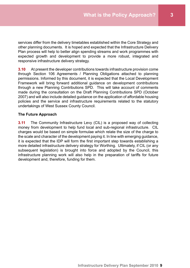services differ from the delivery timetables established within the Core Strategy and other planning documents. It is hoped and expected that the Infrastructure Delivery Plan process will help to better align spending streams and work programmes with expected growth and development to provide a more robust, integrated and responsive infrastructure delivery strategy.

**3.10** At present the developer contributions towards infrastructure provision come through Section 106 Agreements / Planning Obligations attached to planning permissions. Informed by this document, it is expected that the Local Development Framework will bring forward additional guidance on development contributions through a new Planning Contributions SPD. This will take account of comments made during the consultation on the Draft Planning Contributions SPD (October 2007) and will also include detailed guidance on the application of affordable housing policies and the service and infrastructure requirements related to the statutory undertakings of West Sussex County Council.

#### **The Future Approach**

**3.11** The Community Infrastructure Levy (CIL) is a proposed way of collecting money from development to help fund local and sub-regional infrastructure. CIL charges would be based on simple formulae which relate the size of the charge to the scale and character of the development paying it. In line with emerging guidance, it is expected that the IDP will form the first important step towards establishing a more detailed infrastructure delivery strategy for Worthing. Ultimately, if CIL (or any subsequent legislation) is brought into force and adopted by the Council, this infrastructure planning work will also help in the preparation of tariffs for future development and, therefore, funding for them.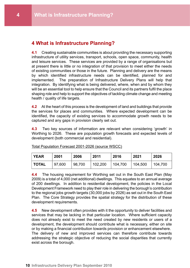### <span id="page-11-0"></span>**4 What is Infrastructure Planning?**

**4.1** Creating sustainable communities is about providing the necessary supporting infrastructure of utility services, transport, schools, open space, community, health and leisure services. These services are provided by a range of organisations but at present there is little or no integration of that provision to meet either the needs of existing communities or those in the future. Planning and delivery are the means by which identified infrastructure needs can be identified, planned for and implemented. The preparation of Infrastructure Delivery Plans will help that integration. By identifying what is being delivered, where, when and by whom they will be an essential tool to help ensure that the Council and its partners fulfil the place shaping role and help to support the objectives of tackling climate change and meeting health / quality of life targets.

**4.2** At the heart of this process is the development of land and buildings that provide the services for places and communities. Where expected development can be identified, the capacity of existing services to accommodate growth needs to be captured and any gaps in provision clearly set out.

**4.3** Two key sources of information are relevant when considering 'growth' in Worthing to 2026. These are population growth forecasts and expected levels of development (both commercial and residential).

| <b>YEAR</b>  | 2001   | 2006   | 2011    | 2016      | 2021    | 2026    |
|--------------|--------|--------|---------|-----------|---------|---------|
| <b>TOTAL</b> | 97,600 | 98,700 | 102,200 | ່ 104,700 | 104,500 | 104,700 |

Total Population Forecast 2001-2026 (source WSCC)

**4.4** The housing requirement for Worthing set out in the South East Plan (May 2009) is a total of 4,000 (net additional) dwellings. This equates to an annual average of 200 dwellings. In addition to residential development, the policies in the Local Development Framework need to play their role in delivering the borough's contribution to the regional jobs growth targets (30,000 jobs by 2026) as set out in the South East Plan. The Core Strategy provides the spatial strategy for the distribution of these development requirements.

**4.5** New development often provides with it the opportunity to deliver facilities and services that may be lacking in that particular location. Where sufficient capacity does not already exist to meet the need created by new residents or users of a development, the development should contribute what is necessary, either on site or by making a financial contribution towards provision or enhancement elsewhere. The delivery of new and improved services can therefore contribute towards addressing the strategic objective of reducing the social disparities that currently exist across the borough.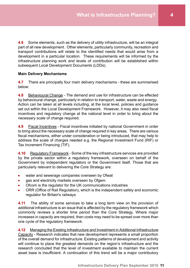**4.6** Some elements, such as the delivery of utility infrastructure, will be an integral part of all new development. Other elements, particularly community, recreation and transport contributions will relate to the identified needs that would arise from a development in a particular location. These requirements will be informed by the infrastructure planning work and levels of contribution will be established within subsequent Local Development Documents (LDDs).

#### **Main Delivery Mechanisms**

**4.7** There are principally four main delivery mechanisms - these are summarised below:

**4.8** Behavioural Change - The demand and use for infrastructure can be effected by behavioural change, particularly in relation to transport, water, waste and energy. Action can be taken at all levels including, at the local level, policies and guidance set out within the Local Development Framework. However, it may also need fiscal incentives and regulatory change at the national level in order to bring about the necessary scale of change required.

**4.9** Fiscal Incentives - Fiscal incentives initiated by national Government in order to bring about the necessary scale of change required in key areas. There are various fiscal mechanisms, either under consideration or being introduced, that may help to address the scale of charges needed e.g. the Regional Investment Fund (RIF) or Tax Increment Financing (TIF).

**4.10** Regulatory Framework - Some of the key infrastructure services are provided by the private sector within a regulatory framework, overseen on behalf of the Government by independent regulators or the Government itself. Those that are particularly relevant to delivering the Core Strategy are:

- water and sewerage companies overseen by Ofwat
- gas and electricity markets overseen by Ofgem  $\bullet$
- Ofcom is the regulator for the UK communications industries
- ORR (Office of Rail Regulation), which is the independent safety and economic regulator for Britain's railways

**4.11** The ability of some services to take a long term view on the provision of additional infrastructure is an issue that is affected by the regulatory framework which commonly reviews a shorter time period than the Core Strategy. Where major increases in capacity are required, then costs may need to be spread over more than one cycle of the regulatory framework.

**4.12** Managing the Existing Infrastructure and Investment in Additional Infrastructure Capacity - Research indicates that new development represents a small proportion of the overall demand for infrastructure. Existing patterns of development and activity will continue to place the greatest demands on the region's infrastructure and the research concluded that the level of investment available to maintain the current asset base is insufficient. A continuation of this trend will be a major contributory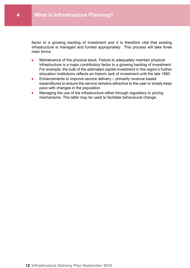factor to a growing backlog of investment and it is therefore vital that existing infrastructure is managed and funded appropriately. This process will take three main forms:

- Maintenance of the physical stock. Failure to adequately maintain physical  $\bullet$ infrastructure is a major contributory factor to a growing backlog of investment. For example, the bulk of the estimated capital investment in the region's further education institutions reflects an historic lack of investment until the late 1990.
- Enhancements to improve service delivery primarily revenue based  $\bullet$ expenditures to ensure the service remains attractive to the user or simply keep pace with changes in the population
- Managing the use of the infrastructure either through regulatory or pricing  $\bullet$ mechanisms. The latter may be used to facilitate behavioural change.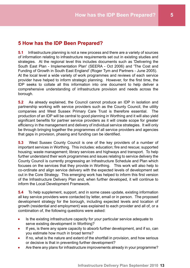### <span id="page-14-0"></span>**5 How has the IDP Been Prepared?**

**5.1** Infrastructure planning is not a new process and there are a variety of sources of information relating to infrastructure requirements set out in existing studies and strategies. At the regional level this includes documents such as 'Delivering the South East Plan - Implementation Plan' (SEERA - Oct 2006) and 'The Cost and Funding of Growth in South East England' (Roger Tym and Partners - June 2005). At the local level a wide variety of work programmes and reviews of each service provider have helped to inform strategic planning. However, for the first time, the IDP seeks to collate all this information into one document to help deliver a comprehensive understanding of infrastructure provision and needs across the borough.

**5.2** As already explained, the Council cannot produce an IDP in isolation and partnership working with service providers such as the County Council, the utility companies and West Sussex Primary Care Trust is therefore essential. The production of an IDP will be central to good planning in Worthing and it will also yield significant benefits for partner service providers as it will create scope for greater efficiency in the management and delivery of individual service strategies. It will only be through bringing together the programmes of all service providers and agencies that gaps in provision, phasing and funding can be identified.

**5.3** West Sussex County Council is one of the key providers of a number of important services in Worthing. This includes: education; fire and rescue; supported housing; waste management; library services and highways and transport. To help further understand their work programmes and issues relating to service delivery the County Council is currently progressing an Infrastructure Schedule and Plan which focuses on the services that they provide in Worthing. This work will also help to co-ordinate and align service delivery with the expected levels of development set out in the Core Strategy. This emerging work has helped to inform this first version of the Infrastructure Delivery Plan and, when further developed, it will continue to inform the Local Development Framework.

**5.4** To help supplement, support, and in some cases update, existing information all key service providers were contacted by letter, email or in person. The proposed development strategy for the borough, including expected levels and location of growth (residential and employment) was explained to each provider and all of, or a combination of, the following questions were asked:

- Is the existing infrastructure capacity for your particular service adequate to serve existing development in Worthing?
- If yes, is there any spare capacity to absorb further development, and if so, can you estimate how much in broad terms?
- If no, what is the nature and extent of the shortfall in provision, and how serious or decisive is that in preventing further development?
- Are there any plans for infrastructure improvements already in your programme?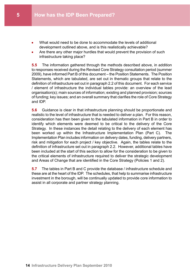- What would need to be done to accommodate the levels of additional development outlined above, and is this realistically achievable?
- Are there any other major hurdles that would prevent the provision of such infrastructure taking place?

**5.5** The information gathered through the methods described above, in addition to responses received during the Revised Core Strategy consultation period (summer 2009), have informed Part B of this document – the Position Statements. The Position Statements, which are tabulated, are set out in thematic groups that relate to the definition of infrastructure set out in paragraph 2.2 of this document. For each service / element of infrastructure the individual tables provide: an overview of the lead organisation(s); main sources of information; existing and planned provision; sources of funding; key issues; and an overall summary that clarifies the role of Core Strategy and IDP.

**5.6** Guidance is clear in that infrastructure planning should be proportionate and realistic to the level of infrastructure that is needed to deliver a plan. For this reason, consideration has then been given to the tabulated information in Part B in order to identify which elements were deemed to be critical to the delivery of the Core Strategy. In these instances the detail relating to the delivery of each element has been worked up within the Infrastructure Implementation Plan (Part C). The Implementation Plan includes information on delivery dates, funding, delivery partners, risk and mitigation for each project / key objective. Again, the tables relate to the definition of infrastructure set out in paragraph 2.2. However, additional tables have been included at the start of this section to allow for the consideration to be given to the critical elements of infrastructure required to deliver the strategic development and Areas of Change that are identified in the Core Strategy (Policies 1 and 2).

**5.7** The tables in Part B and C provide the database / infrastructure schedule and these are at the heart of the IDP. The schedules, that help to summarise infrastructure investment in the borough, will be continually updated to provide core information to assist in all corporate and partner strategy planning.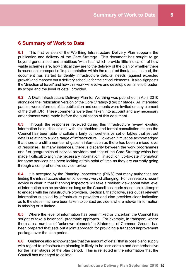### <span id="page-16-0"></span>**6 Summary of Work to Date**

**6.1** This first version of the Worthing Infrastructure Delivery Plan supports the publication and delivery of the Core Strategy. This document has sought to go beyond generalised and ambitious 'wish lists' which provide little indication of how viable schemes are, how critical they are to the delivery of the plan or whether there is reasonable prospect of implementation within the required timetable. Instead, the document has started to identify infrastructure deficits, needs (against expected growth) and mapped out a delivery schedule for the critical elements. It also signposts the 'direction of travel' and how this work will evolve and develop over time to broaden its scope and the level of detail provided.

**6.2** A Draft Infrastructure Delivery Plan for Worthing was published in April 2010 alongside the Publication Version of the Core Strategy (Reg 27 stage). All interested parities were informed of its publication and comments were invited on any element of the draft IDP. These comments were then taken into account and any necessary amendments were made before the publication of this document.

**6.3** Through the responses received during this infrastructure review, existing information held, discussions with stakeholders and formal consultation stages the Council has been able to collate a fairly comprehensive set of tables that set out details relating to a wide range of infrastructure. However, it must be acknowledged that there are still a number of gaps in information as there has been a mixed level of response. In many instances, there is disparity between the work programmes and / or geographies of service providers and that of the Core Strategy which has made it difficult to align the necessary information. In addition, up-to-date information for some services has been lacking at this point of time as they are currently going through a comprehensive service review.

**6.4** It is accepted by the Planning Inspectorate (PINS) that many authorities are finding the infrastructure element of delivery very challenging. For this reason, recent advice is clear in that Planning Inspectors will take a realistic view about what level of information can be provided so long as the Council has made reasonable attempts to engage with the infrastructure providers. Section B that follows, sets out all relevant information supplied by infrastructure providers and also provides clear indication as to the steps that have been taken to contact providers where relevant information is missing or is limited.

**6.5** Where the level of information has been mixed or uncertain the Council has sought to take a balanced, pragmatic approach. For example, in transport, where there are a number of 'unknown elements' a Statement of Common Ground has been prepared that sets out a joint approach for providing a transport improvement package over the plan period.

**6.6** Guidance also acknowledges that the amount of detail that is possible to supply with regard to infrastructure planning is likely to be less certain and comprehensive for the later stages of the plan period. This is reflected in the information that the Council has managed to collate.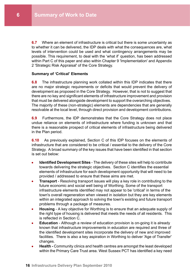**6.7** Where an element of infrastructure is critical but there is some uncertainty as to whether it can be delivered, the IDP deals with what the consequences are, what levels of intervention could be used and what contingency arrangements may be possible. This requirement, to deal with the 'what if' question, has been addressed within Part C of this paper and also within Chapter 9 'Implementation' and Appendix 2 'Strategic Risk Appraisal' of the Core Strategy.

#### **Summary of 'Critical' Elements**

**6.8** The infrastructure planning work collated within this IDP indicates that there are no major strategic requirements or deficits that would prevent the delivery of development as proposed in the Core Strategy. However, that is not to suggest that there are no key and significant elements of infrastructure improvement and provision that must be delivered alongside development to support the overarching objectives. The majority of these (non-strategic) elements are dependencies that are generally resolvable at the local level, through direct provision and development contributions.

**6.9** Furthermore, the IDP demonstrates that the Core Strategy does not place undue reliance on elements of infrastructure where funding is unknown and that there is a reasonable prospect of critical elements of infrastructure being delivered in the Plan period.

**6.10** As previously explained, Section C of this IDP focuses on the elements of infrastructure that are considered to be critical / essential to the delivery of the Core Strategy. A broad summary of the key issues that have been identified in that section is set out below:

- **Identified Development Sites** The delivery of these sites will help to contribute towards delivering the strategic objectives. Section C identifies the essential elements of infrastructure for each development opportunity that will need to be provided / addressed to ensure that these aims are met.
- **Transport** Resolving transport issues will play a key role in contributing to the future economic and social well being of Worthing. Some of the transport infrastructure elements identified may not appear to be 'critical' in terms of the town's overall regeneration when viewed in isolation but they are key elements within an integrated approach to solving the town's existing and future transport problems through a package of measures.
- **Housing** A key objective for Worthing is to ensure that an adequate supply of  $\bullet$ the right type of housing is delivered that meets the needs of all residents. This is reflected in Section C.
- **Education** Although a review of education provision is on-going it is already  $\bullet$ known that infrastructure improvements in education are required and three of the identified development sites incorporate the delivery of new and improved facilities. There is also a key aspiration in Worthing to deliver 'Age of Transfer' changes.
- **Health -** Community clinics and health centres are amongst the least developed  $\bullet$ within the Primary Care Trust area. West Sussex PCT has identified a key need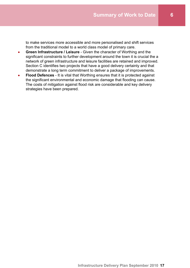to make services more accessible and more personalised and shift services from the traditional model to a world class model of primary care.

- **Green Infrastructure / Leisure** Given the character of Worthing and the significant constraints to further development around the town it is crucial the a network of green infrastructure and leisure facilities are retained and improved. Section C identifies two projects that have a good delivery certainty and that demonstrate a long term commitment to deliver a package of improvements.
- **Flood Defences** It is vital that Worthing ensures that it is protected against the significant environmental and economic damage that flooding can cause. The costs of mitigation against flood risk are considerable and key delivery strategies have been prepared.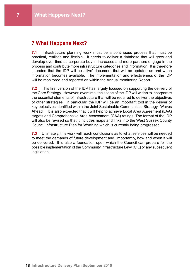### <span id="page-19-0"></span>**7 What Happens Next?**

**7.1** Infrastructure planning work must be a continuous process that must be practical, realistic and flexible. It needs to deliver a database that will grow and develop over time as corporate buy-in increases and more partners engage in the process and contribute more infrastructure categories and information. It is therefore intended that the IDP will be a'live' document that will be updated as and when information becomes available. The implementation and effectiveness of the IDP will be monitored and reported on within the Annual monitoring Report.

**7.2** This first version of the IDP has largely focused on supporting the delivery of the Core Strategy. However, over time, the scope of the IDP will widen to incorporate the essential elements of infrastructure that will be required to deliver the objectives of other strategies. In particular, the IDP will be an important tool in the deliver of key objectives identified within the Joint Sustainable Communities Strategy, 'Waves Ahead'. It is also expected that it will help to achieve Local Area Agreement (LAA) targets and Comprehensive Area Assessment (CAA) ratings. The format of the IDP will also be revised so that it includes maps and links into the West Sussex County Council Infrastructure Plan for Worthing which is currently being progressed.

**7.3** Ultimately, this work will reach conclusions as to what services will be needed to meet the demands of future development and, importantly, how and when it will be delivered. It is also a foundation upon which the Council can prepare for the possible implementation of the Community Infrastructure Levy (CIL) or any subsequent legislation.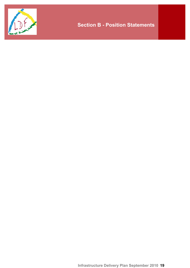

### **Section B - Position Statements**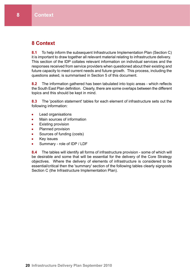### <span id="page-21-0"></span>**8 Context**

**8.1** To help inform the subsequent Infrastructure Implementation Plan (Section C) it is important to draw together all relevant material relating to infrastructure delivery. This section of the IDP collates relevant information on individual services and the responses received from service providers when questioned about their existing and future capacity to meet current needs and future growth. This process, including the questions asked, is summarised in Section 5 of this document.

**8.2** The information gathered has been tabulated into topic areas - which reflects the South East Plan definition. Clearly, there are some overlaps between the different topics and this should be kept in mind.

**8.3** The 'position statement' tables for each element of infrastructure sets out the following information:

- Lead organisations
- Main sources of information  $\bullet$
- Existing provision
- Planned provision
- Sources of funding (costs)
- Key issues
- Summary role of IDP / LDF

**8.4** The tables will identify all forms of infrastructure provision - some of which will be desirable and some that will be essential for the delivery of the Core Strategy objectives. Where the delivery of elements of infrastructure is considered to be essential/critical then the 'summary' section of the following tables clearly signposts Section C (the Infrastructure Implementation Plan).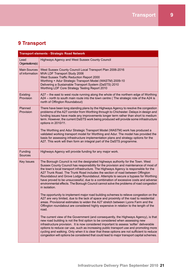## <span id="page-22-0"></span>**9 Transport**

| <b>Transport elements - Strategic Road Network</b> |                                                                                                                                                                                                                                                                                                                                                                                                                                                                                                                                                                                                                                          |  |  |  |
|----------------------------------------------------|------------------------------------------------------------------------------------------------------------------------------------------------------------------------------------------------------------------------------------------------------------------------------------------------------------------------------------------------------------------------------------------------------------------------------------------------------------------------------------------------------------------------------------------------------------------------------------------------------------------------------------------|--|--|--|
| Lead<br>Organisations(s)                           | Highways Agency and West Sussex County Council                                                                                                                                                                                                                                                                                                                                                                                                                                                                                                                                                                                           |  |  |  |
| <b>Main Sources</b><br>of information              | West Sussex County Council Local Transport Plan 2006-2016<br>MVA LDF Transport Study 2006<br>West Sussex Traffic Reduction Report 2000<br>Worthing + Adur Strategic Transport Model (WASTM) 2009-10<br>Delivering a Sustainable Transport System (DaSTS) 2010<br>Worthing LDF Core Strategy Testing Report 2010                                                                                                                                                                                                                                                                                                                          |  |  |  |
| Existing<br>Provision                              | A27 - the east to west route running along the whole of the northern edge of Worthing<br>A24 - north to south main route into the town centre (The strategic role of the A24 is<br>north of Offington Roundabout)                                                                                                                                                                                                                                                                                                                                                                                                                        |  |  |  |
| Planned<br>Provision                               | There have been long standing plans by the Highways Agency to resolve the congestion<br>problems of the A27 corridor from Worthing through to Chichester. Delays in design and<br>funding issues have made any improvements longer term rather than short to medium<br>term. However, the current DaSTS work being produced will provide some infrastructure<br>options in 2010/11.                                                                                                                                                                                                                                                      |  |  |  |
|                                                    | The Worthing and Adur Strategic Transport Model (WASTM) work has produced a<br>validated working transport model for Worthing and Adur. The model has provided the<br>basis for assessing infrastructure implementation plans and strategy options for the<br>A27. This work will then form an integral part of the DaSTS programme.                                                                                                                                                                                                                                                                                                     |  |  |  |
| Funding<br><b>Sources</b>                          | Highways Agency will provide funding for any major work.                                                                                                                                                                                                                                                                                                                                                                                                                                                                                                                                                                                 |  |  |  |
| <b>Key Issues</b>                                  | The Borough Council is not the designated highways authority for the Town. West<br>Sussex County Council has responsibility for the provision and maintenance of most of<br>the town's local transport infrastructure. The Highways Agency is responsible for the<br>A27 Trunk Road. The Trunk Road includes the section of road between Offington<br>Roundabout and Grove Lodge Roundabout. Attempts to secure a bypass for Worthing<br>have proved to be unsuccessful, due to a combination of excessive costs and adverse<br>environmental effects. The Borough Council cannot solve the problems of road congestion<br>in isolation. |  |  |  |
|                                                    | The opportunity to implement major road building schemes to relieve congestion on the<br>A27 are very limited, due to the lack of space and proximity of the road to residential<br>areas. Provisional estimates to widen the A27 stretch between Lyons Farm and the<br>Offington roundabout are considered highly expensive in relation to the length of the<br>road.                                                                                                                                                                                                                                                                   |  |  |  |
|                                                    | The current view of the Government (and consequently, the Highways Agency), is that<br>new road building is not the first option to be considered when assessing new<br>infrastructure provision. It is now considered important to assess 'softer' deliverable<br>options to reduce car use, such as increasing public transport use and promoting more<br>cycling and walking. Only when it is clear that these options are not sufficient to reduce<br>congestion will options be considered that could lead to major transport capital schemes.                                                                                      |  |  |  |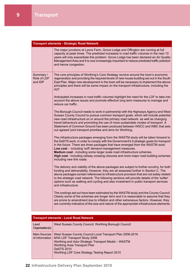| <b>Transport elements - Strategic Road Network</b> |                                                                                                                                                                                                                                                                                                                                                                                                                                                                                                                            |  |
|----------------------------------------------------|----------------------------------------------------------------------------------------------------------------------------------------------------------------------------------------------------------------------------------------------------------------------------------------------------------------------------------------------------------------------------------------------------------------------------------------------------------------------------------------------------------------------------|--|
|                                                    | The major junctions at Lyons Farm, Grove Lodge and Offington are running at full<br>capacity at peak times. The predicted increases in road traffic volumes in the next 10<br>years will only exacerbate this problem. Grove Lodge has been declared an Air Quality<br>Management Area and it is now increasingly important to reduce predicted traffic pollution<br>and hence congestion.                                                                                                                                 |  |
| Summary /<br>Role of LDF<br>and IDP                | The core principles of Worthing's Core Strategy revolve around the town's economic<br>regeneration and providing the required levels of new house-building set out in the South<br>East Plan. Major new development in the town will be necessary to implement the above<br>principles and there will be some impact on the transport infrastructure, including the<br>A27.                                                                                                                                                |  |
|                                                    | Anticipated increases in road traffic volumes highlight the need for the LDF to take into<br>account the above issues and promote effective long term measures to manage and<br>reduce car traffic.                                                                                                                                                                                                                                                                                                                        |  |
|                                                    | The Borough Council needs to work in partnership with the Highways Agency and West<br>Sussex County Council to pursue common transport goals, which will include potential<br>new road infrastructure on or around the primary road network. as well as changing<br>travel behaviours and promoting the use of more sustainable modes of transport. A<br>Statement of Common Ground has been produced between WSCC and WBC that sets<br>out agreed/ joint transport priorities and aims for Worthing.                      |  |
|                                                    | The infrastructure packages emerging from the WASTM study will be taken forward to<br>the DaSTS work, in order to comply with the Government's 5 strategic goals for transport<br>in the future. There are three packages that have emerged from the WASTM work:<br>Low cost - including 'soft' demand management measures.<br>Medium cost - including some larger scale road infrastructure schemes.<br>High cost - including railway crossing closures and more major road building schemes<br>including new link roads. |  |
|                                                    | The delivery and viability of the above packages are subject to further scrutiny, for both<br>funding and deliverability. However, they are all assessed further in Section C. The<br>above packages contain references to infrastructure provision that are not solely related<br>to the strategic road network. The following sections will provide details of the 'softer'<br>options such as walking and cycling and also investment in public transport services<br>and infrastructure.                               |  |
|                                                    | The costings set out have been estimated by the WASTM study and the County Council.<br>Clearly some of the schemes are longer term and it is reasonable to assume that they<br>are prone to amendment due to inflation and other extraneous factors. However, they<br>are currently indicative of the size and nature of the appropriate infrastructure elements.                                                                                                                                                          |  |

| <b>Transport elements - Local Road Network</b> |                                                                                                                                                                                                                                                                   |  |
|------------------------------------------------|-------------------------------------------------------------------------------------------------------------------------------------------------------------------------------------------------------------------------------------------------------------------|--|
| Lead<br>Organisation(s)                        | West Sussex County Council, Worthing Borough Council                                                                                                                                                                                                              |  |
| Main Sources                                   | West Sussex County Council Local Transport Plan 2006-2016<br>of information   MVA LDF Transport Study 2006<br>Worthing and Adur Strategic Transport Model - WASTM<br>Worthing Area Transport Plan<br>DaSTS 2010<br>Worthing LDF Core Strategy Testing Report 2010 |  |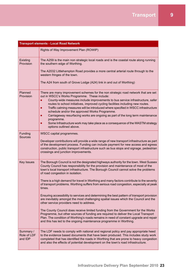| <b>Transport elements - Local Road Network</b> |                                                                                                                                                                                                                                                                                                                                                       |  |  |
|------------------------------------------------|-------------------------------------------------------------------------------------------------------------------------------------------------------------------------------------------------------------------------------------------------------------------------------------------------------------------------------------------------------|--|--|
|                                                | Rights of Way Improvement Plan (ROWIP)                                                                                                                                                                                                                                                                                                                |  |  |
| Existing<br>Provision                          | The A259 is the main non strategic local roads and is the coastal route along running<br>the southern edge of Worthing.                                                                                                                                                                                                                               |  |  |
|                                                | The A2032 Littlehampton Road provides a more central arterial route through to the<br>western fringes of the town.                                                                                                                                                                                                                                    |  |  |
|                                                | The A24 from south of Grove Lodge (A24) link in and out of Worthing)                                                                                                                                                                                                                                                                                  |  |  |
| Planned<br>Provision                           | There are many improvement schemes for the non strategic road network that are set<br>out in WSCC's Works Programme. These include:                                                                                                                                                                                                                   |  |  |
|                                                | County-wide measures include improvements to bus service infrastructure, safer<br>$\bullet$<br>routes to school initiatives, improved cycling facilities including new routes.<br>Traffic calming measures will be introduced where specified in WSCC infrastructure<br>$\bullet$<br>schedule and/or the approved Works Programme.                    |  |  |
|                                                | Carriageway resurfacing works are ongoing as part of the long term maintenance<br>$\bullet$<br>programme.                                                                                                                                                                                                                                             |  |  |
|                                                | Some Infrastructure work may take place as a consequence of the WASTM strategy<br>$\bullet$<br>options outlined above.                                                                                                                                                                                                                                |  |  |
| Funding<br>Sources                             | WSCC capital programmes.                                                                                                                                                                                                                                                                                                                              |  |  |
|                                                | Developer contributions will provide a wide range of new transport infrastructure as part<br>of the development process. Funding can include payment for new access and egress<br>construction, public transport infrastructure such as bus stops and signage, pedestrian<br>crossings and junction improvements.                                     |  |  |
| Key Issues                                     | The Borough Council is not the designated highways authority for the town. West Sussex<br>County Council has responsibility for the provision and maintenance of most of the<br>town's local transport infrastructure. The Borough Council cannot solve the problems<br>of road congestion in isolation.                                              |  |  |
|                                                | There is a high demand for travel in Worthing and many factors contribute to the severity<br>of transport problems. Worthing suffers from serious road congestion, especially at peak<br>times.                                                                                                                                                       |  |  |
|                                                | Ensuring accessibility to services and determining the best pattern of transport provision<br>are inevitably amongst the most challenging spatial issues which the Council and the<br>other service providers need to address.                                                                                                                        |  |  |
|                                                | The County Council does receive limited funding from the Government for the Works<br>Programme, but other sources of funding are required to deliver the Local Transport<br>Plan. The condition of Worthing's roads remains in need of constant upgrade and repair<br>and this has led to the ongoing maintenance programme in Worthing.              |  |  |
| Summary /<br>Role of LDF<br>and IDP            | The LDF needs to comply with national and regional policy and pay appropriate heed<br>to the evidence based documents that have been produced. This includes study work<br>completed that has identified the roads in Worthing that are prone to heavy congestion<br>and also the effects of potential development on the town's road infrastructure. |  |  |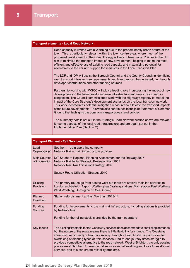#### **Transport elements - Local Road Network**

Road capacity is limited within Worthing due to the predominantly urban nature of the town. This is particularly relevant within the town centre area, where much of the proposed development in the Core Strategy is likely to take place. Policies in the LDF aim to minimise the transport impact of new development, helping to make the most efficient and effective use of existing road capacity and maximising potential for alternatives to the car and support the initiatives in the Local Transport Plan.

The LDF and IDP will assist the Borough Council and the County Council in identifying road transport infrastructure requirements and how they can be delivered, i.e. through developer contributions and other funding sources.

Partnership working with WSCC will play a leading role in assessing the impact of new developments in the town developing new infrastructure and measures to reduce congestion. The Council commissioned work with the Highways Agency to model the impact of the Core Strategy's development scenarios on the local transport network. This work incorporates potential mitigation measures to alleviate the transport impacts of the future developments. This work also contributes to the joint Statement of Common Ground that highlights the common transport goals and policies.

The summary details set out in the Strategic Road Network section above are relevant for some aspects of the local road infrastructure and are again set out in the Implementation Plan (Section C).

| <b>Transport Element - Rail Services</b> |                                                                                                                                                                                                                                                                                                                                                                                                                                                                                                                                                                                                                |  |
|------------------------------------------|----------------------------------------------------------------------------------------------------------------------------------------------------------------------------------------------------------------------------------------------------------------------------------------------------------------------------------------------------------------------------------------------------------------------------------------------------------------------------------------------------------------------------------------------------------------------------------------------------------------|--|
| Lead<br>Organisation(s)                  | Southern - train operating company<br>Network Rail - main infrastructure provider                                                                                                                                                                                                                                                                                                                                                                                                                                                                                                                              |  |
| Main Sources<br>of information           | DfT Southern Regional Planning Assessment for the Railway 2007<br>Network Rail Initial Strategic Business Plan 2007<br>Network Rail: Rail Utilisation Strategy 2009<br><b>Sussex Route Utilisation Strategy 2010</b>                                                                                                                                                                                                                                                                                                                                                                                           |  |
| Existing<br>Provision                    | The primary routes go from east to west but there are several mainline services to<br>London and Gatwick Airport. Worthing has 5 railway stations: Main station; East Worthing;<br>West Worthing; Durrington on Sea; Goring.                                                                                                                                                                                                                                                                                                                                                                                   |  |
| Planned<br>Provision                     | Station refurbishment at East Worthing 2013/14                                                                                                                                                                                                                                                                                                                                                                                                                                                                                                                                                                 |  |
| Funding<br>Sources                       | Funding for improvements to the main rail infrastructure, including stations is provided<br>by Network Rail<br>Funding for the rolling stock is provided by the train operators                                                                                                                                                                                                                                                                                                                                                                                                                                |  |
| <b>Key Issues</b>                        | The existing timetable for the Coastway services does accommodate conflicting demands,<br>but the nature of the route means there is little flexibility for change. The Coastway<br>infrastructure is mainly a two track railway throughout with limited opportunities for<br>overtaking of differing types of train services. End-to-end journey times struggle to<br>provide a competitive alternative to the road network. West of Brighton, the only passing<br>places are at Barnham for westbound services and at Worthing and Hove for eastbound<br>services, and this can create reliability problems. |  |

#### **24 Infrastructure Delivery Plan September 2010**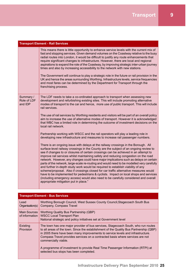| <b>Transport Element - Rail Services</b> |                                                                                                                                                                                                                                                                                                                                                                                                                                                                                                                                                                                                                                                                                                                                                                                                                                                                                                                                                                                                                                                                                                                                                                                                                                                                                                                                                                                                                                                                                                   |  |
|------------------------------------------|---------------------------------------------------------------------------------------------------------------------------------------------------------------------------------------------------------------------------------------------------------------------------------------------------------------------------------------------------------------------------------------------------------------------------------------------------------------------------------------------------------------------------------------------------------------------------------------------------------------------------------------------------------------------------------------------------------------------------------------------------------------------------------------------------------------------------------------------------------------------------------------------------------------------------------------------------------------------------------------------------------------------------------------------------------------------------------------------------------------------------------------------------------------------------------------------------------------------------------------------------------------------------------------------------------------------------------------------------------------------------------------------------------------------------------------------------------------------------------------------------|--|
|                                          | This means there is little opportunity to enhance service levels with the current mix of<br>fast and stopping services. Given demand volumes on the Coastway relative to the busy<br>radial routes into London, it would be difficult to justify any route enhancements that<br>require significant changes to infrastructure. However, there are local and regional<br>aspirations to expand the role of the Coastway, by improving strategic inter-urban journey<br>times and also by increasing accessibility to the network with new stations.<br>The Government will continue to play a strategic role in the future or rail provision in the<br>UK and hence the areas surrounding Worthing. Infrastructure levels, service frequencies<br>and most fares can be determined by the Department for Transport through the<br>franchising process.                                                                                                                                                                                                                                                                                                                                                                                                                                                                                                                                                                                                                                             |  |
| Summary /<br>Role of LDF<br>and IDP      | The LDF needs to take a co-ordinated approach to transport when assessing new<br>development and refurbishing existing sites. This will include promoting alternative<br>modes of transport to the car and hence, more use of public transport. This will include<br>rail services.<br>The use of rail services by Worthing residents and visitors will be part of an overall policy<br>aim to increase the use of alternative modes of transport. However it is acknowledged<br>that WBC has a limited role in determining the outcome of investment decisions on the<br>local rail network.<br>Partnership working with WSCC and the rail operators will play a leading role in<br>developing new infrastructure and measures to increase rail passenger numbers.<br>There is an ongoing issue with delays at the railway crossings in the Borough. All<br>surface-level railway crossings in the County are the subject of an ongoing review to<br>see if changes to or closures of certain crossings can be achieved in an attempt to<br>improve rail services whilst maintaining safety and reducing congestion on the road<br>network. However, any changes could have major implications such as delays on certain<br>parts of the network, large-scale re-routing and would need to be modelled very carefully<br>and further in-depth study work would be required to establish viability of any<br>scheme/proposal. Also if crossings closed for car traffic alternative measures would |  |
|                                          | have to be implemented for pedestrians & cyclists. Impact on local shops and services<br>(including emergency access) would also need to be carefully considered and overall<br>appropriate mitigation put in place."                                                                                                                                                                                                                                                                                                                                                                                                                                                                                                                                                                                                                                                                                                                                                                                                                                                                                                                                                                                                                                                                                                                                                                                                                                                                             |  |

| <b>Transport Element - Bus Services</b> |                                                                                                                                                                                                                                                                                                                                                                                                                                                                                                     |  |
|-----------------------------------------|-----------------------------------------------------------------------------------------------------------------------------------------------------------------------------------------------------------------------------------------------------------------------------------------------------------------------------------------------------------------------------------------------------------------------------------------------------------------------------------------------------|--|
| Lead<br>Organisation(s)                 | Worthing Borough Council, West Sussex County Council, Stagecoach South Bus<br>Company, Compass Travel                                                                                                                                                                                                                                                                                                                                                                                               |  |
| Main Sources<br>of information          | Worthing Quality Bus Partnership (QBP)<br><b>WSCC Local Transport Plan</b><br>National strategic and policy initiatives set at Government level                                                                                                                                                                                                                                                                                                                                                     |  |
| Existing<br>Provision                   | The town has one major provider of bus services, Stagecoach South, who run routes<br>to all areas of the town. Since the establishment of the Quality Bus Partnership (QBP)<br>in 2005 there have been many improvements to service levels and infrastructure.<br>Compass Travel provides services on a contracted basis where services are not<br>commercially viable.<br>A programme of investment to provide Real Time Passenger Information (RTPI) at<br>selected bus stops has been completed. |  |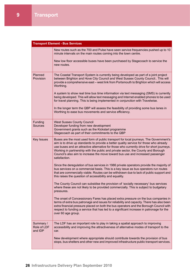| <b>Transport Element - Bus Services</b> |                                                                                                                                                                                                                                                                                                                                                                                                                                                                      |  |
|-----------------------------------------|----------------------------------------------------------------------------------------------------------------------------------------------------------------------------------------------------------------------------------------------------------------------------------------------------------------------------------------------------------------------------------------------------------------------------------------------------------------------|--|
|                                         | New routes such as the 700 and Pulse have seen service frequencies pushed up to 10<br>minute intervals on the main routes coming into the town centre.<br>New low floor accessible buses have been purchased by Stagecoach to service the                                                                                                                                                                                                                            |  |
|                                         | new routes.                                                                                                                                                                                                                                                                                                                                                                                                                                                          |  |
| Planned<br>Provision                    | The Coastal Transport System is currently being developed as part of a joint project<br>between Brighton and Hove City Council and West Sussex County Council This will<br>provide a comprehensive east - west link from Portsmouth to Brighton which will access<br>Worthing.                                                                                                                                                                                       |  |
|                                         | A system to show real time bus time information via text messaging (SMS) is currently<br>being developed. This will allow text messaging and Internet enabled phones to be used<br>for travel planning. This is being implemented in conjunction with Travelwise.                                                                                                                                                                                                    |  |
|                                         | In the longer term the QBP will assess the feasibility of providing some bus lanes in<br>Worthing to ease bus movements and service efficiency.                                                                                                                                                                                                                                                                                                                      |  |
| Funding<br><b>Sources</b>               | <b>West Sussex County Council</b><br>Developer funding from new development<br>Government grants such as the Kickstart programme<br>Stagecoach as part of their commitments to the QBP                                                                                                                                                                                                                                                                               |  |
| <b>Key Issues</b>                       | Buses are the most used form of public transport for local journeys. The Government's<br>aim is to drive up standards to provide a better quality service for those who already<br>use buses and an attractive alternative for those who currently drive for short journeys.<br>Working in partnership with the public and private sector, the County and Borough<br>Council's also aim to increase the move toward bus use and increased passenger<br>satisfaction. |  |
|                                         | Since the deregulation of bus services in 1986 private operators provide the majority of<br>bus services on a commercial basis. This is a key issue as bus operators run routes<br>that are commercially viable. Routes can be withdrawn due to lack of public support and<br>this raises the question of accessibility and equality.                                                                                                                                |  |
|                                         | The County Council can subsidise the provision of 'socially necessary' bus services<br>where these are not likely to be provided commercially. This is subject to budgetary<br>pressures.                                                                                                                                                                                                                                                                            |  |
|                                         | The onset of Concessionary Fares has placed extra pressure on the bus companies in<br>terms of extra bus patronage and issues for reliability and capacity. There has also been<br>extra financial pressure placed on both the bus operators and the Borough Council with<br>respect to funding a service that has led to a significant increase in patronage for the<br>over 60 age group.                                                                          |  |
| Summary /<br>Role of LDF<br>and IDP     | The LDF has an important role to play in taking a spatial approach to improving<br>accessibility and improving the attractiveness of alternative modes of transport to the<br>car.                                                                                                                                                                                                                                                                                   |  |
|                                         | New development where appropriate should contribute towards the provision of bus<br>stops, bus shelters and other new and improved infrastructure public transport services.                                                                                                                                                                                                                                                                                         |  |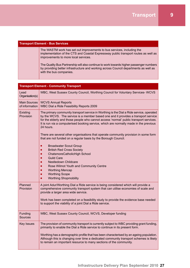| <b>Transport Element - Bus Services</b> |                                                                                                                                                                                                            |
|-----------------------------------------|------------------------------------------------------------------------------------------------------------------------------------------------------------------------------------------------------------|
|                                         | The WASTM work has set out improvements to bus services, including the<br>implementation of the CTS and Coastal Expressway public transport routes as well as<br>improvements to more local services.      |
|                                         | The Quality Bus Partnership will also continue to work towards higher passenger numbers<br>by providing better infrastructure and working across Council departments as well as<br>with the bus companies. |

|                                       | <b>Transport Element - Community Transport</b>                                                                                                                                                                                                                                                                                                                                                                                                                                                                                                                                                                                                                                                                                                                                                                                                                                                                   |
|---------------------------------------|------------------------------------------------------------------------------------------------------------------------------------------------------------------------------------------------------------------------------------------------------------------------------------------------------------------------------------------------------------------------------------------------------------------------------------------------------------------------------------------------------------------------------------------------------------------------------------------------------------------------------------------------------------------------------------------------------------------------------------------------------------------------------------------------------------------------------------------------------------------------------------------------------------------|
| Lead<br>Organisation(s)               | WBC, West Sussex County Council, Worthing Council for Voluntary Services- WCVS                                                                                                                                                                                                                                                                                                                                                                                                                                                                                                                                                                                                                                                                                                                                                                                                                                   |
| <b>Main Sources</b><br>of information | <b>WCVS Annual Reports</b><br>WBC Dial a Ride Feasibility Reports 2009                                                                                                                                                                                                                                                                                                                                                                                                                                                                                                                                                                                                                                                                                                                                                                                                                                           |
| Existing<br>Provision                 | The primary community transport service in Worthing is the Dial a Ride service, operated<br>by the WCVS. The service is a member based one and it provides a transport service<br>for the elderly and those people who cannot access 'normal' public transport services.<br>It is run via a computerised booking service, which are normally made in the previous<br>24 hours.<br>There are several other organisations that operate community provision in some form<br>that are not funded on a regular basis by the Borough Council.<br><b>Broadwater Scout Group</b><br>$\bullet$<br><b>British Red Cross Society</b><br>$\bullet$<br>ChatsmoreCatholicHigh School<br>$\bullet$<br><b>Guild Care</b><br><b>Nestledown Childcare</b><br>●<br>Rose Wilmot Youth and Community Centre<br><b>Worthing Mencap</b><br>$\bullet$<br><b>Worthing Scope</b><br>$\bullet$<br><b>Worthing Shopmobility</b><br>$\bullet$ |
| Planned<br>Provision                  | A joint Adur/Worthing Dial a Ride service is being considered which will provide a<br>comprehensive community transport system that can utilise economies of scale and<br>provide a larger area wide service.<br>Work has been completed on a feasibility study to provide the evidence base needed<br>to support the viability of a joint Dial a Ride service.                                                                                                                                                                                                                                                                                                                                                                                                                                                                                                                                                  |
| Funding<br>Sources                    | WBC, West Sussex County Council, WCVS, Developer funding                                                                                                                                                                                                                                                                                                                                                                                                                                                                                                                                                                                                                                                                                                                                                                                                                                                         |
| <b>Key Issues</b>                     | The provision of community transport is currently subject to WBC providing grant funding,<br>primarily to enable the Dial a Ride service to continue in its present form.<br>Worthing has a demographic profile that has been characterised by an ageing population.<br>Although this is changing over time a dedicated community transport schemes is likely<br>to remain an important resource to many sections of the community.                                                                                                                                                                                                                                                                                                                                                                                                                                                                              |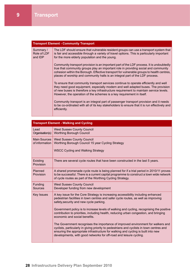|                                     | <b>Transport Element - Community Transport</b>                                                                                                                                                                                                                                                                                                                |
|-------------------------------------|---------------------------------------------------------------------------------------------------------------------------------------------------------------------------------------------------------------------------------------------------------------------------------------------------------------------------------------------------------------|
| Summary /<br>Role of LDF<br>and IDP | The LDF should ensure that vulnerable resident groups can use a transport system that<br>is fair and accessible through a variety of travel options. This is particularly important<br>for the more elderly population and the young.                                                                                                                         |
|                                     | Community transport provision is an important part of the LDF process. It is undoubtedly<br>true that community groups play an important role in providing social and community<br>cohesion within the Borough. Effective transport for vulnerable groups to health centres,<br>places of worship and community halls is an integral part of the LDF process. |
|                                     | To ensure that community transport services continue to operate efficiently and well<br>they need good equipment, especially modern and well adapted buses. The provision<br>of new buses is therefore a key infrastructure requirement to maintain service levels.<br>However, the operation of the schemes is a key requirement in itself.                  |
|                                     | Community transport is an integral part of passenger transport provision and it needs<br>to be co-ordinated with all of its key stakeholders to ensure that it is run effectively and<br>efficiently.                                                                                                                                                         |

|                                       | <b>Transport Element - Walking and Cycling</b>                                                                                                                                                                                                                                                                                           |
|---------------------------------------|------------------------------------------------------------------------------------------------------------------------------------------------------------------------------------------------------------------------------------------------------------------------------------------------------------------------------------------|
| Lead<br>Organisation(s)               | <b>West Sussex County Council</b><br><b>Worthing Borough Council</b>                                                                                                                                                                                                                                                                     |
| <b>Main Sources</b><br>of information | <b>West Sussex County Council</b><br>Worthing Borough Council 15 year Cycling Strategy                                                                                                                                                                                                                                                   |
|                                       | <b>WSCC Cycling and Walking Strategy</b>                                                                                                                                                                                                                                                                                                 |
| Existing<br>Provision                 | There are several cycle routes that have been constructed in the last 5 years.                                                                                                                                                                                                                                                           |
| Planned<br>Provision                  | A shared promenade cycle route is being planned for if a trial period in 2010/11 proves<br>to be successful. There is a current capital programme to construct a town wide network<br>of cycle routes as part of the Worthing Cycling Strategy.                                                                                          |
| Funding<br><b>Sources</b>             | <b>West Sussex County Council</b><br>Developer funding from new development                                                                                                                                                                                                                                                              |
| <b>Key Issues</b>                     | A key issue for the Core Strategy is increasing accessibility including enhanced<br>pedestrian facilities in town centres and safer cycle routes, as well as improving<br>safety, security and new cycle parking.                                                                                                                        |
|                                       | Government policy is to increase levels of walking and cycling, recognising the positive<br>contribution to priorities, including health, reducing urban congestion, and bringing<br>economic and social benefits.                                                                                                                       |
|                                       | The Government recognises the importance of improved environment for walkers and<br>cyclists, particularly in giving priority to pedestrians and cyclists in town centres and<br>ensuring the appropriate infrastructure for walking and cycling is built into new<br>developments, with good networks for off-road and leisure cycling. |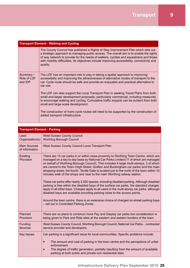| <b>Transport Element - Walking and Cycling</b> |                                                                                                                                                                                                                                                                                                                                                                                   |
|------------------------------------------------|-----------------------------------------------------------------------------------------------------------------------------------------------------------------------------------------------------------------------------------------------------------------------------------------------------------------------------------------------------------------------------------|
|                                                | The County Council has published a Rights of Way Improvement Plan which sets out<br>a strategic approach to managing public access. The overall aim is to enable the rights<br>of way network to provide for the needs of walkers, cyclists and equestrians and those<br>with mobility difficulties. Its objectives include improving accessibility, connectivity and<br>quality. |
| Summary /<br>Role of LDF<br>and IDP            | The LDF has an important role to play in taking a spatial approach to improving<br>accessibility and improving the attractiveness of alternative modes of transport to the<br>car. Cycle route should be safe and provide an enjoyable and practical alternative to<br>car use.                                                                                                   |
|                                                | The LDF can also support the Local Transport Plan in seeking Travel Plans from both<br>small and larger development proposals, particularly commercial, including measures<br>to encourage walking and cycling. Cumulative traffic impacts can be evident from both<br>small and large scale development.                                                                         |
|                                                | The construction of more cycle routes will need to be supported by the construction of<br>added transport infrastructure.                                                                                                                                                                                                                                                         |

| <b>Transport Element - Parking</b>    |                                                                                                                                                                                                                                                                                                                                                                                                                                                                                                                                                                                                                                                                                                                                                                                                                                                                                                                                                                                                                                                     |
|---------------------------------------|-----------------------------------------------------------------------------------------------------------------------------------------------------------------------------------------------------------------------------------------------------------------------------------------------------------------------------------------------------------------------------------------------------------------------------------------------------------------------------------------------------------------------------------------------------------------------------------------------------------------------------------------------------------------------------------------------------------------------------------------------------------------------------------------------------------------------------------------------------------------------------------------------------------------------------------------------------------------------------------------------------------------------------------------------------|
| Lead<br>Organisation(s)               | <b>West Sussex County Council</b><br><b>Worthing Borough Council</b>                                                                                                                                                                                                                                                                                                                                                                                                                                                                                                                                                                                                                                                                                                                                                                                                                                                                                                                                                                                |
| <b>Main Sources</b><br>of information | West Sussex County Council Local Transport Plan                                                                                                                                                                                                                                                                                                                                                                                                                                                                                                                                                                                                                                                                                                                                                                                                                                                                                                                                                                                                     |
| Existing<br>Provision                 | There are 13 car parks in or within close proximity to Worthing Town Centre, which are<br>managed on a day to day basis by National Car Parks Limited (11 of which are managed<br>on behalf of Worthing Borough Council). This includes 4 large multi-storeys, 3 of which<br>are central to the Town (High Street, Grafton and Buckingham car parks) and the main<br>shopping areas; the fourth, Teville Gate is located just to the north of the town within 10<br>minutes walk of the shops and near to the main Worthing railway station.<br>These car parks offer nearly 2,500 spaces, including disabled parking. Although disabled<br>parking is free within the disabled bays of the surface car parks, the standard charges<br>apply in all other bays. Charges apply to all users in the multi-storey car parks, although<br>disabled bays are available providing parking close to the access points.<br>Around the town centre, there is an extensive choice of charged on-street parking bays<br>- set out in Controlled Parking Zones. |
| Planned<br>Provision                  | There are no plans to construct more Pay and Display car parks but consideration is<br>being given to Park and Ride sites at the western and eastern borders of the town.                                                                                                                                                                                                                                                                                                                                                                                                                                                                                                                                                                                                                                                                                                                                                                                                                                                                           |
| Funding<br><b>Sources</b>             | West Sussex County Council, Worthing Borough Council, National Car Parks - contracted<br>service provider and developers.                                                                                                                                                                                                                                                                                                                                                                                                                                                                                                                                                                                                                                                                                                                                                                                                                                                                                                                           |
| Key Issues                            | Car parking is a significant issue for local communities. Specific problems include:<br>The amount and cost of parking in the town centre and the perceptions of unfair<br>$\bullet$<br>enforcement.<br>The degree of traffic generation, partially resulting from the amount of available<br>parking at both public and private non residential sites.                                                                                                                                                                                                                                                                                                                                                                                                                                                                                                                                                                                                                                                                                             |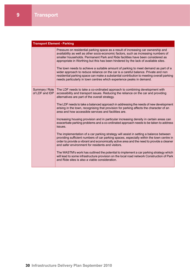| <b>Transport Element - Parking</b> |                                                                                                                                                                                                                                                                                                                                                                                                                                                                                                                                                                                                                                                                                                                                                                                                                                                                                                                                                                                                                                                                                                                                                                                                                                            |
|------------------------------------|--------------------------------------------------------------------------------------------------------------------------------------------------------------------------------------------------------------------------------------------------------------------------------------------------------------------------------------------------------------------------------------------------------------------------------------------------------------------------------------------------------------------------------------------------------------------------------------------------------------------------------------------------------------------------------------------------------------------------------------------------------------------------------------------------------------------------------------------------------------------------------------------------------------------------------------------------------------------------------------------------------------------------------------------------------------------------------------------------------------------------------------------------------------------------------------------------------------------------------------------|
|                                    | Pressure on residential parking space as a result of increasing car ownership and<br>availability as well as other socio-economic factors, such as increasing numbers of<br>smaller households. Permanent Park and Ride facilities have been considered as<br>appropriate in Worthing but this has been hindered by the lack of available sites.<br>The town needs to achieve a suitable amount of parking to meet demand as part of a<br>wider approach to reduce reliance on the car is a careful balance. Private and non<br>residential parking space can make a substantial contribution to meeting overall parking<br>needs particularly in town centres which experience peaks in demand.                                                                                                                                                                                                                                                                                                                                                                                                                                                                                                                                           |
| Summary / Role<br>of LDF and IDP   | The LDF needs to take a co-ordinated approach to combining development with<br>accessibility and transport issues. Reducing the reliance on the car and providing<br>alternatives are part of the overall strategy.<br>The LDF needs to take a balanced approach in addressing the needs of new development<br>arising in the town, recognising that provision for parking affects the character of an<br>area and how accessible services and facilities are.<br>Increasing housing provision and in particular increasing density in certain areas can<br>exacerbate parking problems and a co-ordinated approach needs to be taken to address<br>issues.<br>The implementation of a car parking strategy will assist in setting a balance between<br>providing sufficient numbers of car parking spaces, especially within the town centre in<br>order to provide a vibrant and economically active area and the need to provide a cleaner<br>and safer environment for residents and visitors.<br>The WASTM's work has outlined the potential to implement a car parking strategy which<br>will lead to some infrastructure provision on the local road network Construction of Park<br>and Ride sites is also a viable consideration. |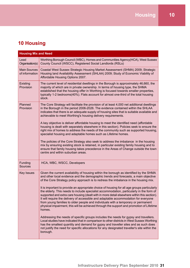## <span id="page-32-0"></span>**10 Housing**

|                                       | <b>Housing Mix and Need</b>                                                                                                                                                                                                                                                                                                                                                                                                                                                                                                                                              |  |  |
|---------------------------------------|--------------------------------------------------------------------------------------------------------------------------------------------------------------------------------------------------------------------------------------------------------------------------------------------------------------------------------------------------------------------------------------------------------------------------------------------------------------------------------------------------------------------------------------------------------------------------|--|--|
| Lead<br>Organisation(s)               | Worthing Borough Council (WBC), Homes and Communities Agency(HCA), West Sussex<br>County Council (WSCC), Registered Social Landlords (RSLs)                                                                                                                                                                                                                                                                                                                                                                                                                              |  |  |
| <b>Main Sources</b><br>of information | Coastal West Sussex Strategic Housing Market Assessment (SHMA) 2009; Strategic<br>Housing land Availability Assessment (SHLAA) 2009; Study of Economic Viability of<br>Affordable Housing Options 2007.                                                                                                                                                                                                                                                                                                                                                                  |  |  |
| Existing<br>Provision                 | The current level of residential dwellings in the Borough is approximately 46,660, the<br>majority of which are in private ownership. In terms of housing type, the SHMA<br>established that the housing offer in Worthing is focused towards smaller properties,<br>typically 1-2 bedrooms(40%). Flats account for almost one-third of the total housing<br>stock.                                                                                                                                                                                                      |  |  |
| Planned<br>Provision                  | The Core Strategy will facilitate the provision of at least 4,000 net additional dwellings<br>in the Borough in the period 2006-2026. The evidence contained within the SHLAA<br>indicates that there is an adequate supply of housing sites that is suitable available and<br>achievable to meet Worthing's housing delivery requirements.                                                                                                                                                                                                                              |  |  |
|                                       | A key objective is deliver affordable housing to meet the identified need (affordable<br>housing is dealt with separately elsewhere in this section). Policies seek to ensure the<br>right mix of homes to address the needs of the community such as supported housing,<br>specialist housing and adaptable homes such as Lifetime homes.                                                                                                                                                                                                                               |  |  |
|                                       | The policies of the Core Strategy also seek to address the imbalance in the housing<br>mix by ensuring existing stock is retained, in particular existing family housing and to<br>ensure that family housing takes precedence in the Areas of Change outside the town<br>centre and within suburban areas.                                                                                                                                                                                                                                                              |  |  |
| Funding<br><b>Sources</b>             | HCA, WBC, WSCC, Developers                                                                                                                                                                                                                                                                                                                                                                                                                                                                                                                                               |  |  |
| Key Issues                            | Given the current availability of housing within the borough as identified by the SHMA<br>and other local evidence and the demographic trends and forecasts, a main objective<br>of the Core Strategy policy approach is to redress the imbalance in the housing mix.                                                                                                                                                                                                                                                                                                    |  |  |
|                                       | It is important to provide an appropriate choice of housing for all age groups particularly<br>the elderly. This needs to include specialist accommodation, particularly in the form of<br>supported and extra care housing (dealt with in more detail elsewhere within this section).<br>It will require the delivery of accessible and adaptable accommodation for everyone<br>from young families to older people and individuals with a temporary or permanent<br>physical impairment, this will be achieved through the support and promotion of Lifetime<br>homes. |  |  |
|                                       | Addressing the needs of specific groups includes the needs for gypsy and travellers.<br>Local studies have indicated that in comparison to other districts in West Sussex Worthing<br>has the smallest quantity and demand for gypsy and traveller sites and as such does<br>not justify the need for specific allocations for any designated traveller's site within the<br>borough.                                                                                                                                                                                    |  |  |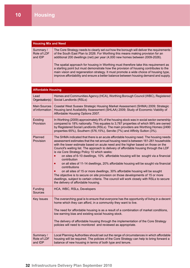| <b>Housing Mix and Need</b>         |                                                                                                                                                                                                                                                                                                                                                                                                                                                                                                                                                                                                                               |
|-------------------------------------|-------------------------------------------------------------------------------------------------------------------------------------------------------------------------------------------------------------------------------------------------------------------------------------------------------------------------------------------------------------------------------------------------------------------------------------------------------------------------------------------------------------------------------------------------------------------------------------------------------------------------------|
| Summary /<br>Role of LDF<br>and IDP | The Core Strategy needs to clearly set out how the borough will deliver the requirements<br>of the South East Plan to 2026. For Worthing this means making provision for an<br>additional 200 dwellings (net) per year (4,000 new homes between 2009-2026).<br>The spatial approach for housing in Worthing must therefore take this requirement as<br>a starting point but must demonstrate how the provision of housing contributes to the<br>main vision and regeneration strategy. It must promote a wide choice of housing type,<br>improve affordability and ensure a better balance between housing demand and supply. |

| <b>Affordable Housing</b>             |                                                                                                                                                                                                                                                                                                                                                                                                                                                                                                                                                                                                                                                                                                                                                                                                                                                                                                                                            |  |
|---------------------------------------|--------------------------------------------------------------------------------------------------------------------------------------------------------------------------------------------------------------------------------------------------------------------------------------------------------------------------------------------------------------------------------------------------------------------------------------------------------------------------------------------------------------------------------------------------------------------------------------------------------------------------------------------------------------------------------------------------------------------------------------------------------------------------------------------------------------------------------------------------------------------------------------------------------------------------------------------|--|
| Lead<br>Organisation(s)               | Homes and Communities Agency (HCA), Worthing Borough Council (WBC), Registered<br>Social Landlords (RSLs)                                                                                                                                                                                                                                                                                                                                                                                                                                                                                                                                                                                                                                                                                                                                                                                                                                  |  |
| <b>Main Sources</b><br>of information | Coastal West Sussex Strategic Housing Market Assessment (SHMA) 2009; Strategic<br>Housing land Availability Assessment (SHLAA) 2009; Study of Economic Viability of<br>Affordable Housing Options 2007.                                                                                                                                                                                                                                                                                                                                                                                                                                                                                                                                                                                                                                                                                                                                    |  |
| Existing<br>Provision                 | In Worthing (2009) approximately 8% of the housing stock was in social sector ownership<br>compared to 18% nationally. This equates to 3,787 properties of which 99% are owned<br>by Registered Social Landlords (RSLs). The main providers are Worthing Homes (2490<br>properties 65%), Southern (576,15%), Servite (7%) and Affinity Sutton (3%).                                                                                                                                                                                                                                                                                                                                                                                                                                                                                                                                                                                        |  |
| Planned<br>Provision                  | The SHMA indicated that there is an acute affordable housing need. The housing needs<br>assessment estimates that the net annual housing need is between 161-261 households<br>with the lower estimate based on acute need and the higher based on those on the<br>Council's waiting list. The approach to delivery of affordable housing through the LDF<br>is via Core Strategy Policy 10 which seeks:<br>on sites of 6-10 dwellings, 10% affordable housing will be sought via a financial<br>contribution<br>on all sites of 11-14 dwellings, 20% affordable housing will be sought via financial<br>$\bullet$<br>contributions<br>on all sites of 15 or more dwellings, 30% affordable housing will be sought<br>The objective is to secure on site provision on those developments of 15 or more<br>dwellings, subject to certain criteria. The council will work closely with RSLs to secure<br>the delivery of affordable housing. |  |
| Funding<br>Sources                    | HCA, WBC, RSLs, Developers                                                                                                                                                                                                                                                                                                                                                                                                                                                                                                                                                                                                                                                                                                                                                                                                                                                                                                                 |  |
| <b>Key Issues</b>                     | The overarching goal is to ensure that everyone has the opportunity of living in a decent<br>home which they can afford, in a community they want to live.<br>The need for affordable housing is as a result of a combination of market conditions,<br>low earning bias and existing social housing stock.<br>The delivery of affordable housing through the implementation of the Core Strategy<br>policies will need to monitored and reviewed as appropriate.                                                                                                                                                                                                                                                                                                                                                                                                                                                                           |  |
| Summary /<br>Role of LDF<br>and IDP   | Local Planning Authorities should set out the range of circumstances in which affordable<br>housing will be required. The policies of the Core Strategy can help to bring forward a<br>balance of new housing in terms of both type and tenure.                                                                                                                                                                                                                                                                                                                                                                                                                                                                                                                                                                                                                                                                                            |  |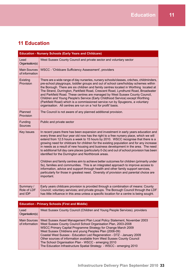### <span id="page-34-0"></span>**11 Education**

| <b>Education - Nursery Schools (Early Years and Childcare)</b> |                                                                                                                                                                                                                                                                                                                                                                                                                                                                                                                                                                                                                                                                                                                                                                                                                                                                                                                                                                                             |  |
|----------------------------------------------------------------|---------------------------------------------------------------------------------------------------------------------------------------------------------------------------------------------------------------------------------------------------------------------------------------------------------------------------------------------------------------------------------------------------------------------------------------------------------------------------------------------------------------------------------------------------------------------------------------------------------------------------------------------------------------------------------------------------------------------------------------------------------------------------------------------------------------------------------------------------------------------------------------------------------------------------------------------------------------------------------------------|--|
| Lead<br>Organisation(s)                                        | West Sussex County Council and private sector and voluntary sector                                                                                                                                                                                                                                                                                                                                                                                                                                                                                                                                                                                                                                                                                                                                                                                                                                                                                                                          |  |
| <b>Main Sources</b><br>of information                          | WSCC - 'Childcare Sufficiency Assessment', providers                                                                                                                                                                                                                                                                                                                                                                                                                                                                                                                                                                                                                                                                                                                                                                                                                                                                                                                                        |  |
| Existing<br>Provision                                          | There are a wide range of day nurseries, nursery schools/classes, crèches, childminders,<br>pre-school playgroups, toddler groups and out of school care/holiday schemes within<br>the Borough. There are six children and family centres located in Worthing located at<br>The Strand, Durrington, Parkfield Road, Crescent Road, Lyndhurst Road, Broadwater<br>and Parkfield Road. These centres are managed by West Sussex County Council,<br>Children and Young People's Service (Early Childhood Service) except Worthing<br>(Parkfield Road) which is a commissioned service run by Spugeons, a voluntary<br>organisation. All centres are run on a 'not for profit' basis.                                                                                                                                                                                                                                                                                                           |  |
| Planned<br>Provision                                           | The Council is not aware of any planned additional provision.                                                                                                                                                                                                                                                                                                                                                                                                                                                                                                                                                                                                                                                                                                                                                                                                                                                                                                                               |  |
| Funding<br><b>Sources</b>                                      | Public and private sector                                                                                                                                                                                                                                                                                                                                                                                                                                                                                                                                                                                                                                                                                                                                                                                                                                                                                                                                                                   |  |
| <b>Key Issues</b>                                              | In recent years there has been expansion and investment in early years education and<br>every three and four year old now has the right to a free nursery place, which we will<br>extend from 12.5 hours a week to 15 hours by 2010. WSCC recognise that there is a<br>growing need for childcare for children for the existing population and for any increase<br>in needs as a result of new housing and business development in the area. The need<br>to additional full day care places (particularly 0-2s) and out of school provision has been<br>identified for the Durrington and Northbrook areas.<br>Children and family centres aim to achieve better outcomes for children (primarily under<br>5s), families and communities. This is an integrated approach to improve access to<br>information, advice and support through health and other family support services,<br>particularly for those in greatest need. Diversity of provision and parental choice are<br>important. |  |
|                                                                |                                                                                                                                                                                                                                                                                                                                                                                                                                                                                                                                                                                                                                                                                                                                                                                                                                                                                                                                                                                             |  |
| Summary /<br>Role of LDF<br>and IDP                            | Early years childcare provision is provided through a combination of means: County<br>Council; voluntary services; and private groups. The Borough Council through the LDF<br>has little influence in this area unless a specific location for a centre is being sought.                                                                                                                                                                                                                                                                                                                                                                                                                                                                                                                                                                                                                                                                                                                    |  |

#### **Education - Primary Schools (First and Middle)**

| Lead<br>Organisation(s)        | West Sussex County Council (Children and Young People Services). providers                                                                                                                                                                                                                                                                                                                                                                                                                                                                             |
|--------------------------------|--------------------------------------------------------------------------------------------------------------------------------------------------------------------------------------------------------------------------------------------------------------------------------------------------------------------------------------------------------------------------------------------------------------------------------------------------------------------------------------------------------------------------------------------------------|
| Main Sources<br>of information | West Sussex Asset Management Plan Local Policy Statement, November 2003<br>West Sussex County Council School Organisation Plan, 2003-2008<br>WSCC Primary Capital Programme Strategy for Change March 2009<br>West Sussex Childrens and young Peoples Plan (2006-09)<br>Coastal West Sussex - Education Led Regeneration - DTZ - January 2009<br>Other sources of information available from West Sussex County Council<br>The School Organisation Plan - WSCC - emerging 2010<br>The Education Infrastructure Spatial Strategy - WSCC - emerging 2010 |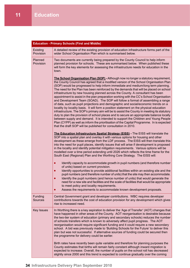| <b>Education - Primary Schools (First and Middle)</b> |                                                                                                                                                                                                                                                                                                                                                                                                                                                                                                                                                                                                                                                                                                                                                                                                                                                                                                                                                                                                                                                                                                                                                                                                                                                               |
|-------------------------------------------------------|---------------------------------------------------------------------------------------------------------------------------------------------------------------------------------------------------------------------------------------------------------------------------------------------------------------------------------------------------------------------------------------------------------------------------------------------------------------------------------------------------------------------------------------------------------------------------------------------------------------------------------------------------------------------------------------------------------------------------------------------------------------------------------------------------------------------------------------------------------------------------------------------------------------------------------------------------------------------------------------------------------------------------------------------------------------------------------------------------------------------------------------------------------------------------------------------------------------------------------------------------------------|
| Existing<br>Provision                                 | A detailed review of the existing provision of education infrastructure forms part of the<br>wider School Organisation Plan which is summarised below.                                                                                                                                                                                                                                                                                                                                                                                                                                                                                                                                                                                                                                                                                                                                                                                                                                                                                                                                                                                                                                                                                                        |
| Planned<br>Provision                                  | Two documents are currently being prepared by the County Council to help inform<br>planned provision for schools. These are summarised below. When published these<br>will form the key elements for assessing the infrastructure needs for education in the<br>town.                                                                                                                                                                                                                                                                                                                                                                                                                                                                                                                                                                                                                                                                                                                                                                                                                                                                                                                                                                                         |
|                                                       | The School Organisation Plan (SOP) - Although now no longer a statutory requirement,<br>the County Council has agreed that a modified version of the School Organisation Plan<br>(SOP) would be progressed to help inform immediate and medium/long term planning.<br>The need for the Plan has been reinforced by the demands that will be placed on school<br>infrastructure by new housing planned across the County. A consultant has been<br>appointment to assist in the plan preparation working with the CC's School Organisation<br>and Development Team (SOAD). The SOP will follow a format of assembling a range<br>of data, such as pupil projections and demographic and social/economic trends on a<br>locality by locality basis. It will form a position statement on the physical education<br>infrastructure. The SOP's primary aim will be to assist the County in meeting its statutory<br>duty to plan the provision of school places and to secure an appropriate balance locally<br>between supply and demand. It is intended to support the Children and Young People<br>Plan (CYPP) as well as inform the prioritisation of the Capital Programme. In is expected<br>that the draft SOP will be published for consultation in 2010. |
|                                                       | The Education Infrastructure Spatial Strategy (EISS) - The EISS will translate the<br>SOP into a spatial plan and overlay it with various options for housing and other<br>development as these emerge from the LDF process. The EISS will then translate this<br>into the need for pupil places, identify issues that will arise if development is proposed<br>in the locality and identify potential mitigation requirements. Various options will be<br>modelled over a time period extending until 2026 which reflects the time frame for the<br>South East (Regional) Plan and the Worthing Core Strategy. The EISS will:                                                                                                                                                                                                                                                                                                                                                                                                                                                                                                                                                                                                                                |
|                                                       | Identify capacity to accommodate growth in pupil numbers (and therefore number<br>$\bullet$<br>of units) based on current provision.<br>Identify opportunities to provide additional facilities within an existing site and the<br>$\bullet$<br>pupil numbers (and therefore number of units) that the site may then accommodate.<br>Identify the pupil numbers (and hence number of units) that would generate the<br>$\bullet$<br>need for a new site and facilities and the scale of facilities that would be appropriate<br>to meet policy and locality requirements.<br>Assess the requirements to accommodate known development proposals.                                                                                                                                                                                                                                                                                                                                                                                                                                                                                                                                                                                                              |
| <b>Funding</b><br><b>Sources</b>                      | Central Government grant and developer contributions. WBC requires developer<br>contributions towards the cost of education provision for any development which gives<br>rise to increased need.                                                                                                                                                                                                                                                                                                                                                                                                                                                                                                                                                                                                                                                                                                                                                                                                                                                                                                                                                                                                                                                              |
| Key Issues                                            | In Worthing there is a key aspiration to deliver the 'Age of Transfer' (AOT) changes that<br>have happened in other areas of the County. AOT reorganisation is desirable because<br>the two-tier system of education (primary and secondary schools) reduces the number<br>of schools transfers which is known to adversely affect pupil progress. The AOT<br>reorganisation would require significant funding and it could require a new secondary<br>school. A bid was previously made to 'Building Schools for the Future' to deliver this<br>plan but was not successful. If alternative sources of funding could be secured then<br>the programme for delivery could be earlier.<br>Birth rates have recently been quite variable and therefore for planning purposes the<br>County estimates that births will remain fairly constant although inward migration is                                                                                                                                                                                                                                                                                                                                                                                       |
|                                                       | expected to increase. Overall, the number of pupils on the school roll has decreased<br>slightly since 2000 and this trend is expected to continue gradually over the coming                                                                                                                                                                                                                                                                                                                                                                                                                                                                                                                                                                                                                                                                                                                                                                                                                                                                                                                                                                                                                                                                                  |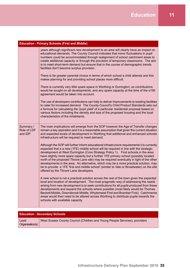| <b>Education - Primary Schools (First and Middle)</b> |                                                                                                                                                                                                                                                                                                                                                                                                                                                                                                                                                                                                                                                                                                   |  |
|-------------------------------------------------------|---------------------------------------------------------------------------------------------------------------------------------------------------------------------------------------------------------------------------------------------------------------------------------------------------------------------------------------------------------------------------------------------------------------------------------------------------------------------------------------------------------------------------------------------------------------------------------------------------------------------------------------------------------------------------------------------------|--|
|                                                       | years although significant new development to an area will clearly have an impact on<br>educational demands. The County Council indicates that minor fluctuations in pupil<br>numbers could be accommodated through realignment of school catchment areas to<br>create additional capacity or through the provision of temporary classrooms. The aim<br>is to meet short-term demand but ensure that in the course of demographic trends<br>facilities don't become surplus provision.                                                                                                                                                                                                            |  |
|                                                       | There is far greater parental choice in terms of which school a child attends and this<br>makes planning for and providing school places more difficult.                                                                                                                                                                                                                                                                                                                                                                                                                                                                                                                                          |  |
|                                                       | There is currently very little spare space in Worthing or Durrington, so contributions<br>would be sought on all developments, and any spare capacity at the time of the s106<br>agreement would be taken into account.                                                                                                                                                                                                                                                                                                                                                                                                                                                                           |  |
|                                                       | The use of developers contributions can help to deliver improvements to existing facilities<br>to cater for increased demand. The County Council's Child Product Standards sets out<br>a formula for calculating the 'pupil yield' of a particular residential proposal based on<br>various factors including the density and size of the proposed housing and the local<br>characteristics of the inhabitants.                                                                                                                                                                                                                                                                                   |  |
| Summary /<br>Role of LDF<br>and IDP                   | The main implications will emerge from the SOP however the Age of Transfer changes<br>remain a key aspiration and it is a reasonable assumption that given the current situation<br>and expected levels of development in Worthing that additional and enhanced schools<br>infrastructure will be required to meet demand.                                                                                                                                                                                                                                                                                                                                                                        |  |
|                                                       | Although the SOP will further inform educational infrastructure requirements it is currently<br>expected that a a new (1FE) middle school will be required in line with the strategic<br>development at West Durrington (Core Strategy Policy 1). First schools in the area<br>have slightly more spare capacity but a further 1FE primary school (possibly located<br>north of the proposed Titnore Lane site) may be required eventually in light of the other<br>developments in the area. An alternative, which may be a more practical solution, may<br>be to provide a 1FE 'first and middle school' (similar to Vale or Broadwater) on the site<br>offered by the Titnore Lane developers. |  |
|                                                       | A new school is not a practical solution across the rest of the town given the expected<br>level and location of development. The most pragmatic way of addressing the needs<br>arising from new development is to seek contributions for all pupils produced from these<br>developments and expand the schools where possible (most likely would be Thomas<br>Beckett Middle, Downsbrook Middle, Whytemead First and Bramber First). Catchments<br>areas would then need to be altered across Worthing to distribute pupils towards the<br>schools with available capacity.                                                                                                                      |  |

| <b>Education - Secondary Schools</b> |                                                                            |
|--------------------------------------|----------------------------------------------------------------------------|
| Lead<br>Organisation(s)              | West Sussex County Council (Children and Young People Services), providers |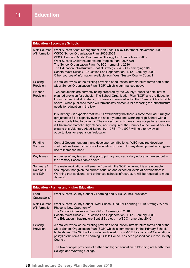|                                       | <b>Education - Secondary Schools</b>                                                                                                                                                                                                                                                                                                                                                                                                                                                                                                                                                                                                                                                                                                                                                                                                                                                                     |
|---------------------------------------|----------------------------------------------------------------------------------------------------------------------------------------------------------------------------------------------------------------------------------------------------------------------------------------------------------------------------------------------------------------------------------------------------------------------------------------------------------------------------------------------------------------------------------------------------------------------------------------------------------------------------------------------------------------------------------------------------------------------------------------------------------------------------------------------------------------------------------------------------------------------------------------------------------|
| <b>Main Sources</b><br>of information | West Sussex Asset Management Plan Local Policy Statement, November 2003<br>WSCC School Organisation Plan, 2003-2008<br>WSCC Primary Capital Programme Strategy for Change March 2009<br>West Sussex Childrens and young Peoples Plan (2006-09)<br>The School Organisation Plan - WSCC - emerging 2010<br>The Education Infrastructure Spatial Strategy - WSCC - emerging 2010<br>Coastal West Sussex - Education Led Regeneration - DTZ - January 2009<br>Other sources of information available from West Sussex County Council                                                                                                                                                                                                                                                                                                                                                                         |
| Existing<br>Provision                 | A detailed review of the existing provision of education infrastructure forms part of the<br>wider School Organisation Plan (SOP) which is summarised above.                                                                                                                                                                                                                                                                                                                                                                                                                                                                                                                                                                                                                                                                                                                                             |
| Planned<br>Provision                  | Two documents are currently being prepared by the County Council to help inform<br>planned provision for schools. The School Organisation Plan (SOP) and the Education<br>Infrastructure Spatial Strategy (EISS) are summarised within the 'Primary Schools' table<br>above. When published these will form the key elements for assessing the infrastructure<br>needs for education in the town.<br>In summary, it is expected that the SOP will identify that there is some room at Durrington<br>(projected to fill to capacity over the next 4 years) and Worthing High School with all<br>other schools filled to capacity. The only school which may have scope for expansion<br>is Chatsmore Catholic High School, and if required, the County Council would seek to<br>expand this Voluntary Aided School by 1-2FE. The SOP will help to review all<br>opportunities for expansion / relocation. |
| Funding<br><b>Sources</b>             | Central Government grant and developer contributions. WBC requires developer<br>contributions towards the cost of education provision for any development which gives<br>rise to increased need.                                                                                                                                                                                                                                                                                                                                                                                                                                                                                                                                                                                                                                                                                                         |
| <b>Key Issues</b>                     | A number of key issues that apply to primary and secondary education are set out in<br>the 'Primary Schools' table above.                                                                                                                                                                                                                                                                                                                                                                                                                                                                                                                                                                                                                                                                                                                                                                                |
| Summary /<br>Role of LDF<br>and IDP   | The main implications will emerge from with the SOP however, it is a reasonable<br>assumption that given the current situation and expected levels of development in<br>Worthing that additional and enhanced schools infrastructure will be required to meet<br>demand.                                                                                                                                                                                                                                                                                                                                                                                                                                                                                                                                                                                                                                 |

| <b>Education - Further and Higher Education</b> |                                                                                                                                                                                                                                                                                                                                                                                                                                                                                                          |
|-------------------------------------------------|----------------------------------------------------------------------------------------------------------------------------------------------------------------------------------------------------------------------------------------------------------------------------------------------------------------------------------------------------------------------------------------------------------------------------------------------------------------------------------------------------------|
| Lead<br>Organisation(s)                         | West Sussex County Council / Learning and Skills Council, providers                                                                                                                                                                                                                                                                                                                                                                                                                                      |
| Main Sources<br>of information                  | West Sussex County Council-West Sussex Grid For Learning 14-19 Strategy "A new<br>Phase, a New Opportunity"<br>The School Organisation Plan - WSCC - emerging 2010<br>Coastal West Sussex - Education Led Regeneration - DTZ - January 2009<br>The Education Infrastructure Spatial Strategy - WSCC - emerging 2010                                                                                                                                                                                      |
| Existing<br>Provision                           | A detailed review of the existing provision of education infrastructure forms part of the<br>wider School Organisation Plan (SOP) which is summarised in the 'Primary Schools'<br>table above. The SOP will consider and develop post-16 Education (14-19 educational<br>policy) as the remit of the Learning & Skills Council has been passed back to the County<br>Council.<br>The two principal providers of further and higher education in Worthing are Northbrook<br>College and Worthing College: |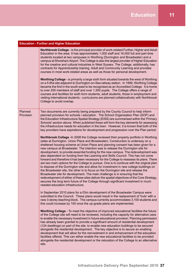|                      | <b>Education - Further and Higher Education</b>                                                                                                                                                                                                                                                                                                                                                                                                                                                                                                                                                                                                                                                                                                                                                                                                                                                                                                                                                                                                                                                                                                                                                                                                                                                                                                                                                                                                                                                                                                                                                                                                                                                                                                                                                                                                                                                                                                                                                                                                                                                                                                                                                                                                                                                                                                                                                                                                                                                                                                                                                                                                                                                                                                                                                                                                                                                                                                    |  |
|----------------------|----------------------------------------------------------------------------------------------------------------------------------------------------------------------------------------------------------------------------------------------------------------------------------------------------------------------------------------------------------------------------------------------------------------------------------------------------------------------------------------------------------------------------------------------------------------------------------------------------------------------------------------------------------------------------------------------------------------------------------------------------------------------------------------------------------------------------------------------------------------------------------------------------------------------------------------------------------------------------------------------------------------------------------------------------------------------------------------------------------------------------------------------------------------------------------------------------------------------------------------------------------------------------------------------------------------------------------------------------------------------------------------------------------------------------------------------------------------------------------------------------------------------------------------------------------------------------------------------------------------------------------------------------------------------------------------------------------------------------------------------------------------------------------------------------------------------------------------------------------------------------------------------------------------------------------------------------------------------------------------------------------------------------------------------------------------------------------------------------------------------------------------------------------------------------------------------------------------------------------------------------------------------------------------------------------------------------------------------------------------------------------------------------------------------------------------------------------------------------------------------------------------------------------------------------------------------------------------------------------------------------------------------------------------------------------------------------------------------------------------------------------------------------------------------------------------------------------------------------------------------------------------------------------------------------------------------------|--|
|                      | Northbrook College - is the principal provider of work-related Further, Higher and Adult<br>Education in the area. It has approximately 1,000 staff and 16,000 full and part time<br>students located at two campuses in Worthing (Durrington and Broadwater) and a<br>campus at Shoreham Airport. The College is also the largest provider of Higher Education<br>for the creative and cultural industries in West Sussex. The College, additionally, has<br>contracts for Apprenticeship training, Adult and Community Learning and provides<br>courses in most work-related areas as well as those for personal development.<br><b>Worthing College</b> - is primarily a large sixth form situated towards the west of Worthing<br>on a 5.6ha site adjacent to Durrington-on-Sea railway station. In 1999, Worthing College<br>became the first in the south-east to be recognised as an Accredited College. It is home<br>to over 200 members of staff and over 1,500 pupils. The College offers a range of<br>courses and facilities for sixth form students, adult students, those in employment and<br>visiting international students - curriculums are planned collaboratively with Northbrook<br>College to avoid overlap.                                                                                                                                                                                                                                                                                                                                                                                                                                                                                                                                                                                                                                                                                                                                                                                                                                                                                                                                                                                                                                                                                                                                                                                                                                                                                                                                                                                                                                                                                                                                                                                                                                                                                                               |  |
| Planned<br>Provision | Two documents are currently being prepared by the County Council to help inform<br>planned provision for schools / education. The School Organisation Plan (SOP) and<br>the Education Infrastructure Spatial Strategy (EISS) are summarised within the 'Primary<br>Schools' section above. When published these will form the key elements for assessing<br>the infrastructure needs for education in the town. However, it is known that both of the<br>key providers have aspirations for development and progression over the Plan period:<br>Northbrook College - In 2008 the College reviewed their property portfolio in Worthing<br>(sites at Durrington, Union Place and Broadwater). Construction is underway on a<br>sheltered housing scheme at Union Place and planning consent has been given for a<br>new campus at Broadwater. The intention was to release the Durrington site for<br>development, to provide essential funding for the new campus. The redevelopment was<br>also dependent on funding from the Learning and Skills Council. This has not come<br>forward and therefore it has been necessary for the College to reassess its plans. There<br>are two main options for the College to pursue. One is to continue with the original plan<br>to dispose of the Durrington site and allow for investment in new college buildings on<br>the Broadwater site, the other is to focus on the Durrington site and release the<br>Broadwater site for development. The main challenge is in ensuring that the<br>redevelopment of either of these sites deliver the spatial objectives of the Core Strategy,<br>secures the long term future of the College through significant investment in much<br>needed education infrastructure.<br>In September 2010 plans for a £5m development of the Broadwater Campus were<br>submitted to the Council. These plans would result in the replacement of 'huts' with a<br>new 3-storey teaching block. The campus currently accommodates 3,100 students and<br>this could increase by 100 once the up-grade plans are implemented.<br>Worthing College - To meet the objective of improved educational facilities the future<br>of the College site will need to be reviewed, including the capacity for alternative uses<br>to enable the necessary investment in future educational provision. Planning permission<br>has already been granted to provide a significant amount of residential development<br>(124 dwellings) on part of the site, to enable new education buildings to be secured<br>alongside the residential development. The key objective is to secure an enabling<br>development that will allow for the reinvestment in and enhancement of the education<br>facilities offered. This can either enable the new educational facilities to be provided<br>alongside the residential development or the relocation of the College to an alternative<br>site. |  |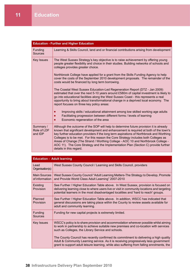| <b>Education - Further and Higher Education</b> |                                                                                                                                                                                                                                                                                                                                                                                                                                                                                                                                                                     |
|-------------------------------------------------|---------------------------------------------------------------------------------------------------------------------------------------------------------------------------------------------------------------------------------------------------------------------------------------------------------------------------------------------------------------------------------------------------------------------------------------------------------------------------------------------------------------------------------------------------------------------|
| Funding<br>Sources                              | Learning & Skills Council, land and or financial contributions arising from development                                                                                                                                                                                                                                                                                                                                                                                                                                                                             |
| Key Issues                                      | The West Sussex Strategy's key objective is to raise achievement by offering young<br>people greater flexibility and choice in their studies. Building networks of schools and<br>colleges provides greater choice.                                                                                                                                                                                                                                                                                                                                                 |
|                                                 | Northbrook College have applied for a grant from the Skills Funding Agency to help<br>cover the costs of the September 2010 development proposals. The remainder of the<br>costs would be financed by long term borrowing.                                                                                                                                                                                                                                                                                                                                          |
|                                                 | The Coastal West Sussex Education-Led Regeneration Report (DTZ - Jan 2009)<br>estimated that over the next 5-10 years around £580m of capital investment is likely to<br>go into educational facilities along the West Sussex Coast - this represents a real<br>opportunity to bring about transformational change in a deprived local economy. The<br>report focuses on three key policy areas:                                                                                                                                                                    |
|                                                 | Improving skills / educational attainment among low skilled working age adults<br>●<br>Facilitating progression between different forms / levels of learning<br>●<br>Economic regeneration of the area                                                                                                                                                                                                                                                                                                                                                              |
| Summary /<br>Role of LDF<br>and IDP             | Although the outcome of the SOP will help to determine future provision it is already<br>known that significant development and enhancement is required at both of the town's<br>key further education providers if the long term aspirations of Northbrook and Worthing<br>Colleges is to be met. For this reason the Core Strategy includes both Colleges as<br>Areas of Change (The Strand / Worthing College - AOC 10 and Northbrook College -<br>AOC 11). The Core Strategy and the Implementation Plan (Section C) provide further<br>details in this regard. |

| <b>Education - Adult learning</b>     |                                                                                                                                                                                                                                                                             |
|---------------------------------------|-----------------------------------------------------------------------------------------------------------------------------------------------------------------------------------------------------------------------------------------------------------------------------|
| Lead<br>Organisation(s)               | West Sussex County Council / Learning and Skills Council, providers                                                                                                                                                                                                         |
| <b>Main Sources</b><br>of information | West Sussex County Council "Adult Learning Matters-The Strategy to Develop, Promote<br>and Provide World Class Adult Learning" 2007-2010                                                                                                                                    |
| Existing<br>Provision                 | See Further / Higher Education Table above. In West Sussex, provision is focused on<br>delivering learning close to where users live or visit in community locations and targeting<br>potential learners in the most disadvantaged localities and 'hard to reach' groups.   |
| Planned<br>Provision                  | See Further / Higher Education Table above. In addition, WSCC has indicated that<br>general discussions are taking place within the County to review assets available for<br>adult and community learning.                                                                  |
| Funding<br><b>Sources</b>             | Funding for new capital projects is extremely limited.                                                                                                                                                                                                                      |
| Key Issues                            | WSCC's policy is to share provision and accommodation wherever possible whilst aiming<br>to work in partnership to achieve suitable new premises and co-location with services<br>such as Colleges, the Library Service and schools.                                        |
|                                       | The County Council has recently confirmed its commitment to delivering a high quality<br>Adult & Community Learning service. As it is receiving progressively less government<br>grant to support adult leisure learning, while also suffering from falling enrolments, the |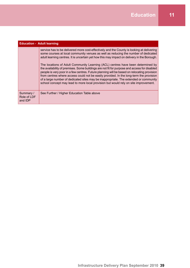| <b>Education - Adult learning</b>   |                                                                                                                                                                                                                                                                                                                                                                                                                                                                                                                                                                                                                                                                                                                                                                                                                                           |
|-------------------------------------|-------------------------------------------------------------------------------------------------------------------------------------------------------------------------------------------------------------------------------------------------------------------------------------------------------------------------------------------------------------------------------------------------------------------------------------------------------------------------------------------------------------------------------------------------------------------------------------------------------------------------------------------------------------------------------------------------------------------------------------------------------------------------------------------------------------------------------------------|
|                                     | service has to be delivered more cost-effectively and the County is looking at delivering<br>some courses at local community venues as well as reducing the number of dedicated<br>adult learning centres. It is uncertain yet how this may impact on delivery in the Borough.<br>The locations of Adult Community Learning (ACL) centres have been determined by<br>the availability of premises. Some buildings are not fit for purpose and access for disabled<br>people is very poor in a few centres. Future planning will be based on relocating provision<br>from centres where access could not be easily provided. In the long-term the provision<br>of a large number of dedicated sites may be inappropriate. The extended or community<br>school concept may lead to more local provision but would rely on site improvement. |
| Summary /<br>Role of LDF<br>and IDP | See Further / Higher Education Table above                                                                                                                                                                                                                                                                                                                                                                                                                                                                                                                                                                                                                                                                                                                                                                                                |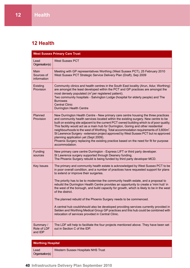**12 Health**

# **12 Health**

|                                     | <b>West Sussex Primary Care Trust</b>                                                                                                                                                                                                                                                                                                                                                                                                                                                                                                                                                                                                                                                                                                                                                                                         |  |
|-------------------------------------|-------------------------------------------------------------------------------------------------------------------------------------------------------------------------------------------------------------------------------------------------------------------------------------------------------------------------------------------------------------------------------------------------------------------------------------------------------------------------------------------------------------------------------------------------------------------------------------------------------------------------------------------------------------------------------------------------------------------------------------------------------------------------------------------------------------------------------|--|
| Lead<br>Organisation(s)             | <b>West Sussex PCT</b>                                                                                                                                                                                                                                                                                                                                                                                                                                                                                                                                                                                                                                                                                                                                                                                                        |  |
| Main<br>Sources of<br>information   | Meeting with GP representatives Worthing (West Sussex PCT), 25 February 2010<br>West Sussex PCT Strategic Service Delivery Plan (Draft), Sep 2009                                                                                                                                                                                                                                                                                                                                                                                                                                                                                                                                                                                                                                                                             |  |
| Existing<br>Provision               | Community clinics and health centres in the South East locality (Arun, Adur, Worthing)<br>are amongst the least developed within the PCT and GP practices are amongst the<br>most densely populated (m <sup>2</sup> per registered patient).<br>Two community hospitals - Salvington Lodge (hospital for elderly people) and The<br><b>Burrowes</b><br><b>Central Clinic</b><br>Durrington Health Centre                                                                                                                                                                                                                                                                                                                                                                                                                      |  |
| Planned<br>Provision                | New Durrington Health Centre - New primary care centre housing the three practices<br>and community health services located within the existing surgery. New centre to be<br>built on existing site adjacent to the current PCT owned building which is of poor quality.<br>This facility would act as a main hub for Durrington, Goring and other residential<br>neighbourhoods to the west of Worthing. Total accommodation requirements of 3,600m <sup>2</sup> .<br>St Lawrence Surgery - extension project approved by West Sussex PCT but no approved<br>planning application yet (Sept 2009).<br>Phoenix Surgery replacing the existing practice based on the need for fit for purpose<br>accommodation.                                                                                                                |  |
| Funding<br>sources                  | New primary care centre Durrington - Express LIFT or third party developer.<br>St Lawrence surgery supported through Deanery funding.<br>The Phoenix Surgery rebuild is being funded by third party developer MCD.                                                                                                                                                                                                                                                                                                                                                                                                                                                                                                                                                                                                            |  |
| <b>Key Issues</b>                   | The primary and community health estate is acknowledged by West Sussex PCT to be<br>in poor overall condition, and a number of practices have requested support for plans<br>to extend or improve their surgeries.<br>The priority has to be to modernise the community health estate, and a proposal to<br>rebuild the Durrington Health Centre provides an opportunity to create a 'mini hub' in<br>the west of the borough, and build capacity for growth, which is likely to be in the west<br>of the district.<br>The planned rebuild of the Phoenix Surgery needs to be commenced.<br>A central hub could/should also be developed providing services currently provided in<br>Selden and Worthing Medical Group GP practices and this hub could be combined with<br>relocation of services provided in Central Clinic. |  |
| Summary /<br>Role of LDF<br>and IDP | The LDF will help to facilitate the four projects mentioned above. They have been set<br>out in Section C of the IDP.                                                                                                                                                                                                                                                                                                                                                                                                                                                                                                                                                                                                                                                                                                         |  |

| <b>Worthing Hospital</b> |                                    |
|--------------------------|------------------------------------|
| Lead<br>Organisation(s)  | Western Sussex Hospitals NHS Trust |

## **40 Infrastructure Delivery Plan September 2010**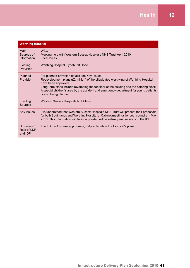| <b>Worthing Hospital</b>            |                                                                                                                                                                                                                                                                                                                                                                          |
|-------------------------------------|--------------------------------------------------------------------------------------------------------------------------------------------------------------------------------------------------------------------------------------------------------------------------------------------------------------------------------------------------------------------------|
| Main<br>Sources of<br>information   | W <sub>BC</sub><br>Meeting held with Western Sussex Hospitals NHS Trust April 2010<br>Local Press                                                                                                                                                                                                                                                                        |
| Existing<br>Provision               | Worthing Hospital, Lyndhurst Road                                                                                                                                                                                                                                                                                                                                        |
| Planned<br>Provision                | For planned provision details see Key Issues.<br>Redevelopment plans (£2 million) of the dilapidated west wing of Worthing Hospital<br>have been approved.<br>Long-term plans include revamping the top floor of the building and the catering block.<br>A special children's area by the accident and emergency department for young patients<br>is also being planned. |
| Funding<br>Sources                  | Western Sussex Hospitals NHS Trust                                                                                                                                                                                                                                                                                                                                       |
| Key Issues                          | It is understood that Western Sussex Hospitals NHS Trust will present their proposals<br>for both Southlands and Worthing Hospital at Cabinet meetings for both councils in May<br>2010. This information will be incorporated within subsequent versions of the IDP.                                                                                                    |
| Summary /<br>Role of LDF<br>and IDP | The LDF will, where appropriate, help to facilitate the Hospital's plans.                                                                                                                                                                                                                                                                                                |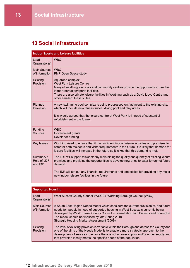# **13 Social Infrastructure**

| <b>Indoor Sports and Leisure facilities</b> |                                                                                                                                                                                                                                                                                                                 |
|---------------------------------------------|-----------------------------------------------------------------------------------------------------------------------------------------------------------------------------------------------------------------------------------------------------------------------------------------------------------------|
| Lead<br>Organisation(s)                     | <b>WBC</b>                                                                                                                                                                                                                                                                                                      |
| <b>Main Sources</b><br>of information       | <b>WBC</b><br>PMP Open Space study                                                                                                                                                                                                                                                                              |
| Existing<br>Provision                       | Aquarena complex<br><b>West Park Leisure Centre</b><br>Many of Worthing's schools and community centres provide the opportunity to use their<br>indoor recreation/sports facilities.<br>There are also private leisure facilities in Worthing such as a David Lloyd Centre and<br>other smaller fitness suites. |
| Planned<br>Provision                        | A new swimming pool complex is being progressed on / adjacent to the existing site,<br>which will include new fitness suites, diving pool and play areas.<br>It is widely agreed that the leisure centre at West Park is in need of substantial<br>refurbishment in the future.                                 |
| Funding<br>Sources                          | <b>WBC</b><br>Government grants<br>Developer funding                                                                                                                                                                                                                                                            |
| <b>Key Issues</b>                           | Worthing need to ensure that it has sufficient indoor leisure activities and premises to<br>cater for both residents and visitor requirements in the future. It is likely that demand for<br>leisure facilities will increase in the future so it is key that this demand is met.                               |
| Summary /<br>Role of LDF<br>and IDP         | The LDF will support this sector by maintaining the quality and quantity of existing leisure<br>premises and providing the opportunities to develop new ones to cater for unmet future<br>demand.                                                                                                               |
|                                             | The IDP will set out any financial requirements and timescales for providing any major<br>new indoor leisure facilities in the future.                                                                                                                                                                          |

| <b>Supported Housing</b>              |                                                                                                                                                                                                                                                                                                                                                                      |  |
|---------------------------------------|----------------------------------------------------------------------------------------------------------------------------------------------------------------------------------------------------------------------------------------------------------------------------------------------------------------------------------------------------------------------|--|
| Lead<br>Organisation(s)               | West Sussex County Council (WSCC), Worthing Borough Council (WBC)                                                                                                                                                                                                                                                                                                    |  |
| <b>Main Sources</b><br>of information | A South East Region Needs Model which considers the current provision of, and future<br>needs for, people in need of supported housing in West Sussex is currently being<br>developed by West Sussex County Council in consultation with Districts and Boroughs.<br>The model should be finalised by late Spring 2010.<br>Strategic Housing Market Assessment (2009) |  |
| Existing<br>Provision                 | The level of existing provision is variable within the Borough and across the County and<br>one of the aims of the Needs Model is to enable a more strategic approach to the<br>development of services to ensure there is not an over supply and/or under supply and<br>that provision locally meets the specific needs of the population.                          |  |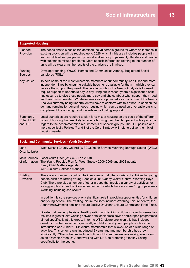| <b>Supported Housing</b>            |                                                                                                                                                                                                                                                                                                                                                                                                                                                                                                                                                                                                                                                                                                                                                                                           |  |
|-------------------------------------|-------------------------------------------------------------------------------------------------------------------------------------------------------------------------------------------------------------------------------------------------------------------------------------------------------------------------------------------------------------------------------------------------------------------------------------------------------------------------------------------------------------------------------------------------------------------------------------------------------------------------------------------------------------------------------------------------------------------------------------------------------------------------------------------|--|
| <b>Planned</b><br>Provision         | The needs analysis has so far identified the vulnerable groups for whom an increase in<br>existing provision will be required up to 2026 which in this area includes people with<br>learning difficulties, people with physical and sensory impairment, offenders and people<br>with substance misuse problems. More specific information relating to the number of<br>units will be clearer as the results of the analysis are finalised.                                                                                                                                                                                                                                                                                                                                                |  |
| Funding<br><b>Sources</b>           | Developer funding, WSCC, Homes and Communities Agency, Registered Social<br>Landlords (RSLs)                                                                                                                                                                                                                                                                                                                                                                                                                                                                                                                                                                                                                                                                                              |  |
| Key Issues                          | To help some of the most vulnerable members of our community lead fuller and more<br>independent lives by ensuring suitable housing is available for them in which they can<br>receive the support they need. The people on whom the Needs Analysis is focused<br>require support to undertake day to day living but in recent years a significant a shift<br>has occurred to give these people more say and choice about what support they need<br>and how this is provided. Whatever services are provided as an outcome of the Needs<br>Analysis currently being undertaken will have to conform with this ethos. In addition the<br>demand remains for general needs housing which can be used on a versatile basis to<br>complement the ongoing trend towards more floating support. |  |
| Summary /<br>Role of LDF<br>and IDP | Local authorities are required to plan for a mix of housing on the basis of the different<br>types of housing that are likely to require housing over the plan period with a particular<br>regard to the accommodation requirements of specific groups. The LDF policies and<br>more specifically Policies 7 and 8 of the Core Strategy will help to deliver the mix of<br>housing needed.                                                                                                                                                                                                                                                                                                                                                                                                |  |

|                                       | <b>Social and Community Services - Youth Development</b>                                                                                                                                                                                                                                                                                                                                                                                                                                                                                                                                                                                                                                                                               |  |  |
|---------------------------------------|----------------------------------------------------------------------------------------------------------------------------------------------------------------------------------------------------------------------------------------------------------------------------------------------------------------------------------------------------------------------------------------------------------------------------------------------------------------------------------------------------------------------------------------------------------------------------------------------------------------------------------------------------------------------------------------------------------------------------------------|--|--|
| Lead<br>Organisation(s)               | West Sussex County Council (WSCC), Youth Service, Worthing Borough Council (WBC)                                                                                                                                                                                                                                                                                                                                                                                                                                                                                                                                                                                                                                                       |  |  |
| <b>Main Sources</b><br>of information | Local Youth Offer (WSCC - Feb 2009)<br>The Young Peoples Plan for West Sussex 2006-2009 and 2008 update.<br>Every Child Matters Agenda.<br><b>WBC Leisure Services Manager.</b>                                                                                                                                                                                                                                                                                                                                                                                                                                                                                                                                                        |  |  |
| Existing<br>Provision                 | There are a number of youth clubs in existence that offer a variety of activities for young<br>people such as: Tarring Young Peoples club; Sydney Walter Centre; Worthing Boys<br>Club. There are also a number of other groups that provide a variety of activities for<br>young people such as the Scouting movement of which there are some 13 groups across<br>Worthing including sea scouts.                                                                                                                                                                                                                                                                                                                                      |  |  |
|                                       | In addition, leisure services play a significant role in providing opportunities for children<br>and young people. The existing leisure facilities include: Worthing Leisure centre; the<br>Aquarena swimming pool and leisure facility; Davisons Leisure Centre; and Field Place.                                                                                                                                                                                                                                                                                                                                                                                                                                                     |  |  |
|                                       | Greater national emphasis on healthy eating and tackling childhood obesity issues has<br>resulted in greater joint working between stakeholders to devise and support programmes<br>aimed specifically at this group. In terms WBC leisure provision this has included<br>developing schemes aimed specifically at children and young people such as the<br>introduction of a Junior 'FIT4' leisure membership that allows use of a wide range of<br>activities. This scheme was introduced 3 years ago and membership has grown<br>significantly. Other schemes include holiday clubs and awareness raising events such<br>as an 'Olympic Open Day' and working with NHS on promoting 'Healthy Eating'<br>specifically for the young. |  |  |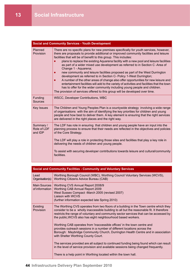| <b>Social and Community Services - Youth Development</b> |                                                                                                                                                                                                                                                                                                                                                                                                                                                                                                                                                                                                                                                                                                                                                                                                                                                                                                                                                                                           |  |
|----------------------------------------------------------|-------------------------------------------------------------------------------------------------------------------------------------------------------------------------------------------------------------------------------------------------------------------------------------------------------------------------------------------------------------------------------------------------------------------------------------------------------------------------------------------------------------------------------------------------------------------------------------------------------------------------------------------------------------------------------------------------------------------------------------------------------------------------------------------------------------------------------------------------------------------------------------------------------------------------------------------------------------------------------------------|--|
| Planned<br>Provision                                     | There are no specific plans for new premises specifically for youth services, however,<br>there are proposals to provide additional or improved community facilities and leisure<br>facilities that will be of benefit to this group. This includes:<br>plans to replace the existing Aquarena facility with a new pool and leisure facilities<br>as part of a wider mixed use development as referred to in Section C -Area of<br>Change 1 - Aquarena;<br>new community and leisure facilities proposed as part of the West Durrington<br>$\bullet$<br>development as referred to in Section C- Policy 1-West Durrington;<br>A number of the other areas of change also offer opportunities for new leisure and<br>$\bullet$<br>entertainment facilities will add to the variety of activities and facilities that the town<br>has to offer for the wider community including young people and children.<br>The provision of services offered to this group will be developed over time. |  |
| Funding<br><b>Sources</b>                                | WSCC, Developer Contributions, WBC                                                                                                                                                                                                                                                                                                                                                                                                                                                                                                                                                                                                                                                                                                                                                                                                                                                                                                                                                        |  |
| <b>Key Issues</b>                                        | The Children and Young Peoples Plan is a countywide strategy involving a wide range<br>of organisations with the aim of identifying the key priorities for children and young<br>people and how best to deliver them. A key element is ensuring that the right services<br>are delivered in the right places and the right way.                                                                                                                                                                                                                                                                                                                                                                                                                                                                                                                                                                                                                                                           |  |
| Summary /<br>Role of LDF<br>and IDP                      | The LDF has role in ensuring that children and young people have an input into the<br>planning process to ensure that their needs are reflected in the objectives and policies<br>of the Core Strategy.<br>The LDF will play a role in protecting those sites and facilities that play a key role in<br>delivering the needs of children and young people.<br>To assist with securing developer contributions towards leisure and cultural/community<br>facilities.                                                                                                                                                                                                                                                                                                                                                                                                                                                                                                                       |  |
|                                                          |                                                                                                                                                                                                                                                                                                                                                                                                                                                                                                                                                                                                                                                                                                                                                                                                                                                                                                                                                                                           |  |

|                                | <b>Social and Community Facilities - Community and Voluntary Services</b>                                                                                                                                                                                                                                                                                                                                                                                                                                                                                                                                                                                                                                                                                                                                        |
|--------------------------------|------------------------------------------------------------------------------------------------------------------------------------------------------------------------------------------------------------------------------------------------------------------------------------------------------------------------------------------------------------------------------------------------------------------------------------------------------------------------------------------------------------------------------------------------------------------------------------------------------------------------------------------------------------------------------------------------------------------------------------------------------------------------------------------------------------------|
| Lead<br>Organisation(s)        | Worthing Borough Council (WBC), Worthing Council Voluntary Services (WCVS),<br>Worthing Citizens Advice Bureau (CAB)                                                                                                                                                                                                                                                                                                                                                                                                                                                                                                                                                                                                                                                                                             |
| Main Sources<br>of information | Worthing CVS Annual Report 2008/9<br>Worthing CAB Annual Report 2009<br>West Sussex Compact-March 2005 (revised 2007)<br>Liaison with WCVS<br>(further information expected late Spring 2010)                                                                                                                                                                                                                                                                                                                                                                                                                                                                                                                                                                                                                    |
| Existing<br>Provision          | The Worthing CVS operates from two floors of a building in the Town centre which they<br>consider to be a wholly inaccessible building to all but the reasonable fit. It therefore<br>restricts the range of voluntary and community sector services that can be accessed by<br>the public, WCVS also has eight neighbourhood based workers.<br>Worthing CAB operates from 'inaccessible offices' in the town centre and<br>provides outreach sessions in a number of different locations across the<br>Borough: Maybridge Community Church, Durrington Health Centre and in association<br>with Shelter Worthing County Court.<br>The services provided are all subject to continued funding being found which can result<br>in the level of service provision and available sessions being changed frequently. |
|                                | There is a help point in Worthing located within the town hall.                                                                                                                                                                                                                                                                                                                                                                                                                                                                                                                                                                                                                                                                                                                                                  |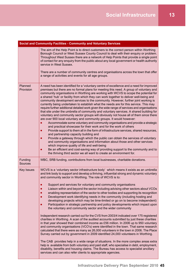|                      | <b>Social and Community Facilities - Community and Voluntary Services</b>                                                                                                                                                                                                                                                                                                                                                                                                                                                                                                                                                                                                                                                                                                                                                                                                                                                                                                                                                                                                                                                                                                                                                                                                                                                                                                                                                                                                                                                                                                                                                                                                                                                                                                           |
|----------------------|-------------------------------------------------------------------------------------------------------------------------------------------------------------------------------------------------------------------------------------------------------------------------------------------------------------------------------------------------------------------------------------------------------------------------------------------------------------------------------------------------------------------------------------------------------------------------------------------------------------------------------------------------------------------------------------------------------------------------------------------------------------------------------------------------------------------------------------------------------------------------------------------------------------------------------------------------------------------------------------------------------------------------------------------------------------------------------------------------------------------------------------------------------------------------------------------------------------------------------------------------------------------------------------------------------------------------------------------------------------------------------------------------------------------------------------------------------------------------------------------------------------------------------------------------------------------------------------------------------------------------------------------------------------------------------------------------------------------------------------------------------------------------------------|
|                      | The aim of the Help Point is to direct customers to the correct person within Worthing<br>Borough Council or West Sussex County Council to deal with their enquiry or problem.<br>Throughout West Sussex there are a network of Help Points that provide a single point<br>of contact for any enquiry from the public about any local government or health authority<br>service in West Sussex.<br>There are a number of community centres and organisations across the town that offer<br>a range of activities and events for all age groups.                                                                                                                                                                                                                                                                                                                                                                                                                                                                                                                                                                                                                                                                                                                                                                                                                                                                                                                                                                                                                                                                                                                                                                                                                                     |
|                      |                                                                                                                                                                                                                                                                                                                                                                                                                                                                                                                                                                                                                                                                                                                                                                                                                                                                                                                                                                                                                                                                                                                                                                                                                                                                                                                                                                                                                                                                                                                                                                                                                                                                                                                                                                                     |
| Planned<br>Provision | A need has been identified for a 'voluntary centre of excellence and a need for improved<br>premises but there are no formal plans for meeting this need. A group of voluntary and<br>community organisations in Worthing are working with WCVS to scope the potential for<br>a shared 'hub' or facility from which they can work together to deliver well-being and<br>community development services to the community. However, further joint working is<br>currently being undertaken to establish what the needs are for this service. This may<br>require further additional detailed work given the wide range of services and organisations<br>that site under the umbrella of community and voluntary services. A shared building for<br>voluntary and community sector groups will obviously not house all of them since there<br>are over 900 local voluntary and community groups. It would however:<br>Accommodate some voluntary and community organisations and provide a strategic<br>and practical showcase for their work and for the work of others<br>Provide support to them all in the form of infrastructure services, shared resources,<br>$\bullet$<br>and partnership capacity building and<br>Provide a gateway through which the public can obtain the services of voluntary<br>$\bullet$<br>and community organisations and information about those and other services<br>which improve quality of life and well-being<br>Be an efficient and cost-saving way of providing support to the community and to<br>$\bullet$<br>the thriving third sector we all want to create an environment for.                                                                                                                                                          |
| Funding<br>Sources   | WBC, SRB funding, contributions from local businesses, charitable donations.                                                                                                                                                                                                                                                                                                                                                                                                                                                                                                                                                                                                                                                                                                                                                                                                                                                                                                                                                                                                                                                                                                                                                                                                                                                                                                                                                                                                                                                                                                                                                                                                                                                                                                        |
| Key Issues           | WCVS is a 'voluntary sector infrastructure body' which means it exists as an umbrella<br>and link body to support and develop a thriving, influential strong and dynamic voluntary<br>and community sector in Worthing. The role of WCVS is to:<br>Support and services for voluntary and community organisations<br>$\bullet$<br>Liaison within and beyond the sector including advising other sectors about VCOs<br>$\bullet$<br>enabling representation of the sector to other bodies and supporting its recognition<br>$\bullet$<br>Development work identifying needs in the community (including hosting and<br>$\bullet$<br>developing projects which may be time-limited or go on to become independent)<br>Participation in strategic partnership and policy developments which impact upon<br>$\bullet$<br>the voluntary and community sector and the wider community<br>Independent research carried out for the CVS from 2003/4 indicated over 175 registered<br>charities in Worthing. A scan of the audited accounts submitted by just these charities<br>in that year showed their combined income as £56 million. In 2006 up to 950 voluntary<br>and community organisations (VCO's) were identified in the town. That same research<br>calculated that there were as many as 26,000 volunteers in the town in 2006. The Place<br>Survey carried out by government in 2009 identified 24,000 volunteers in Worthing.<br>The CAB provides help in a wide range of situations. In the more complex areas extra<br>help is available from both voluntary and paid staff, who specialise in debt, employment,<br>disability, benefits and housing claims. The Bureau has access to specialist ancillary<br>services and can also refer clients to appropriate agencies. |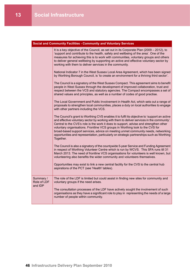| Social and Community Facilities - Community and Voluntary Services |                                                                                                                                                                                                                                                                                                                                                                                                                                                                                                                                                                     |  |
|--------------------------------------------------------------------|---------------------------------------------------------------------------------------------------------------------------------------------------------------------------------------------------------------------------------------------------------------------------------------------------------------------------------------------------------------------------------------------------------------------------------------------------------------------------------------------------------------------------------------------------------------------|--|
|                                                                    | It is a key objective of the Council, as set out in its Corporate Plan (2009 - 2012), to<br>'support and contribute to the health, safety and wellbeing of the area'. One of the<br>measures for achieving this is to work with communities, voluntary groups and others<br>to deliver general wellbeing by supporting an active and effective voluntary sector by<br>working with them to deliver services in the community.                                                                                                                                       |  |
|                                                                    | National Indicator 7 in the West Sussex Local Area Agreement, which has been signed<br>by Worthing Borough Council, is 'to create an environment for a thriving third sector'.                                                                                                                                                                                                                                                                                                                                                                                      |  |
|                                                                    | The Council is a signatory of the West Sussex Compact. This agreement aims to benefit<br>people in West Sussex through the development of improved collaboration, trust and<br>respect between the VCS and statutory agencies. The Compact encompasses a set of<br>shared values and principles, as well as a number of codes of good practise.                                                                                                                                                                                                                     |  |
|                                                                    | The Local Government and Public Involvement in Health Act, which sets out a range of<br>proposals to strengthen local communities, places a duty on local authorities to engage<br>with other partners including the VCS.                                                                                                                                                                                                                                                                                                                                           |  |
|                                                                    | The Council's grant to Worthing CVS enables it to fulfil its objective to 'support an active<br>and effective voluntary sector by working with them to deliver services in the community'.<br>Central to the CVS's role is the work it does to support, advise and strengthen other<br>voluntary organisations. Frontline VCS groups in Worthing look to the CVS for<br>broad-based support services, advice on meeting unmet community needs, networking<br>opportunities and representation, particularly on strategic partnerships such as Worthing<br>Together. |  |
|                                                                    | The Council is also a signatory of the countywide 5-year Service and Funding Agreement<br>in respect of Worthing Volunteer Centre which is run by WCVS. This SFA runs till 31<br>March 2013. The need of frontline VCS organisations for volunteers is well known, but<br>volunteering also benefits the wider community and volunteers themselves.                                                                                                                                                                                                                 |  |
|                                                                    | Opportunities may exist to link a new central facility for the CVS to the central hub<br>aspirations of the PCT (see 'Health' tables).                                                                                                                                                                                                                                                                                                                                                                                                                              |  |
| Summary /<br>Role of LDF<br>and IDP                                | The role of the LDF is limited but could assist in finding new sites for community and<br>voluntary groups if the need arises.                                                                                                                                                                                                                                                                                                                                                                                                                                      |  |
|                                                                    | The consultation processes of the LDF have actively sought the involvement of such<br>organisations as they have a significant role to play in representing the needs of a large<br>number of people within community.                                                                                                                                                                                                                                                                                                                                              |  |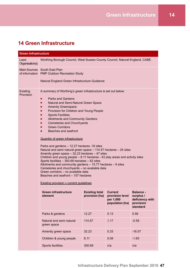# **14 Green Infrastructure**

| <b>Green Infrastructure</b>           |                                                                                                                                                                                                                                                                                                                                                                                                                                                                                                                                                                                                                                                                                                                                                                                                                                                                                                                                                                                                                                                                                   |                                         |                                                                   |                                                                           |
|---------------------------------------|-----------------------------------------------------------------------------------------------------------------------------------------------------------------------------------------------------------------------------------------------------------------------------------------------------------------------------------------------------------------------------------------------------------------------------------------------------------------------------------------------------------------------------------------------------------------------------------------------------------------------------------------------------------------------------------------------------------------------------------------------------------------------------------------------------------------------------------------------------------------------------------------------------------------------------------------------------------------------------------------------------------------------------------------------------------------------------------|-----------------------------------------|-------------------------------------------------------------------|---------------------------------------------------------------------------|
| Lead<br>Organisation(s)               | Worthing Borough Council, West Sussex County Council, Natural England, CABE                                                                                                                                                                                                                                                                                                                                                                                                                                                                                                                                                                                                                                                                                                                                                                                                                                                                                                                                                                                                       |                                         |                                                                   |                                                                           |
| <b>Main Sources</b><br>of information | South East Plan<br><b>PMP Outdoor Recreation Study</b>                                                                                                                                                                                                                                                                                                                                                                                                                                                                                                                                                                                                                                                                                                                                                                                                                                                                                                                                                                                                                            |                                         |                                                                   |                                                                           |
|                                       | Natural England Green Infrastructure Guidance                                                                                                                                                                                                                                                                                                                                                                                                                                                                                                                                                                                                                                                                                                                                                                                                                                                                                                                                                                                                                                     |                                         |                                                                   |                                                                           |
| Existing<br>Provision                 | A summary of Worthing's green infrastructure is set out below:<br><b>Parks and Gardens</b><br>$\bullet$<br>Natural and Semi-Natural Green Space<br>$\bullet$<br><b>Amenity Greenspace</b><br>Provision for Children and Young People<br>$\bullet$<br><b>Sports Facilities</b><br>$\bullet$<br>Allotments and Community Gardens<br>$\bullet$<br><b>Cemeteries and Churchyards</b><br>$\bullet$<br><b>Green Corridors</b><br>$\bullet$<br>Beaches and seafront<br>$\bullet$<br><b>Quantity of green infrastructure</b><br>Parks and gardens - 12.27 hectares -16 sites<br>Natural and semi natural green space - 114.57 hectares - 24 sites<br>Amenity green space - 32.23 hectares - 47 sites<br>Children and young people - 8.11 hectares - 43 play areas and activity sites<br>Sports facilities $-300.69$ hectares $-62$ sites<br>Allotments and community gardens - 15.77 hectares - 9 sites<br>Cemeteries and churchyards - no available data<br>Green corridors - no available data<br>Beaches and seafront - 157 hectares<br><b>Existing provision v current guidelines</b> |                                         |                                                                   |                                                                           |
|                                       | Green infrastructure<br>element                                                                                                                                                                                                                                                                                                                                                                                                                                                                                                                                                                                                                                                                                                                                                                                                                                                                                                                                                                                                                                                   | <b>Existing total</b><br>provision (ha) | <b>Current</b><br>provision level<br>per 1,000<br>population (ha) | <b>Balance -</b><br>surplus /<br>deficiency with<br>provision<br>standard |
|                                       | Parks & gardens                                                                                                                                                                                                                                                                                                                                                                                                                                                                                                                                                                                                                                                                                                                                                                                                                                                                                                                                                                                                                                                                   | 12.27                                   | 0.13                                                              | 0.56                                                                      |
|                                       | Natural and semi natural<br>green space                                                                                                                                                                                                                                                                                                                                                                                                                                                                                                                                                                                                                                                                                                                                                                                                                                                                                                                                                                                                                                           | 114.57                                  | 1.17                                                              | $-0.59$                                                                   |
|                                       | Amenity green space                                                                                                                                                                                                                                                                                                                                                                                                                                                                                                                                                                                                                                                                                                                                                                                                                                                                                                                                                                                                                                                               | 32.23                                   | 0.33                                                              | $-16.57$                                                                  |
|                                       | Children & young people                                                                                                                                                                                                                                                                                                                                                                                                                                                                                                                                                                                                                                                                                                                                                                                                                                                                                                                                                                                                                                                           | 8.11                                    | 0.08                                                              | $-1.65$                                                                   |
|                                       | Sports facilities                                                                                                                                                                                                                                                                                                                                                                                                                                                                                                                                                                                                                                                                                                                                                                                                                                                                                                                                                                                                                                                                 | 300.69                                  | n/a                                                               | n/a                                                                       |
|                                       |                                                                                                                                                                                                                                                                                                                                                                                                                                                                                                                                                                                                                                                                                                                                                                                                                                                                                                                                                                                                                                                                                   |                                         |                                                                   |                                                                           |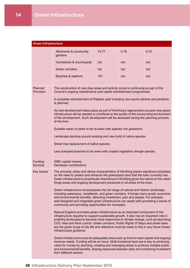| <b>Green Infrastructure</b> |                                                                                                                                                                                                                                                                                                                                                                                                                                                                                |       |      |      |  |
|-----------------------------|--------------------------------------------------------------------------------------------------------------------------------------------------------------------------------------------------------------------------------------------------------------------------------------------------------------------------------------------------------------------------------------------------------------------------------------------------------------------------------|-------|------|------|--|
|                             | Allotments & community<br>gardens                                                                                                                                                                                                                                                                                                                                                                                                                                              | 15.77 | 0.16 | 0.15 |  |
|                             | Cemeteries & churchyards                                                                                                                                                                                                                                                                                                                                                                                                                                                       | n/a   | n/a  | n/a  |  |
|                             | Green corridors                                                                                                                                                                                                                                                                                                                                                                                                                                                                | n/a   | n/a  | n/a  |  |
|                             | Beaches & seafront                                                                                                                                                                                                                                                                                                                                                                                                                                                             | 157   | n/a  | n/a  |  |
|                             |                                                                                                                                                                                                                                                                                                                                                                                                                                                                                |       |      |      |  |
| Planned<br>Provision        | The construction of new play areas and activity zones is continuing as part of the<br>Council's ongoing maintenance and capital refurbishment programmes.                                                                                                                                                                                                                                                                                                                      |       |      |      |  |
|                             | A complete refurbishment of Palatine park including new sports pitches and pavilions<br>is planned.                                                                                                                                                                                                                                                                                                                                                                            |       |      |      |  |
|                             | As new development takes place as part of Worthing's regeneration process new green<br>infrastructure will be needed to contribute to the quality of the surrounding environment<br>of the development. Such development will be assessed during the planning process<br>at the time.                                                                                                                                                                                          |       |      |      |  |
|                             | Suitable areas of parks to be re-sown with species rich grassland                                                                                                                                                                                                                                                                                                                                                                                                              |       |      |      |  |
|                             | Landscape planting around existing and new build of native species                                                                                                                                                                                                                                                                                                                                                                                                             |       |      |      |  |
|                             | Street tree replacement of native species.                                                                                                                                                                                                                                                                                                                                                                                                                                     |       |      |      |  |
|                             | Less trampled beaches to be sown with coastal vegetation shingle species.                                                                                                                                                                                                                                                                                                                                                                                                      |       |      |      |  |
| Funding<br>Sources          | <b>WBC capital monies</b><br>Developer contributions                                                                                                                                                                                                                                                                                                                                                                                                                           |       |      |      |  |
| Key Issues                  | The primarily urban and dense characteristics of Worthing places significant emphasis<br>on the need to protect and enhance the greenspace land that the town currently has.<br>Green infrastructure is of particular importance in Worthing given the nature on the urban<br>fringe areas and ongoing development pressures in all areas of the town.                                                                                                                         |       |      |      |  |
|                             | Green infrastructure encompasses the full range of natural and historic landscape,<br>including waterways, woodlands, and green corridors. It brings many social, economic<br>and environmental benefits, attracting investment, jobs and people. For example,<br>well-designed and integrated green infrastructure can assist with promoting a sense of<br>community and providing opportunities for recreation.                                                              |       |      |      |  |
|                             | Natural England promotes green infrastructure as an important component of the<br>infrastructure required to support sustainable growth. It also has an important role in<br>enabling landscapes to become more responsive to climate change, such as absorbing<br>CO2, heat and flood control. Green corridors, Public Rights of Ways and street trees<br>are the green lungs of city life and reference must be made to this in any future Green<br>Infrastructure guidance. |       |      |      |  |
|                             | Green infrastructure must be adequately resourced up front to meet capital and ongoing<br>revenue needs. Funding will be an issue. Multi-functional land use is key to achieving<br>value for money by planning, creating and managing areas to produce multiple public<br>and environmental benefits, sharing resources between sites and combining investment<br>from different sectors.                                                                                     |       |      |      |  |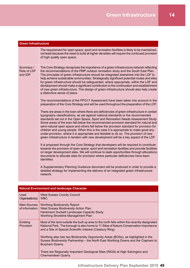| <b>Green Infrastructure</b>           |                                                                                                                                                                                                                                                                                                                                                                                                                                                                                                                                                                                                                                                                                                                                                                                                                                                                                                                                                                                                                                                                                                                                                                                                                                                                                                                 |
|---------------------------------------|-----------------------------------------------------------------------------------------------------------------------------------------------------------------------------------------------------------------------------------------------------------------------------------------------------------------------------------------------------------------------------------------------------------------------------------------------------------------------------------------------------------------------------------------------------------------------------------------------------------------------------------------------------------------------------------------------------------------------------------------------------------------------------------------------------------------------------------------------------------------------------------------------------------------------------------------------------------------------------------------------------------------------------------------------------------------------------------------------------------------------------------------------------------------------------------------------------------------------------------------------------------------------------------------------------------------|
|                                       | The requirement for open space, sport and recreation facilities is likely to be maintained,<br>not least because the need to build at higher densities will require the continued provision<br>of high quality open space.                                                                                                                                                                                                                                                                                                                                                                                                                                                                                                                                                                                                                                                                                                                                                                                                                                                                                                                                                                                                                                                                                      |
| Summary /<br>Role of LDF<br>and IDP   | The Core Strategy recognises the importance of a green infrastructure network reflecting<br>the recommendations of the PMP outdoor recreation study and the South East Plan.<br>The principles of green infrastructure should be integrated elsewhere into the LDF to<br>help achieve sustainable communities. Strategically significant potential routes and sites<br>for green infrastructure should be safeguarded, where appropriate, within the LDF and<br>development should make a significant contribution to the continuation and establishment<br>of new green infrastructure. The design of green infrastructure should also help create<br>a distinctive sense of place.                                                                                                                                                                                                                                                                                                                                                                                                                                                                                                                                                                                                                            |
|                                       | The recommendations of the PPG17 Assessment have been taken into account in the<br>preparation of the Core Strategy and will be used throughout the preparation of the LDF.                                                                                                                                                                                                                                                                                                                                                                                                                                                                                                                                                                                                                                                                                                                                                                                                                                                                                                                                                                                                                                                                                                                                     |
|                                       | There are areas in the town where there are deficiencies of green infrastructure in certain<br>typography classifications, as set against national standards or the recommended<br>standards set out in the Open Space, Sport and Recreation Needs Assessment Study<br>Some areas of the town fall below the recommended provision standard for natural and<br>semi-natural open space and others fall below the provision standard for provision for<br>children and young people. When this is the case it is appropriate to make good any<br>under-provision, where it is appropriate and feasible to do so. The provision of new<br>green infrastructure in tandem with new development will be a key aspect of the LDF.<br>It is proposed through the Core Strategy that developers will be required to contribute<br>towards the provision of open space, sport and recreation facilities and provide facilities<br>on larger development sites. We will continue to seek opportunities through allocations<br>documents to allocate sites for provision where particular deficiencies have been<br>identified.<br>A Supplementary Planning Guidance document will be produced in order to provide a<br>detailed strategy for implementing the delivery of an integrated green infrastructure<br>network. |
|                                       |                                                                                                                                                                                                                                                                                                                                                                                                                                                                                                                                                                                                                                                                                                                                                                                                                                                                                                                                                                                                                                                                                                                                                                                                                                                                                                                 |
|                                       | <b>Natural Environment and landscape Character</b>                                                                                                                                                                                                                                                                                                                                                                                                                                                                                                                                                                                                                                                                                                                                                                                                                                                                                                                                                                                                                                                                                                                                                                                                                                                              |
| Lead<br>Organisation(s)               | <b>West Sussex County Council</b><br><b>WBC</b>                                                                                                                                                                                                                                                                                                                                                                                                                                                                                                                                                                                                                                                                                                                                                                                                                                                                                                                                                                                                                                                                                                                                                                                                                                                                 |
| <b>Main Sources</b><br>of information | <b>Worthing Biodiversity Report</b><br>West Sussex Biodiversity Action Plan                                                                                                                                                                                                                                                                                                                                                                                                                                                                                                                                                                                                                                                                                                                                                                                                                                                                                                                                                                                                                                                                                                                                                                                                                                     |

#### Hankinson Duckett Landscape Capacity Study Worthing Shoreline Management Plan Most of the land outside the built up area to the north falls within the recently designated National Park. The borough is also home to 11 Sites of Nature Conservation Importance and a Site of Special Scientific Interest (Cissbury Ring). Existing Provision Worthing also has two Biodiversity Opportunity Areas (BOAs), as highlighted in the Sussex Biodiversity Partnership – the North East Worthing Downs and the Clapham to

Burpham Downs.

There are Regionally Important Geological Sites (RIGS) at High Salvington and Charmandean Quarry.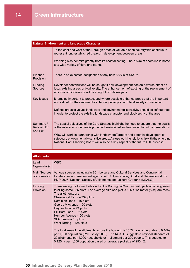| <b>Natural Environment and landscape Character</b> |                                                                                                                                                                                                                                                                                                                                                                                                                                                             |  |
|----------------------------------------------------|-------------------------------------------------------------------------------------------------------------------------------------------------------------------------------------------------------------------------------------------------------------------------------------------------------------------------------------------------------------------------------------------------------------------------------------------------------------|--|
|                                                    | To the east and west of the Borough areas of valuable open countryside continue to<br>represent long established breaks in development between areas.<br>Worthing also benefits greatly from its coastal setting. The 7.5km of shoreline is home<br>to a wide variety of flora and fauna.                                                                                                                                                                   |  |
| Planned<br>Provision                               | There is no expected designation of any new SSSI's of SNCI's                                                                                                                                                                                                                                                                                                                                                                                                |  |
| Funding<br>Sources                                 | Developer contributions will be sought if new development has an adverse effect on<br>local, existing areas of biodiversity. The enhancement of existing or the replacement of<br>any loss of biodiversity will be sought from developers.                                                                                                                                                                                                                  |  |
| <b>Key Issues</b>                                  | It remains important to protect and where possible enhance areas that are important<br>and valued for their nature, flora, fauna, geological and biodiversity conservation.<br>Defined areas of valued landscape and environmental sensitivity should be safeguarded<br>in order to protect the existing landscape character and biodiversity of the area.                                                                                                  |  |
| Summary /<br>Role of LDF<br>and IDP                | The spatial objectives of the Core Strategy highlight the need to ensure that the quality<br>of the natural environment is protected, maintained and enhanced for future generations.<br>WBC will work in partnership with landowners/farmers and potential developers to<br>safeguard environmentally sensitive areas. A close working relationship with the emerging<br>National Park Planning Board will also be a key aspect of the future LDF process. |  |

| <b>Allotments</b>            |                                                                                                                                                                                                                                                                                                                                                                                                                                                                                                                                                                                                                                                                                                                                                                                       |
|------------------------------|---------------------------------------------------------------------------------------------------------------------------------------------------------------------------------------------------------------------------------------------------------------------------------------------------------------------------------------------------------------------------------------------------------------------------------------------------------------------------------------------------------------------------------------------------------------------------------------------------------------------------------------------------------------------------------------------------------------------------------------------------------------------------------------|
| Lead<br>Organisation(s)      | <b>WBC</b>                                                                                                                                                                                                                                                                                                                                                                                                                                                                                                                                                                                                                                                                                                                                                                            |
| of information               | Main Sources Various sources including WBC - Leisure and Cultural Services and Continental<br>Landscapes – management agents. WBC Open space, Sport and Recreation study<br>PMP 2006. National Society of Allotments and Leisure Gardens (NSALG).                                                                                                                                                                                                                                                                                                                                                                                                                                                                                                                                     |
| Existing<br><b>Provision</b> | There are eight allotment sites within the Borough of Worthing with plots of varying sizes,<br>totalling some 986 plots. The average size of a plot is 126.46sq meter (5 square rods).<br>The allotments are:<br>Chesswood Farm - 332 plots<br>Dominion Road - 46 plots<br>George V Avenue - 20 plots<br>Haynes Road - 21 plots<br>Hill Barn Lane - 22 plots<br>Humber Avenue -100 plots<br>St Andrews - 18 plots<br>West Tarring - 428 plots<br>The total area of the allotments across the borough is 15.77ha which equates to 0.16ha<br>per 1,000 population (PMP study 2006). The NSALG suggests a national standard of<br>20 allotments per 1,000 households or 1 allotment per 200 people. This equates to<br>0.125ha per 1,000 population based on average plot size of 250m2. |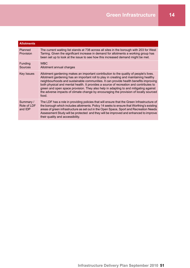| <b>Allotments</b>                   |                                                                                                                                                                                                                                                                                                                                                                                                                                                                                                                                                            |
|-------------------------------------|------------------------------------------------------------------------------------------------------------------------------------------------------------------------------------------------------------------------------------------------------------------------------------------------------------------------------------------------------------------------------------------------------------------------------------------------------------------------------------------------------------------------------------------------------------|
| Planned<br>Provision                | The current waiting list stands at 738 across all sites in the borough with 203 for West<br>Tarring. Given the significant increase in demand for allotments a working group has<br>been set up to look at the issue to see how this increased demand might be met.                                                                                                                                                                                                                                                                                        |
| Funding<br><b>Sources</b>           | <b>WBC</b><br>Allotment annual charges                                                                                                                                                                                                                                                                                                                                                                                                                                                                                                                     |
| Key Issues                          | Allotment gardening makes an important contribution to the quality of people's lives.<br>Allotment gardening has an important roll to play in creating and maintaining healthy<br>neighbourhoods and sustainable communities. It can provide health benefits improving<br>both physical and mental health. It provides a source of recreation and contributes to<br>green and open space provision. They also help in adapting to and mitigating against<br>the adverse impacts of climate change by encouraging the provision of locally sourced<br>food. |
| Summary /<br>Role of LDF<br>and IDP | The LDF has a role in providing policies that will ensure that the Green Infrastructure of<br>the borough which includes allotments. Policy 14 seeks to ensure that Worthing's existing<br>areas of green infrastructure as set out in the Open Space, Sport and Recreation Needs<br>Assessment Study will be protected and they will be improved and enhanced to improve<br>their quality and accessibility.                                                                                                                                              |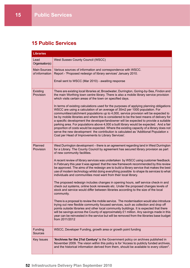# **15 Public Services**

| <b>Libraries</b>                      |                                                                                                                                                                                                                                                                                                                                                                                                                                                                                                                                                                                                                                                                                                                                                                                            |
|---------------------------------------|--------------------------------------------------------------------------------------------------------------------------------------------------------------------------------------------------------------------------------------------------------------------------------------------------------------------------------------------------------------------------------------------------------------------------------------------------------------------------------------------------------------------------------------------------------------------------------------------------------------------------------------------------------------------------------------------------------------------------------------------------------------------------------------------|
| Lead<br>Organisation(s)               | <b>West Sussex County Council (WSCC)</b>                                                                                                                                                                                                                                                                                                                                                                                                                                                                                                                                                                                                                                                                                                                                                   |
| <b>Main Sources</b><br>of information | Various sources of information and correspondence with WSCC.<br>Report - 'Proposed redesign of library services' January 2010.                                                                                                                                                                                                                                                                                                                                                                                                                                                                                                                                                                                                                                                             |
|                                       | Email sent to WSCC (Mar 2010) - awaiting response                                                                                                                                                                                                                                                                                                                                                                                                                                                                                                                                                                                                                                                                                                                                          |
| Existing<br>Provision                 | There are existing local libraries at; Broadwater, Durrington, Goring-by-Sea, Findon and<br>the main Worthing town centre library. There is also a mobile library service provision<br>which visits certain areas of the town on specified days.                                                                                                                                                                                                                                                                                                                                                                                                                                                                                                                                           |
|                                       | In terms of existing calculations used for the purposes of applying planning obligations<br>WSCC are using a calculation of an average of 30m2 per 1000 population. For<br>communities/catchment populations up to 4,000, service provision will be expected to<br>be by mobile libraries and where this is considered to be the best means of delivery for<br>a specific development the developer/landowner will be expected to provide a suitable<br>parking area. For populations above 4,000 a built library would be expected. And a fair<br>proportion of costs would be expected. Where the existing capacity of a library does not<br>serve the new development the contribution is calculated as 'Additional Population x<br>Cost per Head of Improvements to Library Services'. |
| Planned<br>Provision                  | West Durrington development - there is an agreement regarding land in West Durrington<br>for a Library. The County Council by agreement has secured library provision as part<br>of new community facilities.                                                                                                                                                                                                                                                                                                                                                                                                                                                                                                                                                                              |
|                                       | A recent review of library services was undertaken by WSCC using customer feedback.<br>In February this year it was agreed that the new framework recommended by this review<br>be approved. The aims of the redesign are to build a library service that makes the best<br>use of modern technology whilst doing everything possible to shape its services to what<br>individuals and communities most want from their local library.                                                                                                                                                                                                                                                                                                                                                     |
|                                       | The proposed redesign includes changes in opening hours, self service check-in and<br>check out systems, online book renewals etc. Under the proposed changes levels of<br>stock and service would differ between libraries according to the size of the local<br>community.                                                                                                                                                                                                                                                                                                                                                                                                                                                                                                               |
|                                       | There is a proposal to review the mobile service. The modernisation would also introduce<br>trying out new flexible community focused services, such as collection and drop off<br>points outside libraries and other local community buildings. It is expected that there<br>will be savings across the County of approximately £1 million. Any savings made in this<br>year can be reinvested in the service but will be removed from the libraries base budget<br>from 2011/2012                                                                                                                                                                                                                                                                                                        |
| Funding<br><b>Sources</b>             | WSCC, Developer Funding, growth area or growth point funding                                                                                                                                                                                                                                                                                                                                                                                                                                                                                                                                                                                                                                                                                                                               |
| Key Issues                            | 'Archives for the 21st Century' is the Government policy on archives published in<br>November 2009. The vision within this policy is for 'Access to publicly funded archives,<br>and the historical information derived from them, should be available to every citizen".                                                                                                                                                                                                                                                                                                                                                                                                                                                                                                                  |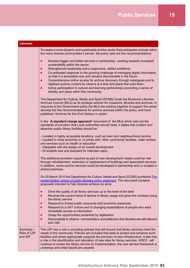| <b>Libraries</b>                    |                                                                                                                                                                                                                                                                                                                                                                                                                                                                                                                                                                                                                                                                                                                                                                                                                                                                                                                                                                                                                                                                                                                                                                                                                                                                                                                                                                                                                                                                                                                                                                                                                                                                                                                                                                                                                                                                                                                                                                                                                                                                                                                                                                                                                                                                                                                                                                                                                                                                                                                                                                                                                                                                                                                                                                                                                                                                                                                          |
|-------------------------------------|--------------------------------------------------------------------------------------------------------------------------------------------------------------------------------------------------------------------------------------------------------------------------------------------------------------------------------------------------------------------------------------------------------------------------------------------------------------------------------------------------------------------------------------------------------------------------------------------------------------------------------------------------------------------------------------------------------------------------------------------------------------------------------------------------------------------------------------------------------------------------------------------------------------------------------------------------------------------------------------------------------------------------------------------------------------------------------------------------------------------------------------------------------------------------------------------------------------------------------------------------------------------------------------------------------------------------------------------------------------------------------------------------------------------------------------------------------------------------------------------------------------------------------------------------------------------------------------------------------------------------------------------------------------------------------------------------------------------------------------------------------------------------------------------------------------------------------------------------------------------------------------------------------------------------------------------------------------------------------------------------------------------------------------------------------------------------------------------------------------------------------------------------------------------------------------------------------------------------------------------------------------------------------------------------------------------------------------------------------------------------------------------------------------------------------------------------------------------------------------------------------------------------------------------------------------------------------------------------------------------------------------------------------------------------------------------------------------------------------------------------------------------------------------------------------------------------------------------------------------------------------------------------------------------------|
|                                     | To create a more dynamic and sustainable archive sector that participates actively within<br>the many diverse communities it serves, the policy sets out five recommendations:<br>Develop bigger and better services in partnership- working towards increased<br>sustainability within the sector;<br>Strengthened leadership and a responsive, skilled workforce;<br>Co-ordinated response to the growing challenge of managing digital information<br>$\bullet$<br>so that it is accessible now and remains discoverable in the future;<br>Comprehensive online access for archive discovery through catalogues and to<br>$\bullet$<br>digitised archive content by citizens at a time and place that suits them;<br>Active participation in cultural and learning partnerships promoting a sense of<br>$\bullet$<br>identity and place within the community.<br>The Department for Culture, Media and Sport (DCMS) funds the Museums Libraries<br>Archives Council (MLA) as its strategic adviser for museums, libraries and archives. In<br>response to the Government policy the MLA are working together to support the sector<br>develop the five recommendations for archive services within the policy, and have<br>published 'Archives for the 21st Century in action'.<br>In the 'A standard charge approach' document of the MLA which sets out the<br>standards of provision that Local authorities should meet, it states that modern and<br>attractive public library facilities should be:<br>- Located in highly accessible locations, such as town and neighbourhood centres<br>- Located in close proximity to. or jointly with, other community facilities, retail centres<br>and services such as health or education<br>- Integrated with the design of an overall development<br>- Of suitable size and standard for intended users.<br>The additional provision required as part of new development needs could be met<br>through refurbishment, extension or replacement of buildings and associated services.<br>In addition, some archive services could be developed in partnership and co located in<br>shared premises.<br>On 20 March 2010 the Department for Culture, Media and Sport (DCMS) published The<br>modernisation review of public libraries policy statement. The document contains<br>proposals intended to help libraries achieve six aims:<br>Drive the quality of all library services up to the level of the best<br>Reverse the current trend of decline in library usage and grow the numbers using<br>the library service<br>Respond to limited public resources and economic pressures<br>Respond to a 24/7 culture and to changing expectations of people who want<br>immediate access to information<br>Grasp the opportunities presented by digitisation<br>Demonstrate to citizens, commentators and politicians that libraries are still relevant<br>and vital |
| Summary /<br>Role of LDF<br>and IDP | The LDF has a role in providing policies that will ensure that library services meet the<br>needs of the community. Policies are included that seek to protect and enhance such<br>facilities and where appropriate supports the provision of new infrastructure. It also has<br>a role in the identification and allocation of new sites for library services. WSCC will<br>continue to review the library service on implementation, the new service framework is<br>underway and initial results are awaited.                                                                                                                                                                                                                                                                                                                                                                                                                                                                                                                                                                                                                                                                                                                                                                                                                                                                                                                                                                                                                                                                                                                                                                                                                                                                                                                                                                                                                                                                                                                                                                                                                                                                                                                                                                                                                                                                                                                                                                                                                                                                                                                                                                                                                                                                                                                                                                                                         |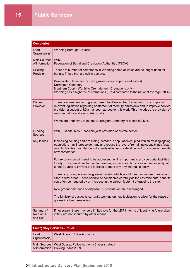| <b>Cemeteries</b>                     |                                                                                                                                                                                                                                                                                                               |
|---------------------------------------|---------------------------------------------------------------------------------------------------------------------------------------------------------------------------------------------------------------------------------------------------------------------------------------------------------------|
| Lead<br>Organisation(s)               | <b>Worthing Borough Council</b>                                                                                                                                                                                                                                                                               |
| <b>Main Sources</b><br>of information | <b>WBC</b><br>Federation of Burial and Cremation Authorities (FBCA)                                                                                                                                                                                                                                           |
| Existing<br><b>Provision</b>          | There are number of cemeteries in Worthing some of which are no longer used for<br>burials. Those that are still in use are:                                                                                                                                                                                  |
|                                       | Broadwater Cemetery (no new graves - only reopens and ashes)<br><b>Durrington Cemetery</b><br>Muntham Court - Worthing Crematorium (Cremations only)<br>Worthing has a higher % of cremations (90%) compared to the national average (70%).                                                                   |
|                                       |                                                                                                                                                                                                                                                                                                               |
| Planned<br>Provision                  | There is agreement to upgrade current facilities at the Crematorium to comply with<br>relevant legislation regarding abatement of mercury emission's and to improve service<br>provision a budget of £2m has been agreed for this work. This includes the provision of<br>new cremators and associated works. |
|                                       | Works are underway to extend Durrington Cemetery at a cost of £50k.                                                                                                                                                                                                                                           |
| Funding<br><b>Sources</b>             | WBC, Capital bids & possible joint provision or private sector                                                                                                                                                                                                                                                |
| <b>Key Issues</b>                     | Increasing housing and a resulting increase in population coupled with an existing ageing<br>population, may increase demand and reduce the level of remaining capacity at a faster<br>rate. Authorities must decide individually whether to extend current provisions or provide<br>new cemeteries.          |
|                                       | Future provision will need to be addressed as it is important to provide burial facilities<br>locally. The council has to maintain existing cemeteries, but it foes not necessarily fall<br>to the Council to provide the facilities or meet any any shortfall directly.                                      |
|                                       | There is growing interest in 'greener burials' which would mean more use of woodland<br>sites in rural areas. These need to be considered carefully as the environmental benefits<br>can often be negated by an increase in the carbon footprint of travel to the site.                                       |
|                                       | New greener methods of disposal i.e. resomation are encouraged.                                                                                                                                                                                                                                               |
|                                       | The Ministry of Justice is currently working on new legislation to allow for the reuse of<br>graves in older cemeteries.                                                                                                                                                                                      |
| Summary /<br>Role of LDF<br>and IDP   | If necessary, there may be a limited role for the LDF in terms of identifying future sites<br>if they are not secured by other means.                                                                                                                                                                         |

| <b>Emergency Services - Police</b> |                                                                                                     |
|------------------------------------|-----------------------------------------------------------------------------------------------------|
| Lead<br>Organisation(s)            | <b>West Sussex Police Authority</b>                                                                 |
|                                    | Main Sources   West Sussex Police Authority 3 year strategy<br>of information   Policing Plans 2009 |

## **54 Infrastructure Delivery Plan September 2010**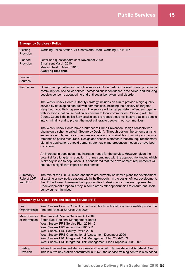| <b>Emergency Services - Police</b>  |                                                                                                                                                                                                                                                                                                                                                                                                                                                                                                                                                                                                                                                                                                                                                                                                                                                                                                                                                                                                                                                                                                                                                                                                                                                                                                                                                                                                                                                                                                                                                                                                  |  |
|-------------------------------------|--------------------------------------------------------------------------------------------------------------------------------------------------------------------------------------------------------------------------------------------------------------------------------------------------------------------------------------------------------------------------------------------------------------------------------------------------------------------------------------------------------------------------------------------------------------------------------------------------------------------------------------------------------------------------------------------------------------------------------------------------------------------------------------------------------------------------------------------------------------------------------------------------------------------------------------------------------------------------------------------------------------------------------------------------------------------------------------------------------------------------------------------------------------------------------------------------------------------------------------------------------------------------------------------------------------------------------------------------------------------------------------------------------------------------------------------------------------------------------------------------------------------------------------------------------------------------------------------------|--|
| Existing<br>Provision               | Worthing Police Station, 21 Chatsworth Road, Worthing, BN11 1LY                                                                                                                                                                                                                                                                                                                                                                                                                                                                                                                                                                                                                                                                                                                                                                                                                                                                                                                                                                                                                                                                                                                                                                                                                                                                                                                                                                                                                                                                                                                                  |  |
| Planned<br>Provision                | Letter and questionnaire sent November 2009<br>Email sent March 2010<br>Meeting held in March 2010<br><b>Awaiting response</b>                                                                                                                                                                                                                                                                                                                                                                                                                                                                                                                                                                                                                                                                                                                                                                                                                                                                                                                                                                                                                                                                                                                                                                                                                                                                                                                                                                                                                                                                   |  |
| Funding<br>Sources                  |                                                                                                                                                                                                                                                                                                                                                                                                                                                                                                                                                                                                                                                                                                                                                                                                                                                                                                                                                                                                                                                                                                                                                                                                                                                                                                                                                                                                                                                                                                                                                                                                  |  |
| <b>Key Issues</b>                   | Government priorities for the police service include: reducing overall crime; providing a<br>community focused police service; increased public confidence in the police; and reducing<br>people's concerns about crime and anti-social behaviour and disorder.<br>The West Sussex Police Authority Strategy includes an aim to provide a high quality<br>service by developing contact with communities, including the delivery of Targeted<br>Neighbourhood Policing services. The service will target persistent offenders together<br>with locations that cause particular concern to local communities. Working with the<br>County Council, the police Service also seek to reduce those risk factors that lead people<br>into criminality and to protect the most vulnerable people in our communities.<br>The West Sussex Police have a number of Crime Prevention Design Advisors who<br>champion a scheme called, 'Secure by Design'. Through design, the scheme aims to<br>enhance security, reduce crime, create a safe and sustainable community and reduce<br>remands on police resources. Design and assess statements that are required for many<br>planning applications should demonstrate how crime prevention measures have been<br>considered.<br>An increase in population may increase needs for the service. However, given the<br>potential for a long-term reduction in crime combined with the approach to funding which<br>is already linked to population, it is considered that the development requirements will<br>not have a significant impact on this service. |  |
| Summary /<br>Role of LDF<br>and IDP | The role of the LDF is limited and there are currently no known plans for development<br>of existing or new police stations within the Borough. In the design of new development,<br>the LDF will need to ensure that opportunities to design out crime are implemented.<br>Redevelopment proposals may in some areas offer opportunities to ensure anti-social<br>behaviour is minimised.                                                                                                                                                                                                                                                                                                                                                                                                                                                                                                                                                                                                                                                                                                                                                                                                                                                                                                                                                                                                                                                                                                                                                                                                       |  |

#### **Emergency Services - Fire and Rescue Service (FRS)**

| Lead                                  | West Sussex County Council is the fire authority with statutory responsibility under the                                                                                                                                                                                                                                                                                                           |
|---------------------------------------|----------------------------------------------------------------------------------------------------------------------------------------------------------------------------------------------------------------------------------------------------------------------------------------------------------------------------------------------------------------------------------------------------|
| Organisation(s)                       | Fire and Rescue Services Act 2004.                                                                                                                                                                                                                                                                                                                                                                 |
| <b>Main Sources</b><br>of information | The Fire and Rescue Services Act 2004<br>South East Regional Management Board<br>West Sussex FRS Service Plan 2010-15<br>West Sussex FRS Action Plan 2010-11<br>West Sussex FRS County Profile 2009<br>West Sussex FRS Organisational Assessment December 2009<br>West Sussex FRS Integrated Risk Management Plan 2004-2009<br>West Sussex FRS Integrated Risk Management Plan Proposals 2008-2009 |
| Existing                              | Whole time and immediate response and retained duty fire station at Ardsheal Road.                                                                                                                                                                                                                                                                                                                 |
| Provision                             | This is a five bay station constructed in 1962 - the service training centre is also based                                                                                                                                                                                                                                                                                                         |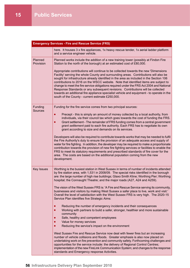| <b>Emergency Services - Fire and Rescue Service (FRS)</b> |                                                                                                                                                                                                                                                                                                                                                                                                                                                                                                                                                                                                                                                                                                |  |
|-----------------------------------------------------------|------------------------------------------------------------------------------------------------------------------------------------------------------------------------------------------------------------------------------------------------------------------------------------------------------------------------------------------------------------------------------------------------------------------------------------------------------------------------------------------------------------------------------------------------------------------------------------------------------------------------------------------------------------------------------------------------|--|
|                                                           | here. It houses 3 x fire appliances, 1x heavy rescue tender, 1x aerial ladder platform<br>and a service engineer vehicle.                                                                                                                                                                                                                                                                                                                                                                                                                                                                                                                                                                      |  |
| Planned<br>Provision                                      | Planned works include the addition of a new training tower (possibly at Findon Fire<br>Station to the north of the borough) at an estimated cost of £80,000.                                                                                                                                                                                                                                                                                                                                                                                                                                                                                                                                   |  |
|                                                           | Appropriate contributions will continue to be collected towards the new 'Dimensions<br>Facility' serving the whole County and surrounding areas. Contributions will also be<br>sought for infrastructure already identified in the area as included in the Section 106<br>contributions to 2016 on the WSCC website. Note that identified items are subject to<br>change to meet the fire service obligations required under the FRS Act 2004 and National<br>Response Standards or any subsequent revisions. Contributions will be collected<br>towards an additional fire appliance specialist vehicle and equipment - to operate in the<br>south of the County - current estimate £250,000. |  |
| Funding                                                   | Funding for the fire service comes from two principal sources:                                                                                                                                                                                                                                                                                                                                                                                                                                                                                                                                                                                                                                 |  |
| Sources                                                   | Precept - this is simply an amount of money collected by a local authority, from<br>$\bullet$<br>individuals, via their council tax which goes towards the cost of funding the FRS.<br>Grant settlement - The remainder of FRS funding comes from a central government<br>$\bullet$<br>grant settlement paid to each fire authority. Each FRS has to negotiate its own<br>grant according to size and demands on its services.                                                                                                                                                                                                                                                                 |  |
|                                                           | Developers will also be required to contribute towards works that may be needed to fulfil<br>the Fire Authority's duty to ensure the provision of an adequate access and supply of<br>water for fire fighting. In addition, the developer may be required to make a proportionate<br>contribution towards the provision of new fire fighting services or facilities to enable the<br>FRS to meet its statutory requirements and prescribed standards of fire cover for the<br>area. The costs are based on the additional population coming from the new<br>development.                                                                                                                       |  |
| <b>Key Issues</b>                                         | Worthing is the busiest station in West Sussex in terms of number of incidents attended<br>by fire station area, with 1,531 in 2008/09. The special risks identified in the borough<br>are: the large number of high rise buildings; Glaxo Smith Kline; Worthing Pier; Worthing<br>hospital; the Connaught Theatre; and the major roads (A27, A24 and A259).                                                                                                                                                                                                                                                                                                                                   |  |
|                                                           | The vision of the West Sussex FRS is: 'A Fire and Rescue Service serving its community,<br>businesses and visitors by making West Sussex a safer place to live, work and visit.'<br>Overall the level of satisfaction with the West Sussex FRS is very high. The 2020-15<br>Service Plan identifies five Strategic Aims:                                                                                                                                                                                                                                                                                                                                                                       |  |
|                                                           | Reducing the number of emergency incidents and their consequences<br>$\bullet$<br>Working with partners to build a safer, stronger, healthier and more sustainable<br>$\bullet$<br>community                                                                                                                                                                                                                                                                                                                                                                                                                                                                                                   |  |
|                                                           | Safe, healthy and competent employees<br>Value for money services                                                                                                                                                                                                                                                                                                                                                                                                                                                                                                                                                                                                                              |  |
|                                                           | Reducing the service's impact on the environment                                                                                                                                                                                                                                                                                                                                                                                                                                                                                                                                                                                                                                               |  |
|                                                           | West Sussex Fire and Rescue Service now deal with fewer fires but an increasing<br>number of vehicle collisions and floods. Greater emphasis is also now placed on<br>undertaking work on fire prevention and community safety. Forthcoming challenges and<br>opportunities for the service include: the delivery of Regional Control Centres;<br>implementation of the new FireLink Communication System; and changes to the response<br>standards and Emergency response Activities.                                                                                                                                                                                                         |  |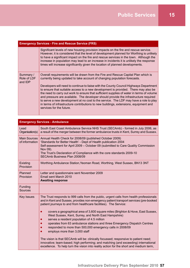| <b>Emergency Services - Fire and Rescue Service (FRS)</b> |                                                                                                                                                                                                                                                                                                                                                                                                                                                                                                                                                                                                                                                                                                                                                  |  |
|-----------------------------------------------------------|--------------------------------------------------------------------------------------------------------------------------------------------------------------------------------------------------------------------------------------------------------------------------------------------------------------------------------------------------------------------------------------------------------------------------------------------------------------------------------------------------------------------------------------------------------------------------------------------------------------------------------------------------------------------------------------------------------------------------------------------------|--|
|                                                           | Significant levels of new housing provision impacts on the fire and rescue service.<br>However, it is considered that the level of development planned for Worthing is unlikely<br>to have a significant impact on the fire and rescue services in the town. Although the<br>increase in population may lead to an increase in incidents it is unlikely the response<br>times will increase significantly given the location of planned developments.                                                                                                                                                                                                                                                                                            |  |
| Summary /<br>Role of LDF<br>and IDP                       | Overall requirements will be drawn from the Fire and Rescue Capital Plan which is<br>currently being updated to take account of changing population forecasts.<br>Developers will need to continue to liaise with the County Council Highways Department<br>to ensure that suitable access to a new development is provided. There may also be<br>the need to carry out work to ensure that sufficient supplies of water in terms of volume<br>and pressure are available. The developer should provide the infrastructure required<br>to serve a new development at no cost to the service. The LDF may have a role to play<br>in terms of infrastructure contributions to new buildings, extensions, equipment and<br>services for the future. |  |

| <b>Emergency Services - Ambulance</b> |                                                                                                                                                                                                                                                                                                                                       |
|---------------------------------------|---------------------------------------------------------------------------------------------------------------------------------------------------------------------------------------------------------------------------------------------------------------------------------------------------------------------------------------|
| Lead<br>Organisation(s)               | South East Coast Ambulance Service NHS Trust (SECAmb) - formed in July 2006, as<br>a result of the merger between the former ambulance trusts in Kent, Surrey and Sussex.                                                                                                                                                             |
| <b>Main Sources</b><br>of information | Annual Health Check for 2008/09 (published October 2009)<br>'Standards for Better Health' - Dept of Health publication 2004<br>Self-assessment for April 2009 - October 09 (submitted to Care Quality Commission<br>Nov 09).<br>The Trust's Declaration of Compliance with the core standards 2009-10<br>SECAmb Business Plan 2008/09 |
| Existing<br>Provision                 | Worthing Ambulance Station, Yeoman Road, Worthing, West Sussex, BN13 3NT                                                                                                                                                                                                                                                              |
| Planned<br>Provision                  | Letter and questionnaire sent November 2009<br>Email sent March 2010<br><b>Awaiting response</b>                                                                                                                                                                                                                                      |
| Funding<br><b>Sources</b>             |                                                                                                                                                                                                                                                                                                                                       |
| <b>Key Issues</b>                     | The Trust responds to 999 calls from the public, urgent calls from health professionals<br>and in Kent and Sussex, provides non-emergency patient transport services (pre-booked<br>patient journeys to and from healthcare facilities). The Service:                                                                                 |
|                                       | covers a geographical area of 3,600 square miles (Brighton & Hove, East Sussex,<br>West Sussex, Kent, Surrey, and North East Hampshire)<br>serves a resident population of 4.5 million                                                                                                                                                |
|                                       | operates from 63 ambulance stations and three Emergency Dispatch Centres<br>responded to more than 500,000 emergency calls in 2008/09<br>employs more than 3,000 staff                                                                                                                                                                |
|                                       | The vision is that SECAmb will be: clinically focussed; responsive to patient need;<br>innovative; team-based; high performing; and matching (and exceeding) international<br>excellence. To help turn the vision into reality action for the short and medium term,                                                                  |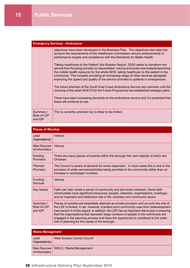#### **Emergency Services - Ambulance**

objectives have been developed in the Business Plan. The objectives also take into account the requirements of the Healthcare Commission around achievements of performance targets and compliance with the Standards for Better Health.

'Taking Healthcare to the Patient' (the Bradley Report, 2005) seeks to transform the service from focusing primarily on resuscitation, trauma and acute care towards becoming the mobile health resource for the whole NHS- taking healthcare to the patient in the community. This includes providing an increasing range of other services alongside improving the speed and quality of the service provided to patients in emergencies.

The future direction of the South East Coast Ambulance Service are unknown until the outcome of the wider NHS Fit for the Future Programme has established strategic plans.

There have been increasing demands on the ambulance service and it is predicted that these will continue to rise.

| Summary /<br>Role of LDF<br>and IDP | This is currently unknown but is likely to be limited. |
|-------------------------------------|--------------------------------------------------------|

| <b>Places of Worship</b>            |                                                                                                                                                                                                                                                                                                                                                                                                                                                                                                                 |
|-------------------------------------|-----------------------------------------------------------------------------------------------------------------------------------------------------------------------------------------------------------------------------------------------------------------------------------------------------------------------------------------------------------------------------------------------------------------------------------------------------------------------------------------------------------------|
| Lead<br>Organisation(s)             | Various                                                                                                                                                                                                                                                                                                                                                                                                                                                                                                         |
| Main Sources<br>of information      | Various                                                                                                                                                                                                                                                                                                                                                                                                                                                                                                         |
| Existing<br>Provision               | There are many places of worship within the borough the vast majority of which are<br>Christian.                                                                                                                                                                                                                                                                                                                                                                                                                |
| Planned<br>Provision                | The Council is aware of demand for some expansion. In most cases this is due to the<br>provision of wider services/activities being provided to the community rather than an<br>increase in worshipper numbers.                                                                                                                                                                                                                                                                                                 |
| Funding<br>Sources                  | Various                                                                                                                                                                                                                                                                                                                                                                                                                                                                                                         |
| Key Issues                          | Faith can help create a sense of community and aid social cohesion. Some faith<br>communities have significant resources (people, networks, organisations, buildings)<br>and an important and distinctive role in the voluntary and community sector.                                                                                                                                                                                                                                                           |
| Summary /<br>Role of LDF<br>and IDP | Places of worship are essentially deemed as private provision and as such the role of<br>the LDF is limited. It can however, it protect such community uses from redevelopment<br>(see section 4 of this report). In addition, the LDF has an important role to play in ensuring<br>that the organisations that represent large numbers of people in the community are<br>engaged in the planning process and have the opportunity to contribute to the wider<br>role of planning for the needs of the borough. |

| <b>Waste Management</b> |                                       |  |
|-------------------------|---------------------------------------|--|
| Lead<br>Organisation(s) | <b>West Sussex County Council</b>     |  |
| of information          | Main Sources   WSCC, Waste Management |  |

#### **58 Infrastructure Delivery Plan September 2010**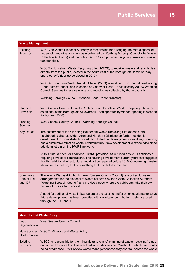| <b>Waste Management</b>             |                                                                                                                                                                                                                                                                                                                                                                                                                                                                                                                                                                                                                                                                                                                                                                                                                                                  |  |  |
|-------------------------------------|--------------------------------------------------------------------------------------------------------------------------------------------------------------------------------------------------------------------------------------------------------------------------------------------------------------------------------------------------------------------------------------------------------------------------------------------------------------------------------------------------------------------------------------------------------------------------------------------------------------------------------------------------------------------------------------------------------------------------------------------------------------------------------------------------------------------------------------------------|--|--|
| Existing<br>Provision               | WSCC as Waste Disposal Authority is responsible for arranging the safe disposal of<br>household and other similar waste collected by Worthing Borough Council (the Waste<br>Collection Authority) and the public. WSCC also provides recycling/re-use and waste<br>transfer sites.<br>WSCC - Household Waste Recycling Site (HWRS), to receive waste and recyclables<br>directly from the public, located in the south east of the borough off Dominion Way<br>operated by Viridor (to be closed in 2010).<br>WSCC - There is no Waste Transfer Station (WTS) in Worthing. The nearest is in Lancing<br>(Adur District Council) and is located off Chartwell Road. This is used by Adur & Worthing<br>Council Services to receive waste and recyclables collected by those councils.<br>Worthing Borough Council - Meadow Road Depot (transfer). |  |  |
| Planned<br>Provision                | West Sussex County Council - Replacement Household Waste Recycling Site in the<br>south east of the Borough off Willowbrook Road operated by Viridor (opening is planned<br>for Autumn 2010)                                                                                                                                                                                                                                                                                                                                                                                                                                                                                                                                                                                                                                                     |  |  |
| Funding<br>Sources                  | West Sussex County Council / Worthing Borough Council                                                                                                                                                                                                                                                                                                                                                                                                                                                                                                                                                                                                                                                                                                                                                                                            |  |  |
| <b>Key Issues</b>                   | The catchment of the Worthing Household Waste Recycling Site extends into<br>neighbouring districts (Adur, Arun and Horsham Districts) so further residential<br>development in those districts, in addition to further development in Worthing Borough,<br>had a cumulative effect on waste infranstructure. New development is expected to place<br>additional strain on the HWRS network.<br>At this time, a need for additional HWRS provision, as outlined above, is anticipated<br>requiring developer contributions. The housing development currently forecast suggests<br>that this additional infrastucture would not be required before 2015. Concerning transfer<br>station infrastructure, that is something that needs to be monitored.                                                                                            |  |  |
| Summary /<br>Role of LDF<br>and IDP | The Waste Disposal Authority (West Sussex County Council) is required to make<br>arrangements for the disposal of waste collected by the Waste Collection Authority<br>(Worthing Borough Council) and provide places where the public can take their own<br>household waste for disposal.<br>A need for additional waste infrastructure at the existing and/or other location(s) to serve<br>future development has been identified with developer contributions being secured<br>through the LDF and IDP.                                                                                                                                                                                                                                                                                                                                       |  |  |

| <b>Minerals and Waste Policy</b> |                                                                                                                                                                                                                                                                             |  |
|----------------------------------|-----------------------------------------------------------------------------------------------------------------------------------------------------------------------------------------------------------------------------------------------------------------------------|--|
| Lead<br>Organisation(s)          | <b>West Sussex County Council</b>                                                                                                                                                                                                                                           |  |
| Main Sources<br>of information   | WSCC, Minerals and Waste Policy                                                                                                                                                                                                                                             |  |
| Existing<br>Provision            | WSCC is responsible for the minerals (and waste) planning of waste, recycling/re-use<br>and waste transfer sites. This is set out in the Minerals and Waste LDF which is currently<br>being progressed. It will review waste management capacity shortfall across the whole |  |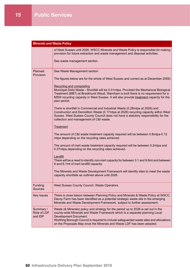| <b>Minerals and Waste Policy</b>    |                                                                                                                                                                                                                                                                                                                                                                 |  |  |
|-------------------------------------|-----------------------------------------------------------------------------------------------------------------------------------------------------------------------------------------------------------------------------------------------------------------------------------------------------------------------------------------------------------------|--|--|
|                                     | of West Sussex until 2026. WSCC Minerals and Waste Policy is responsible for making<br>provision for future extraction and waste management and disposal activities.                                                                                                                                                                                            |  |  |
|                                     | See waste management section.                                                                                                                                                                                                                                                                                                                                   |  |  |
| Planned<br>Provision                | See Waste Management section                                                                                                                                                                                                                                                                                                                                    |  |  |
|                                     | The figures below are for the whole of West Sussex and correct as at December 2009)                                                                                                                                                                                                                                                                             |  |  |
|                                     | Recycling and composting<br>Municipal Solid Waste - Shortfall will be 0.01mtpa. Provided the Mechanical Biological<br>Treatment (MBT) at Brookhurst Wood, Warnham is built there is no requirement for a<br>MSW recycling capacity in West Sussex. It will also provide treatment capacity for the<br>plan period.                                              |  |  |
|                                     | There is shortfall in Commercial and Industrial Waste (0.28mtpa at 2026) and<br>Construction and Demolition Waste (0.17mtpa at 2026) recycling capacity within West<br>Sussex. West Sussex County Council does not have a statutory responsibility for the<br>collection and management of C&I waste.                                                           |  |  |
|                                     | Treatment                                                                                                                                                                                                                                                                                                                                                       |  |  |
|                                     | The amount of C&I waste treatment capacity required will be between 0.8mtpa-0.12<br>mtpa depending on the recycling rates achieved.                                                                                                                                                                                                                             |  |  |
|                                     | The amount of inert waste treatment capacity required will be between 0.2mtpa and<br>0.27mtpa depending on the recycling rates achieved.                                                                                                                                                                                                                        |  |  |
|                                     | Landfill<br>There will be a need to identify non-inert capacity for between 3.1 and 9.8mt and between<br>6 and 8.1mt of inert landfill capacity.                                                                                                                                                                                                                |  |  |
|                                     | The Minerals and Waste Development Framework will identify sites to meet the waste<br>capacity shortfalls as outlined above until 2026.                                                                                                                                                                                                                         |  |  |
| Funding<br>Sources                  | West Sussex County Council. Waste Operators.                                                                                                                                                                                                                                                                                                                    |  |  |
| Key Issues                          | There is close liaison between Planning Policy and Minerals & Waste Policy at WSCC.<br>Decoy Farm has been identified as a potential strategic waste site in the emerging<br>Minerals and Waste Development Framework, subject to further assessment.                                                                                                           |  |  |
| Summary /<br>Role of LDF<br>and IDP | Waste (& Minerals) policy and strategy for the period up to 2026 is set out in the<br>county-wide Minerals and Waste Framework which is a separate planning Local<br>Development Document.<br>Worthing Borough Council is required to include safeguarded waste sites and allocations<br>on the Proposals Map once the Minerals and Waste LDF has been adopted. |  |  |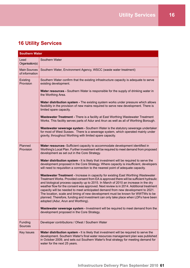# **16 Utility Services**

| <b>Southern Water</b>                 |                                                                                                                                                                                                                                                                                                                                                                                                                                                                                                                                                                                                                                                                    |
|---------------------------------------|--------------------------------------------------------------------------------------------------------------------------------------------------------------------------------------------------------------------------------------------------------------------------------------------------------------------------------------------------------------------------------------------------------------------------------------------------------------------------------------------------------------------------------------------------------------------------------------------------------------------------------------------------------------------|
| Lead<br>Organisation(s)               | Southern Water                                                                                                                                                                                                                                                                                                                                                                                                                                                                                                                                                                                                                                                     |
| <b>Main Sources</b><br>of information | Southern Water, Environment Agency, WSCC (waste water treatment)                                                                                                                                                                                                                                                                                                                                                                                                                                                                                                                                                                                                   |
| Existing<br>Provision                 | Southern Water confirm that the existing infrastructure capacity is adequate to serve<br>existing development.                                                                                                                                                                                                                                                                                                                                                                                                                                                                                                                                                     |
|                                       | Water resources - Southern Water is responsible for the supply of drinking water in<br>the Worthing Area.                                                                                                                                                                                                                                                                                                                                                                                                                                                                                                                                                          |
|                                       | Water distribution system - The existing system works under pressure which allows<br>flexibility in the provision of new mains required to serve new development. There is<br>limited spare capacity.                                                                                                                                                                                                                                                                                                                                                                                                                                                              |
|                                       | Wastewater Treatment - There is a facility at East Worthing Wastewater Treatment<br>Works. This facility serves parts of Adur and Arun as well as all of Worthing Borough.                                                                                                                                                                                                                                                                                                                                                                                                                                                                                         |
|                                       | Wastewater sewerage system - Southern Water is the statutory sewerage undertaker<br>for most of West Sussex. There is a sewerage system, which operated mainly under<br>gravity, throughout Worthing with limited spare capacity.                                                                                                                                                                                                                                                                                                                                                                                                                                  |
| Planned<br>Provision                  | Water resources- Sufficient capacity to accommodate development identified in<br>Worthing's Local Plan. Further investment will be required to meet demand from proposed<br>development as set out in the Core Strategy.                                                                                                                                                                                                                                                                                                                                                                                                                                           |
|                                       | Water distribution system - It is likely that investment will be required to serve the<br>development proposed in the Core Strategy. Where capacity is insufficient, developers<br>will need to requisition a connection to the nearest point of adequate capacity.                                                                                                                                                                                                                                                                                                                                                                                                |
|                                       | Wastewater Treatment - Increase in capacity for existing East Worthing Wastewater<br>Treatment Works. Provided consent from EA is approved there will be sufficient hydraulic<br>and biological process capacity up to 2015. In March of 2010 an increase in the dry<br>weather flow for the consent was approved. Next review is in 2014. Additional treatment<br>capacity will be needed to meet anticipated demand from new development to 2021.<br>The location, scale and timing of new development must be known for WWTWs to be<br>planned. Therefore, funding and investment can only take place when LDFs have been<br>adopted (Adur, Arun and Worthing). |
|                                       | Wastewater sewerage system - Investment will be required to meet demand from the<br>development proposed in the Core Strategy.                                                                                                                                                                                                                                                                                                                                                                                                                                                                                                                                     |
| Funding<br><b>Sources</b>             | Developer contributions / Ofwat / Southern Water                                                                                                                                                                                                                                                                                                                                                                                                                                                                                                                                                                                                                   |
| Key Issues                            | Water distribution system - It is likely that investment will be required to serve the<br>development. Southern Water's final water resources management plan was published<br>in October 2009, and sets out Southern Water's final strategy for meeting demand for<br>water for the next 25 years.                                                                                                                                                                                                                                                                                                                                                                |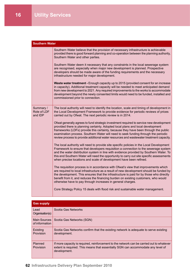| <b>Southern Water</b>               |                                                                                                                                                                                                                                                                                                                                                                                                                                                    |  |  |
|-------------------------------------|----------------------------------------------------------------------------------------------------------------------------------------------------------------------------------------------------------------------------------------------------------------------------------------------------------------------------------------------------------------------------------------------------------------------------------------------------|--|--|
|                                     | Southern Water believe that the provision of necessary infrastructure is achievable<br>provided there is good forward planning and co-operation between the planning authority,<br>Southern Water and other parties.                                                                                                                                                                                                                               |  |  |
|                                     | Southern Water deem it necessary that any constraints in the local sewerage system<br>are recognised, especially when major new development is planned. Prospective<br>developers should be made aware of the funding requirements and the necessary<br>infrastructure needed for major development.                                                                                                                                               |  |  |
|                                     | Waste water treatment - Enough capacity up to 2015 (provided consent for an increase<br>in capacity). Additional treatment capacity will be needed to meet anticipated demand<br>from new development to 2021. Any required improvements to the works to accommodate<br>development beyond the newly consented limits would need to be funded, installed and<br>commissioned prior to connection.                                                  |  |  |
| Summary /<br>Role of LDF<br>and IDP | The local authority will need to identify the location, scale and timing of development in<br>the Local Development Framework to provide evidence for periodic reviews of prices<br>carried out by Ofwat. The next periodic review is in 2014.                                                                                                                                                                                                     |  |  |
|                                     | Ofwat generally agrees to fund strategic investment required to service new development<br>provided there is planning certainty. Adopted local plans and local development<br>frameworks (LDFs) provide this certainty, because they have been through the public<br>examination process. Southern Water will need to seek funding through the periodic<br>review process to provide additional water resources and wastewater treatment capacity. |  |  |
|                                     | The local authority will need to provide site specific policies in the Local Development<br>Framework to ensure that developers requisition a connection to the sewerage system<br>and the water distribution system in line with evidence provided by Southern Water. To<br>this end Southern Water will need the opportunity to carry out site specific assessments<br>when precise locations and scale of development have been refined.        |  |  |
|                                     | The requisition process is in accordance with Ofwat's view that improvements which<br>are required to local infrastructure as a result of new development should be funded by<br>the development. This ensures that the infrastructure is paid for by those who directly<br>benefit from it, and reduces the financing burden on existing customers, who would<br>otherwise have to pay through increases in general charges.                      |  |  |
|                                     | Core Strategy Policy 15 deals with flood risk and sustainable water management.                                                                                                                                                                                                                                                                                                                                                                    |  |  |

| <b>Gas supply</b>              |                                                                                                                                                                                               |
|--------------------------------|-----------------------------------------------------------------------------------------------------------------------------------------------------------------------------------------------|
| Lead<br>Organisation(s)        | Scotia Gas Networks                                                                                                                                                                           |
| Main Sources<br>of information | Scotia Gas Networks (SGN)                                                                                                                                                                     |
| Existing<br>Provision          | Scotia Gas Networks confirm that the existing network is adequate to serve existing<br>development.                                                                                           |
| Planned<br>Provision           | If more capacity is required, reinforcement to the network can be carried out to whatever<br>extent is required. This means that essentially SGN can accommodate any level of<br>development. |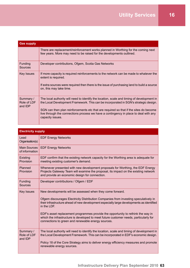| <b>Gas supply</b>                   |                                                                                                                                                                                                                                                                                                                                                                                         |
|-------------------------------------|-----------------------------------------------------------------------------------------------------------------------------------------------------------------------------------------------------------------------------------------------------------------------------------------------------------------------------------------------------------------------------------------|
|                                     | There are replacement/reinforcement works planned in Worthing for the coming next<br>few years. More may need to be raised for the developments outlined.                                                                                                                                                                                                                               |
| Funding<br>Sources                  | Developer contributions, Ofgem, Scotia Gas Networks                                                                                                                                                                                                                                                                                                                                     |
| Key Issues                          | If more capacity is required reinforcements to the network can be made to whatever the<br>extent is required.<br>If extra sources were required then there is the issue of purchasing land to build a source<br>on, this may take time.                                                                                                                                                 |
| Summary /<br>Role of LDF<br>and IDP | The local authority will need to identify the location, scale and timing of development in<br>the Local Development Framework. This can be incorporated in SGN's strategic design.<br>SGN can then plan reinforcements etc that are required so that if the sites do become<br>live through the connections process we have a contingency in place to deal with any<br>capacity issues. |

| <b>Electricity supply</b>             |                                                                                                                                                                                                                                                                                                                                                                                                                                                                                                  |  |
|---------------------------------------|--------------------------------------------------------------------------------------------------------------------------------------------------------------------------------------------------------------------------------------------------------------------------------------------------------------------------------------------------------------------------------------------------------------------------------------------------------------------------------------------------|--|
| Lead<br>Organisation(s)               | <b>EDF Energy Networks</b>                                                                                                                                                                                                                                                                                                                                                                                                                                                                       |  |
| <b>Main Sources</b><br>of information | <b>EDF Energy Networks</b>                                                                                                                                                                                                                                                                                                                                                                                                                                                                       |  |
| Existing<br>Provision                 | EDF confirm that the existing network capacity for the Worthing area is adequate for<br>meeting existing customer's demand.                                                                                                                                                                                                                                                                                                                                                                      |  |
| Planned<br>Provision                  | Whenever presented with new development proposals for Worthing, the EDF Energy<br>Projects Gateway Team will examine the proposal, its impact on the existing network<br>and provide an economic design for connection.                                                                                                                                                                                                                                                                          |  |
| Funding<br>Sources                    | Developer contributions / Ofgem / EDF                                                                                                                                                                                                                                                                                                                                                                                                                                                            |  |
| Key Issues                            | New developments will be assessed when they come forward.<br>Ofgem discourages Electricity Distribution Companies from investing speculatively in<br>their infrastructure ahead of new development especially large developments as identified<br>in the LDF.<br>EDF's asset replacement programmes provide the opportunity to rethink the way in<br>which the infrastructure is developed to meet future customer needs, particularly for<br>connections to green and renewable energy sources. |  |
| Summary /<br>Role of LDF<br>and IDP   | The local authority will need to identify the location, scale and timing of development in<br>the Local Development Framework. This can be incorporated in EDF's economic design.<br>Policy 18 of the Core Strategy aims to deliver energy efficiency measures and promote<br>renewable energy sources.                                                                                                                                                                                          |  |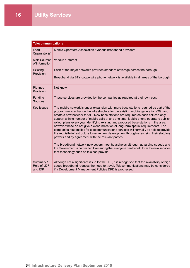| <b>Telecommunications</b>             |                                                                                                                                                                                                                                                                                                                                                                                                                                                                                                                                                                                                                                                                                                                                                                                                                                                                                                                                                                                                                     |  |
|---------------------------------------|---------------------------------------------------------------------------------------------------------------------------------------------------------------------------------------------------------------------------------------------------------------------------------------------------------------------------------------------------------------------------------------------------------------------------------------------------------------------------------------------------------------------------------------------------------------------------------------------------------------------------------------------------------------------------------------------------------------------------------------------------------------------------------------------------------------------------------------------------------------------------------------------------------------------------------------------------------------------------------------------------------------------|--|
| Lead<br>Organisation(s)               | Mobile Operators Association / various broadband providers                                                                                                                                                                                                                                                                                                                                                                                                                                                                                                                                                                                                                                                                                                                                                                                                                                                                                                                                                          |  |
| <b>Main Sources</b><br>of information | Various / Internet                                                                                                                                                                                                                                                                                                                                                                                                                                                                                                                                                                                                                                                                                                                                                                                                                                                                                                                                                                                                  |  |
| Existing<br>Provision                 | Each of the major networks provides standard coverage across the borough.<br>Broadband via BT's copperwire phone network is available in all areas of the borough.                                                                                                                                                                                                                                                                                                                                                                                                                                                                                                                                                                                                                                                                                                                                                                                                                                                  |  |
| Planned<br>Provision                  | Not known                                                                                                                                                                                                                                                                                                                                                                                                                                                                                                                                                                                                                                                                                                                                                                                                                                                                                                                                                                                                           |  |
| Funding<br>Sources                    | These services are provided by the companies as required at their own cost.                                                                                                                                                                                                                                                                                                                                                                                                                                                                                                                                                                                                                                                                                                                                                                                                                                                                                                                                         |  |
| <b>Key Issues</b>                     | The mobile network is under expansion with more base stations required as part of the<br>programme to enhance the infrastructure for the existing mobile generation (2G) and<br>create a new network for 3G. New base stations are required as each cell can only<br>support a finite number of mobile calls at any one time. Mobile phone operators publish<br>rollout plans every year identifying existing and proposed base stations in the area,<br>however these do not give a clear indication of long-term spatial requirements. The<br>companies responsible for telecommunications services will normally be able to provide<br>the requisite infrastructure to serve new development through exercising their statutory<br>powers and by agreement with the relevant parties.<br>The broadband network now covers most households although at varying speeds and<br>the Government is committed to ensuring that everyone can benefit form the new services<br>that technology such as this can provide. |  |
| Summary /<br>Role of LDF<br>and IDP   | Although not a significant issue for the LDF, it is recognised that the availability of high<br>speed broadband reduces the need to travel. Telecommunications may be considered<br>if a Development Management Policies DPD is progressed.                                                                                                                                                                                                                                                                                                                                                                                                                                                                                                                                                                                                                                                                                                                                                                         |  |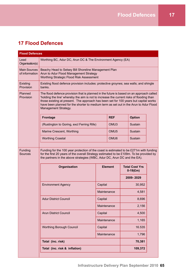# **17 Flood Defences**

| <b>Flood Defences</b>                 |                                                                                                                                                                                                                                                                                                                                                                                               |                  |                  |                                      |               |  |
|---------------------------------------|-----------------------------------------------------------------------------------------------------------------------------------------------------------------------------------------------------------------------------------------------------------------------------------------------------------------------------------------------------------------------------------------------|------------------|------------------|--------------------------------------|---------------|--|
| Lead<br>Organisation(s)               | Worthing BC, Adur DC, Arun DC & The Environment Agency (EA)                                                                                                                                                                                                                                                                                                                                   |                  |                  |                                      |               |  |
| <b>Main Sources</b><br>of information | Beachy Head to Selsey Bill Shoreline Management Plan<br>Arun to Adur Flood Management Strategy<br>Worthing Strategic Flood Risk Assessment                                                                                                                                                                                                                                                    |                  |                  |                                      |               |  |
| Existing<br>Provision                 | Existing flood defence provision includes: protective groynes; sea walls; and shingle<br>banks.                                                                                                                                                                                                                                                                                               |                  |                  |                                      |               |  |
| Planned<br>Provision                  | The flood defence provision that is planned in the future is based on an approach called<br>'holding the line' whereby the aim is not to increase the current risks of flooding than<br>those existing at present. The approach has been set for 100 years but capital works<br>have been planned for the shorter to medium term as set out in the Arun to Adur Flood<br>Management Strategy. |                  |                  |                                      |               |  |
|                                       | <b>Frontage</b>                                                                                                                                                                                                                                                                                                                                                                               |                  | <b>REF</b>       |                                      | <b>Option</b> |  |
|                                       | (Rustington to Goring, excl Ferring Rife)                                                                                                                                                                                                                                                                                                                                                     | OMU <sub>3</sub> |                  |                                      | Sustain       |  |
|                                       | Marine Crescent, Worthing                                                                                                                                                                                                                                                                                                                                                                     | OMU <sub>5</sub> |                  |                                      | Sustain       |  |
|                                       | <b>Worthing Coastal</b>                                                                                                                                                                                                                                                                                                                                                                       |                  | OMU <sub>6</sub> |                                      | Sustain       |  |
| <b>Sources</b>                        | for the first 20 years of the overall Strategy estimated to be £109m. To be provided by<br>the partners in the above strategies (WBC, Adur DC, Arun DC and the EA).<br>Organisation                                                                                                                                                                                                           |                  | <b>Element</b>   | <b>Total Cost Yrs</b><br>$0-19$ (£m) |               |  |
|                                       |                                                                                                                                                                                                                                                                                                                                                                                               |                  |                  | 2009-2029                            |               |  |
|                                       | <b>Environment Agency</b>                                                                                                                                                                                                                                                                                                                                                                     | Capital          |                  | 30,952                               |               |  |
|                                       |                                                                                                                                                                                                                                                                                                                                                                                               | Maintenance      |                  | 4,581                                |               |  |
|                                       | <b>Adur District Council</b>                                                                                                                                                                                                                                                                                                                                                                  | Capital          |                  | 8,696                                |               |  |
|                                       |                                                                                                                                                                                                                                                                                                                                                                                               | Maintenance      |                  | 2,156                                |               |  |
|                                       | <b>Arun District Council</b>                                                                                                                                                                                                                                                                                                                                                                  | Capital          |                  | 4,500                                |               |  |
|                                       |                                                                                                                                                                                                                                                                                                                                                                                               | Maintenance      |                  | 1,165                                |               |  |
|                                       | <b>Worthing Borough Council</b>                                                                                                                                                                                                                                                                                                                                                               | Capital          |                  | 16.535                               |               |  |
|                                       | Total (inc. risk)                                                                                                                                                                                                                                                                                                                                                                             | Maintenance      |                  | 1,796<br>70,381                      |               |  |
|                                       | Total (inc. risk & inflation)                                                                                                                                                                                                                                                                                                                                                                 |                  |                  | 109,372                              |               |  |
|                                       |                                                                                                                                                                                                                                                                                                                                                                                               |                  |                  |                                      |               |  |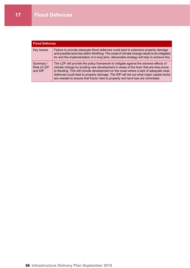| <b>Flood Defences</b>               |                                                                                                                                                                                                                                                                                                                                                                                                                                                  |  |
|-------------------------------------|--------------------------------------------------------------------------------------------------------------------------------------------------------------------------------------------------------------------------------------------------------------------------------------------------------------------------------------------------------------------------------------------------------------------------------------------------|--|
| <b>Key Issues</b>                   | Failure to provide adequate flood defences could lead to extensive property damage<br>and possible land loss within Worthing. The onset of climate change needs to be mitigated<br>for and the implementation of a long term, deliverable strategy will help to achieve this.                                                                                                                                                                    |  |
| Summary /<br>Role of LDF<br>and IDP | The LDF will provide the policy framework to mitigate against the adverse effects of<br>climate change by locating new development in areas of the town that are less prone<br>to flooding. This will include development on the coast where a lack of adequate seas<br>defences could lead to property damage. The IDP will set out what major capital works<br>are needed to ensure that future risks to property and land loss are minimised. |  |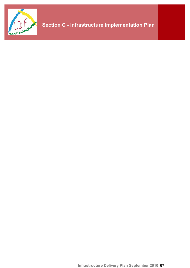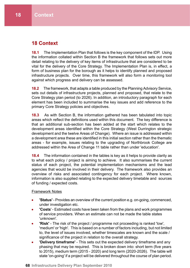# **18 Context**

**18.1** The Implementation Plan that follows is the key component of the IDP. Using the information collated within Section B the framework that follows sets out more detail relating to the delivery of key items of infrastructure that are considered to be vital for the delivery of the Core Strategy. The Implementation Plan is, in effect, a form of business plan for the borough as it helps to identify planned and proposed infrastructure projects. Over time, this framework will also form a monitoring tool against which progress and delivery can be assessed.

**18.2** The framework, that adapts a table produced by the Planning Advisory Service, sets out details of infrastructure projects, planned and proposed, that relate to the Core Strategy plan period (to 2026). In addition, an introductory paragraph for each element has been included to summarise the key issues and add reference to the primary Core Strategy policies and objectives.

**18.3** As with Section B, the information gathered has been tabulated into topic areas which reflect the definitions used within this document. The key difference is that an additional sub-section has been added at the start which relates to the development areas identified within the Core Strategy (West Durrington strategic development and the twelve Areas of Change). Where an issue is addressed within a development area these are identified in this initial section rather than the thematic areas - for example, issues relating to the upgrading of Northbrook College are addressed within the Area of Change 11 table rather than under 'education'.

**18.4** The information contained in the tables is key as it helps to provide clarity as to what each policy / project is aiming to achieve. It also summarises the current status of each project, the potential implementation mechanisms and the lead agencies that would be involved in their delivery. The framework also provides an overview of risks and associated contingency for each project. Where known, information is also supplied relating to the expected delivery timetable and sources of funding / expected costs.

#### Framework Notes

- **'Status'** Provides an overview of the current position e.g. on-going, commenced, under investigation etc.
- **'Costs**' Estimated costs have been taken from the plans and work programmes of service providers. When an estimate can not be made the table states 'unknown'.
- **'Risk'** The risk of the project / programme not proceeding is ranked 'low', 'medium' or 'high'. This is based on a number of factors including, but not limited to, the level of issues involved, whether timescales are known and the scale / significance of the project in relation to the overall strategy.
- **'Delivery timeframe'** This sets out the expected delivery timeframe and any phasing that may be required. This is broken down into: short term (five years to 2015), medium term (2015 - 2020) and long term (2020-2026). The table will state 'on-going' if a project will be delivered throughout the course of plan period.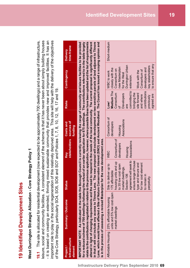# 19 Identified Development Sites **19 Identified Development Sites**

# West Durrington Strategic Allocation - Core Strategy Policy 1 **West Durrington Strategic Allocation - Core Strategy Policy 1**

leisure, social and community facilities. A consistent element of the scheme is that it has never been about simply building houses - it is based on creating an extended, thriving mixed sustainable community that provides new and improved facilities. It has an important role to play in the social regeneration of this relatively deprived area. This site will help with the delivery of the objectives The site is allocated for residential development (now expected to be approximately 700 dwellings) and a range of infrastructure, **19.1** The site is allocated for residential development (now expected to be approximately 700 dwellings) and a range of infrastructure, leisure, social and community facilities. A consistent element of the scheme is that it has never been about simply building houses<br>- it is hased on creating an extended, thriving mixed sustainable community that provides it is based on creating an extended, thriving mixed sustainable community that provides new and improved facilities. It has an important role to play in the social regeneration of this relatively deprived area. This site will help with the delivery of the objectives of the Core Strategy, particularly SO4, SO5, SO6 and SO7 and Policies 1, 7, 8, 10, 12, 16, 17 and 19. of the Core Strategy, particularly SO4, SO5, SO6 and SO7 and Policies 1, 7, 8, 10, 12, 16, 17 and 19.  $19.1$ 

| Delivery<br>ime-frame                     |
|-------------------------------------------|
| <b>Contingenc</b>                         |
| Risks                                     |
| sources of<br><b>Costs and</b><br>tunding |
| stakeholders<br>Key                       |
| Status                                    |
|                                           |
|                                           |

in that it will not include any access to Titnore Lane. The new proposal will exclude development on two sensitive parcels of land adjacent to Titnore Lane, which would have affected a Site of Nature Conservation Interest (SNCI) and Ancient Woodland. The Council has issued a scoping opinion and<br>is in the process of assessing a revised Masterplan for the new development a for a reduced scheme of 700 dwellings following the refusal of an earlier application for 875 dwellings. The contributions referred to in the table largely relate to the contributions negotiated in relation to the previous application, however, where possible these have been updated and the list of requirements altered in light of changing requirements and the need to respond to the needs of the local community. The current proposal is significantly different IMPORTANT NOTE: As indicated in the table the Borough Council is currently reviewing the range of community and leisure facilities to be provided MPORTANT NOTE. As indicated in the table the Borough Council is currently reviewing the range of community and leisure facilities to be provided for a reduced scheme of 700 dwellings following the refusal of an earlier application for 875 dwellings. The contributions referred to in the table largely relate to the contributions negotiated in relation to the previous application, however, where possible these have been updated and the list of requirements altered in light of changing requirements and the need to respond to the needs of the local community. The current proposal is significantly different **in that it will not include any access to Titnore Lane. The new proposal will exclude development on two sensitive parcels of land adjacent to Titnore** Lane, which would have affected a Site of Nature Conservation Interest (SNCI) and Ancient Woodland. The Council has issued a scoping opinion and **is in the process of assessing a revised Masterplan for the new development area.**

| Short-medium                                                                    |                                      |                     |                   |                  |                                                |                       |                                   |                  |                              |                  |                    |
|---------------------------------------------------------------------------------|--------------------------------------|---------------------|-------------------|------------------|------------------------------------------------|-----------------------|-----------------------------------|------------------|------------------------------|------------------|--------------------|
| Medium The   closely with the<br><b>WBC to work</b>                             | Consortium Consortium on             | new Masterplan      | for the West      | Durrington Urban |                                                |                       | Work with the                     | Consortium of    | contributions developers and | key stakeholders | to ensure that any |
| <b>Low</b>                                                                      |                                      |                     | <b>Developers</b> | are<br>a         | committed to extension.                        | bringing the          | site forward                      | and where        |                              | previously       | agreed are         |
| Consortium of<br>developers                                                     |                                      | Housing             | Associations      |                  |                                                |                       |                                   |                  |                              |                  |                    |
| <b>WBC</b>                                                                      |                                      | developers          |                   | Housing          |                                                |                       |                                   |                  |                              |                  |                    |
| Site to deliver up to<br>affordable                                             | housing units and up   Consortium of | to 35 low cost open | market dwellings. | Section 106      | eement will seek to   Associations<br>ក្ខ<br>ឆ | ensure range of house | e and tenure and<br>type<br>for l | low cost element | to remain in                 | perpetuity.      |                    |
| units and 5% low cost open   175<br>Affordable Housing   25% affordable housing | market dwellings                     |                     |                   |                  |                                                |                       |                                   |                  |                              |                  |                    |
|                                                                                 |                                      |                     |                   |                  |                                                |                       |                                   |                  |                              |                  |                    |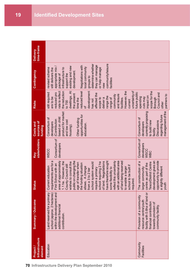| <b>Infrastructure</b><br>element<br>Project | <b>Summary / Outcome</b>                                                                                                                                    | <b>Status</b>                                                                                                                                                                                                                                                                                                                                                                                                                                                                                                                                                                                      | <b>stakeholders</b><br>Key                               | sources of<br>Costs and<br><b>funding</b>                                                                                                                           | Risks                                                                                                                                                                                                                                                                                                                                     | Contingency                                                                                                                                                                                                                                                                                              | time-frame<br>Delivery |
|---------------------------------------------|-------------------------------------------------------------------------------------------------------------------------------------------------------------|----------------------------------------------------------------------------------------------------------------------------------------------------------------------------------------------------------------------------------------------------------------------------------------------------------------------------------------------------------------------------------------------------------------------------------------------------------------------------------------------------------------------------------------------------------------------------------------------------|----------------------------------------------------------|---------------------------------------------------------------------------------------------------------------------------------------------------------------------|-------------------------------------------------------------------------------------------------------------------------------------------------------------------------------------------------------------------------------------------------------------------------------------------------------------------------------------------|----------------------------------------------------------------------------------------------------------------------------------------------------------------------------------------------------------------------------------------------------------------------------------------------------------|------------------------|
| Education                                   | within the development and<br>and reserved for a primary<br>school (approx. 2 hectares)<br>additional financial<br>contribution.                            | public on changing the<br>have therefore sought<br>requirements are for a<br>area of approximately<br>with an additional area<br>1.1 ha. However, the<br>reflect this uncertainty<br>of land being reserved<br>of land. Negotiations<br>wishes to consult the<br>school requiring 2 ha<br>school system would<br>age of transfer when<br>the funding situation<br>School with an<br>County Council still<br>school to be built if<br>ent education<br>allows. A change<br>to enable a larger<br>some flexibility to<br>require a primary<br>a 3 to 2 tier<br>required.<br>First<br>from<br>تا<br>ت | Consortium of<br>developers<br>WSCC                      | product for market<br>opportunities for<br>based on child<br>Consortium of<br>Other funding<br>(Contribution<br>and low cost<br>developers<br>education<br>housing) | However, the<br>development<br>uncertainty of<br>rata to reflect<br>the reduction<br>dwellings. At<br>reduced level<br>still required<br>reduced pro<br>affected the<br>the present<br>and leisure<br>community<br>range the<br>are to be<br>scope to<br>deliver a<br>range of<br>facilities.<br>time the<br>has not<br>current<br>to 700 | community/leisure<br>determine whether<br>they can manage<br>Negotiations with<br>existing and new<br>appropriate mix /<br>local community<br>revised scheme<br>or help manage<br>infrastructure to<br>still delivers the<br>development.<br>support the<br>package of<br>groups to<br>facilities<br>new |                        |
| Community<br>Facilities                     | facility with 0.6ha of land or<br>Provision of a community<br>resource centre/youth<br>financial contribution<br>towards provision of<br>community facility | opportunity to provide<br>development gives an<br>The construction of a<br>Tesco/District Centre<br>centre as part of the<br>a slightly different<br>larger community<br>youth                                                                                                                                                                                                                                                                                                                                                                                                                     | Consortium of<br>developers<br><b>WSCC</b><br><b>VBC</b> | management of the<br>currently proposing<br>regarding future<br>Consortium of<br>Discussions<br>to build new<br>developers<br>facility.                             | scope for the<br>future public<br>Council and<br>partners to<br>impact on<br>spending<br>cuts may<br>Borough<br>other                                                                                                                                                                                                                     |                                                                                                                                                                                                                                                                                                          |                        |

**70 Infrastructure Delivery Plan September 2010**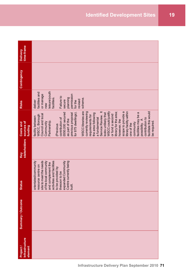| <b>Infrastructure</b><br>Project /<br>element | <b>Summary / Outcome</b> | <b>Status</b>                                                        | stakeholders<br>Key | sources of<br>Costs and<br>funding                     | Risks                                  | Contingency | time-frame<br><b>Delivery</b> |
|-----------------------------------------------|--------------------------|----------------------------------------------------------------------|---------------------|--------------------------------------------------------|----------------------------------------|-------------|-------------------------------|
|                                               |                          | site to meet the needs<br>orientated/community<br>resource centre on |                     | Council and local<br>WSCC, Borough<br>facility between | facilities and<br>or manage<br>deliver |             |                               |
|                                               |                          | of the local community                                               |                     | Community                                              | new                                    |             |                               |
|                                               |                          | activities and facilities<br>and complement the                      |                     | Partnership.                                           | leisure/youth<br>facilities.           |             |                               |
|                                               |                          | provided by<br>to be                                                 |                     | (Previous                                              |                                        |             |                               |
|                                               |                          | expanded Community<br>thesoon to be                                  |                     | £650,000 secured<br>contribution of                    | Failure to<br>secure                   |             |                               |
|                                               |                          | Centre currently being                                               |                     | as part of the                                         | planning                               |             |                               |
|                                               |                          | built.                                                               |                     | previous proposal                                      | permission                             |             |                               |
|                                               |                          |                                                                      |                     | for 875 dwellings)                                     | revised<br>for the                     |             |                               |
|                                               |                          |                                                                      |                     | WSCC libraries are                                     | scheme.                                |             |                               |
|                                               |                          |                                                                      |                     | currently reviewing                                    |                                        |             |                               |
|                                               |                          |                                                                      |                     | requirements for                                       |                                        |             |                               |
|                                               |                          |                                                                      |                     | the area following                                     |                                        |             |                               |
|                                               |                          |                                                                      |                     | a fundamental                                          |                                        |             |                               |
|                                               |                          |                                                                      |                     | Service Review. It                                     |                                        |             |                               |
|                                               |                          |                                                                      |                     | looks unlikely that                                    |                                        |             |                               |
|                                               |                          |                                                                      |                     | WSCC could justify<br>or fund a second                 |                                        |             |                               |
|                                               |                          |                                                                      |                     | library for the area;                                  |                                        |             |                               |
|                                               |                          |                                                                      |                     | however, the                                           |                                        |             |                               |
|                                               |                          |                                                                      |                     | scope to provide a                                     |                                        |             |                               |
|                                               |                          |                                                                      |                     | library facility within                                |                                        |             |                               |
|                                               |                          |                                                                      |                     | one of the                                             |                                        |             |                               |
|                                               |                          |                                                                      |                     | community                                              |                                        |             |                               |
|                                               |                          |                                                                      |                     | facilities may be a                                    |                                        |             |                               |
|                                               |                          |                                                                      |                     | contribution to<br>possibility. A                      |                                        |             |                               |
|                                               |                          |                                                                      |                     | facilitate this would                                  |                                        |             |                               |
|                                               |                          |                                                                      |                     | be required                                            |                                        |             |                               |
|                                               |                          |                                                                      |                     |                                                        |                                        |             |                               |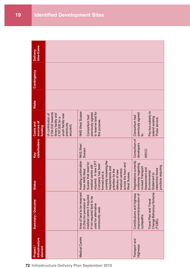| time-frame<br><b>Delivery</b>               |                                                                                                                                   |                                                                                                                                                                                                                                                                                                            |                                                                                                                                                                |
|---------------------------------------------|-----------------------------------------------------------------------------------------------------------------------------------|------------------------------------------------------------------------------------------------------------------------------------------------------------------------------------------------------------------------------------------------------------------------------------------------------------|----------------------------------------------------------------------------------------------------------------------------------------------------------------|
| Contingency                                 |                                                                                                                                   |                                                                                                                                                                                                                                                                                                            |                                                                                                                                                                |
| Risks                                       |                                                                                                                                   |                                                                                                                                                                                                                                                                                                            |                                                                                                                                                                |
| sources of<br>Costs and<br>funding          | £164,032 towards<br>library facility and<br>(A contribution of<br>youth facility was<br>£187,500 for a<br>previously<br>secured). | NHS West Sussex<br>to reserve land for<br>previously agreed<br>Consortium had<br>this purpose.                                                                                                                                                                                                             | Pay bus subsidy to<br>previously agreed<br>Consortium had<br>extend existing<br>Pulse service.<br>$\ddot{\mathbf{e}}$                                          |
| <b>stakeholders</b><br>Key                  |                                                                                                                                   | <b>NHS West</b><br>Sussex                                                                                                                                                                                                                                                                                  | Consortium of<br>developers<br><b>WSCC</b>                                                                                                                     |
| <b>Status</b>                               |                                                                                                                                   | currently reviewing the<br>iting confirmation<br>required. A new LIFT<br>Sussex that need for<br>across the town and<br>Company has been<br>medical centre still<br>requirements and<br>medical centres<br>from NHS West<br>priorities for the<br>delivery of new<br>formed and is<br>West Sussex.<br>Awai | Negotiations currently<br>underway regarding<br>junctions requiring<br>revised Transport<br>Assessment and<br>determine those<br>Environmental<br>Statement to |
| <b>Summary / Outcome</b>                    |                                                                                                                                   | Area of land to be reserved<br>medical centre if required.<br>If not required land to be<br>(0.2ha) for provision of<br>used for alternative<br>community uses                                                                                                                                             | Change Behaviour Scheme<br>(TCBS).<br>Contributions and highway<br>improvements/provision of<br>Travel Plan and Travel<br>cyclepaths.                          |
| <b>Infrastructure</b><br>element<br>Project |                                                                                                                                   | Medical Centre                                                                                                                                                                                                                                                                                             | Transport and<br>Highways                                                                                                                                      |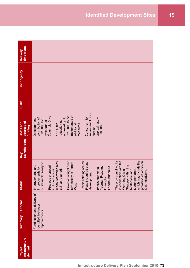| time-frame<br>Delivery               |                                                                                                                                                                                                                                                                                                                                                                                                                                                                                                                                                                    |
|--------------------------------------|--------------------------------------------------------------------------------------------------------------------------------------------------------------------------------------------------------------------------------------------------------------------------------------------------------------------------------------------------------------------------------------------------------------------------------------------------------------------------------------------------------------------------------------------------------------------|
| Contingency                          |                                                                                                                                                                                                                                                                                                                                                                                                                                                                                                                                                                    |
| Risks                                |                                                                                                                                                                                                                                                                                                                                                                                                                                                                                                                                                                    |
| sources of<br>Costs and<br>funding   | implement TCBS<br>implemented on<br>Columbia Drive.<br>£210,000 to be<br>achieved up to<br>contribution of<br>approximately<br>Consortium to<br>Development<br>reduction not<br>£125,000 for<br>cyclepath at<br>If 15% trip<br>measures.<br>£100,000<br>additional<br>cost of                                                                                                                                                                                                                                                                                      |
| stakeholders<br>Key                  |                                                                                                                                                                                                                                                                                                                                                                                                                                                                                                                                                                    |
| <b>Status</b>                        | Traffic calming of New<br>The provision of works<br>which may include the<br>sustainable transport:<br>Provision of right hand<br>in connection with the<br>measures which may<br>provision of works on<br>tum facility at Titnore<br>Roadif required post<br>Strategy within the<br>improvements and<br>Laneroundabouts.<br>Previous proposal<br>Yeoman Roadand<br>included following<br>Improvements to<br>improvements to<br>still be required:<br>Durrington area,<br>Northbrook and<br>Worthing Cycle<br>ColumbiaDrive.<br>development;<br>Durrington<br>Way; |
| <b>Summary / Outcome</b>             | Funding for, and delivery of,<br>identified highways<br>improvements                                                                                                                                                                                                                                                                                                                                                                                                                                                                                               |
| Infrastructure<br>Project<br>element |                                                                                                                                                                                                                                                                                                                                                                                                                                                                                                                                                                    |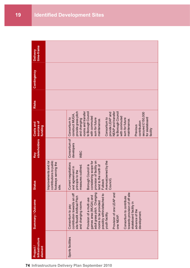| <b>Infrastructure</b><br>element<br>Project | Summary / Outcome                                                                                                                                                                                                                                                                                                                                                                                                                          | <b>Status</b>                                                                                                                                                                                                                                | stakeholders<br>Κeλ                       | sources of<br>Costs and<br>funding                                                                                                                                                                                                                                                                                                                                                      | Risks | <b>Contingency</b> | time-frame<br><b>Delivery</b> |
|---------------------------------------------|--------------------------------------------------------------------------------------------------------------------------------------------------------------------------------------------------------------------------------------------------------------------------------------------------------------------------------------------------------------------------------------------------------------------------------------------|----------------------------------------------------------------------------------------------------------------------------------------------------------------------------------------------------------------------------------------------|-------------------------------------------|-----------------------------------------------------------------------------------------------------------------------------------------------------------------------------------------------------------------------------------------------------------------------------------------------------------------------------------------------------------------------------------------|-------|--------------------|-------------------------------|
|                                             |                                                                                                                                                                                                                                                                                                                                                                                                                                            | contributions to public<br>Improvements and/or<br>footways serving the<br>site.                                                                                                                                                              |                                           |                                                                                                                                                                                                                                                                                                                                                                                         |       |                    |                               |
| Sports facilities                           | adult grass pitch. Changing<br>towards provision of off site<br>Provision of one LEAP and<br>possibly within/attached to<br>contribution towards an off<br>games area (MUGA) and<br>site floodlit Artificial Pitch<br>Consortium to contribute<br>Provision of a multi use<br>rooms to be provided<br>and changing rooms.<br>skateboard facility in<br>Consortium to pay<br>advance of the<br>development.<br>youth facility.<br>one NEAP. | provision of facility on<br>Avenue (owned by the<br>considering scope for<br>Current negotiations<br>land to the north of<br>Borough Council is<br>measures outlined.<br>and agreement in<br>principle to the<br>Council).<br><b>Fulbeck</b> | Consortium of<br>developers<br><b>WBC</b> | provide grass pitch<br>rooms and transfer<br>to Borough Council<br>NEAP and transfer<br>to Borough Council<br>provide LEAP and<br>secured £150,000<br>construct MUGA,<br>with commuted<br>with commuted<br>Consortium to<br>for skateboard<br>Consortium to<br>sum for future<br>sum for future<br>and changing<br>maintenance.<br>maintenance.<br>contribution<br>Previous<br>facility |       |                    |                               |
|                                             |                                                                                                                                                                                                                                                                                                                                                                                                                                            |                                                                                                                                                                                                                                              |                                           |                                                                                                                                                                                                                                                                                                                                                                                         |       |                    |                               |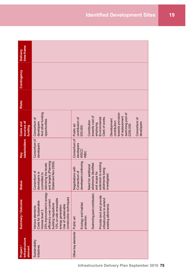| <b>Infrastructure</b><br>element<br>Project | Summary / Outcome                                                                                                                                                                                                                          | <b>Status</b>                                                                                                                                                                               | stakeholders<br>Key                                      | sources of<br>Costs and<br>funding                                                                                                                                                                                                                                  | Risks | Contingency | time-frame<br>Delivery |
|---------------------------------------------|--------------------------------------------------------------------------------------------------------------------------------------------------------------------------------------------------------------------------------------------|---------------------------------------------------------------------------------------------------------------------------------------------------------------------------------------------|----------------------------------------------------------|---------------------------------------------------------------------------------------------------------------------------------------------------------------------------------------------------------------------------------------------------------------------|-------|-------------|------------------------|
| Sustainability<br>initiatives               | 25% improvement in energy<br>construction techniques<br>10% on-site renewable<br>efficiency over current<br>Code for Sustainable<br>building regulations<br>Use of sustainable<br>energy generation<br>Various elements:<br>Homes level 3. | and targets (Planning<br>Statement Nov 2009).<br>delivering the levels<br>Consortium of<br>developers is<br>committed to                                                                    | Consortium of<br>developers                              | And other funding<br>Consortium of<br>opportunities.<br>developers                                                                                                                                                                                                  |       |             |                        |
| Other key elements                          | Swimming pool contribution.<br>Provide land and provide<br>infrastructure to extend<br>Ecology and habitat<br>existing allotments.<br>protection.<br>Public art                                                                            | developers continuing.<br>extension to existing<br>allotments identified<br>Need for additional<br>Negotiations with<br>allotments being<br>Consortium of<br>and scope for<br>investigated. | Consortium of<br>developers<br><b>WSCC</b><br><b>VBC</b> | swimming pool of<br>towards provision<br>towards cost of<br>of replacement<br>Clerk of works.<br>contribution of<br>Environmental<br>Consortium of<br>Development<br>Contribution<br>contribution<br>developers<br>employing<br>£250,000.<br>Public art<br>£50,000. |       |             |                        |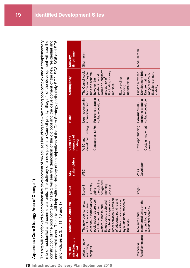Aquarena: (Core Strategy Area of Change 1) **Aquarena: (Core Strategy Area of Change 1)**

commercial uses. This site will help with the delivery of the objectives of the Core Strategy particularly SO2, SO3, SO5 and SO6 construction of the pool complex. Stage 2 will see the demolition of the old pool and the development of the new residential and complementary Council priority. Stage 1 of the development will see the will see the demolition of the old pool and the development of the new residential and commercial uses. This site will help with the delivery of the objectives of the Core Strategy particularly SO2, SO3 ,SO5 and SO6 ത new swimming pool complex and a comprehensive development of mixed uses including ത a new pool is mix of residential and commercial units. The delivery of construction of the pool complex. Stage and Policies 2, 3, 5, 11, 16 and 17. and Policies 2, 3, 5, 11, 16 and 17. ത This site will bring forward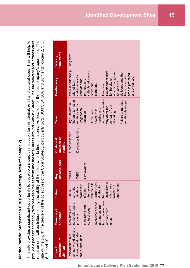# Marine Parade: Stagecoach Site (Core Strategy Area of Change 2) **Marine Parade: Stagecoach Site (Core Strategy Area of Change 2)**

This site provides a significant opportunity to develop a mixed use location for residential, retail and cultural uses. This will help to provide aa pedestrian friendly flow between the seafront and the retail areas around Warwick Street. The site delivery and infrastructure requirements will be influenced by the ability of the site owner to find an alternative location for the bus company's operation. The site will help with the delivery of the objectives of the Core Strategy, particularly SO2, SO3 SO3 SO4 SO6 and SO7 and Policies 2, 3, 5, 6, 7, and 19.

| <b>Infrastructure</b><br>element<br>Project                                               | Summary<br><b>Outcome</b>                                                                                                                                           | <b>Status</b>                                                                                                                                                                                 | <b>stakeholders</b><br>Key        | sources of<br>Costs and<br>funding | Risks                                                                                                                                                                                                                                                              | Contingency                                                                                                                                                                                                                                                                                                             | time-frame<br><b>Delivery</b> |
|-------------------------------------------------------------------------------------------|---------------------------------------------------------------------------------------------------------------------------------------------------------------------|-----------------------------------------------------------------------------------------------------------------------------------------------------------------------------------------------|-----------------------------------|------------------------------------|--------------------------------------------------------------------------------------------------------------------------------------------------------------------------------------------------------------------------------------------------------------------|-------------------------------------------------------------------------------------------------------------------------------------------------------------------------------------------------------------------------------------------------------------------------------------------------------------------------|-------------------------------|
| company and delivery<br>of residential, retail<br>Relocation of bus<br>and cultural units | both the southern<br>mproved access<br>and egress from<br>some affordable<br>New retail and<br>New flats with<br>cultural uses<br>and northern<br>provision<br>ends | owners have<br>possibility of<br>with the site<br>discussions<br>a business<br>another site<br>transfer to<br>owned but<br>alluded to<br>privately<br>informal<br>currently<br>Site is<br>the | Site owners<br>WSCC<br><b>WBC</b> | Developer funding<br>Costs unknown | commercial market   Progress<br>suitable developer<br>Failure to attract a<br>find an alternative<br>High - failure to<br>suitable site for<br>company from<br>may deter the<br>housing and<br>Stagecoach<br>downturn in<br>relocating.<br>Continued<br>relocation | Work in partnership   Long-term<br>ensure the right mix<br><b>Development Brief</b><br>suitable relocation<br>delivered and that<br>area is protected<br>the surrounding<br>stakeholders to<br>and enhanced.<br>consider and<br>for the site to<br>promote any<br>of uses are<br>with all key<br>of the bus<br>company. |                               |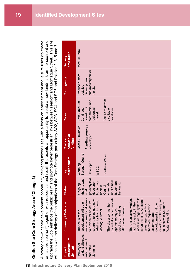Grafton Site (Core Strategy Area of Change 3) **Grafton Site (Core Strategy Area of Change 3)** A strategic town centre development opportunity delivering mixed uses with a focus on entertainment and leisure uses (to create upgrade the Lido, enhance the public realm and promote better pedestrian links between seafront and Montague Street. This site an 'active seafront') together with residential and retail. It presents an opportunity to create a new landmark on the seafront and focus on entertainment and leisure uses (to create new landmark on the seafront and upgrade the Lido, enhance the public realm and promote better pedestrian links between seafront and Montague Street. This site 5 and 7. will help with the delivery of the objectives of the Core Strategy, particularly SO2, SO3, SO3, SO4 and SO6 and Policies 2, 3, an 'active seafront') together with residential and retail. It presents an opportunity to create A strategic town centre development opportunity delivering mixed uses with

| time-frame<br>Delivery                        | Medium-term                                                                                                                                                                                                                                                                                                                                                                                                                                                                                                                                                                                   |
|-----------------------------------------------|-----------------------------------------------------------------------------------------------------------------------------------------------------------------------------------------------------------------------------------------------------------------------------------------------------------------------------------------------------------------------------------------------------------------------------------------------------------------------------------------------------------------------------------------------------------------------------------------------|
| Contingency                                   | brief/masterplan for<br>Produce a more<br><b>Development</b><br>detailed<br>the site                                                                                                                                                                                                                                                                                                                                                                                                                                                                                                          |
| Risks                                         | Failure to attract<br>commercial and<br>Low - Medium<br>downturn in<br>Continued<br>residential<br>a suitable<br>developer<br>market.                                                                                                                                                                                                                                                                                                                                                                                                                                                         |
| sources of<br>Costs and<br>funding            | <b>Funding sources</b><br>Costs - Unknown<br>- developer                                                                                                                                                                                                                                                                                                                                                                                                                                                                                                                                      |
| stakeholders<br>Key                           | Borough Council<br>Southern Water<br>Developer<br>Worthing<br><b>WSCC</b>                                                                                                                                                                                                                                                                                                                                                                                                                                                                                                                     |
| <b>Status</b>                                 | privately to a<br>the site was<br>until a new<br>but is now<br>ownership<br>buyer can<br>be found.<br>Ongoing-<br>back in<br>Council<br>sold                                                                                                                                                                                                                                                                                                                                                                                                                                                  |
| Summary / Outcome                             | potential to accommodate<br>entertainment and leisure<br>local sewerage system to<br>There is an acknowledged<br>developer will be required<br>serve this site. Additional<br>seafront to include new<br>retail units fronting onto<br>to provide for an active<br>development will be on<br>to liaise with Southern<br>lack of capacity in the<br>development and the<br>The site also has the<br>sewerage capacity is<br>therefore required to<br>affordable housing.<br>dwellings including<br>approximately 250<br>Montague Street.<br>The focus of the<br>Water regarding<br>accommodate |
| <b>Infrastructure</b><br>Project /<br>element | residential, leisure,<br>entertainment<br>Delivery of<br>and retail<br>elements                                                                                                                                                                                                                                                                                                                                                                                                                                                                                                               |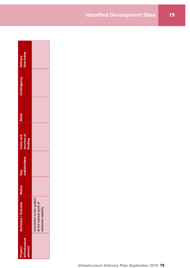| Delivery<br>ime-frame                        |                                                                           |
|----------------------------------------------|---------------------------------------------------------------------------|
| Contingency                                  |                                                                           |
| Risks                                        |                                                                           |
| Costs and<br>sources of<br>funding           |                                                                           |
| stakeholder<br>ම                             |                                                                           |
| <b>Status</b>                                |                                                                           |
| <b>Summary / Outcome</b>                     | connection to the system<br>at the nearest point of<br>adequate capacity. |
| nfrastructure<br>Project /<br><b>slement</b> |                                                                           |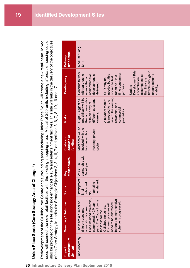also be provided on the site alongside enhanced leisure and entertainment facilities. This site will help in the delivery of the objectives Redevelopment of the Guildbourne Centre and surrounding areas including Union Place South will create a new retail heart. Mixed uses will connect the new retail facilities with the existing shopping area. A total of 250 units including affordable housing could also be provided on the site alongside enhanced leisure and entertainment facilities. This site will help in the delivery of the objectives a new retail heart. Mixed<br><del>Contain to the second</del> A total of 250 units including affordable housing could Redevelopment of the Guildbourne Centre and surrounding areas including Union Place South will create ,10, 16 and 17. ∞ and policies 3, 6, 7, uses will connect the new retail facilities with the existing shopping area.  $\overline{\phantom{0}}$ of the Core Strategy in particular Strategic Objectives 2, 3, 4, 6,

| Summary / Outcome                                                                                                                                                                                                                                                                                 | <b>Status</b>                                                                                     | stakeholders<br>Key | sources of<br>Costs and<br>funding                                                                        | Risks                                                                                                                                                                                                                                    | <b>Contingency</b>                                                                                                                                                                                                                                                                                                                                    | time-frame<br>Delivery |
|---------------------------------------------------------------------------------------------------------------------------------------------------------------------------------------------------------------------------------------------------------------------------------------------------|---------------------------------------------------------------------------------------------------|---------------------|-----------------------------------------------------------------------------------------------------------|------------------------------------------------------------------------------------------------------------------------------------------------------------------------------------------------------------------------------------------|-------------------------------------------------------------------------------------------------------------------------------------------------------------------------------------------------------------------------------------------------------------------------------------------------------------------------------------------------------|------------------------|
| ownership is spread.<br>Uses included residential,<br>before a comprehensive<br>park. The Council owns<br>There are a number of<br>scheme is progressed.<br>need to be addressed<br>Ownership issues will<br>commercial, NCP car<br>Guildbourne centre<br>different uses and<br>the lease for the | Development   WBC / (in<br>has started.<br>published.<br>marketing<br><b>Brief</b><br>$rac{1}{2}$ | Developer           | Most costs will be<br>partnership with) involved with the<br>Funding: private<br>land assembly.<br>sector | High - Biggest risk<br>and difficulty will be<br>the land assembly<br>sale of the existing<br>A buyoant market<br>different uses and<br>is needed for the<br>with an array of<br>residential and<br>commercial<br>properties.<br>owners. | Development Brief<br>flexible enough to<br>Continue to work<br>time-consuming<br>assumptions so<br>with partners to<br>needed but this<br>comprehensive<br>development is<br>ensure scheme<br>resort as it is a<br>should be last<br>ensure that a<br>CPO may be<br>/ contribution<br>that they are<br>delivered.<br>process.<br>Update<br>viability. | Medium / Long-<br>term |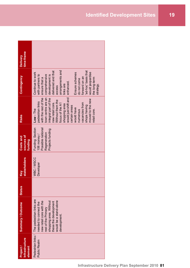| time-frame<br>Delivery                        |                                                                                                                                                                                                                                                                                                                          |
|-----------------------------------------------|--------------------------------------------------------------------------------------------------------------------------------------------------------------------------------------------------------------------------------------------------------------------------------------------------------------------------|
| Contingency                                   | arrangements and<br>delivered and that<br>ad-hoc' basis that<br>Continue to work<br>would jeopardise<br>Ensure schemes<br>with partners to<br>comprehensive<br>development is<br>forward on an<br>ensure that a<br>the long-term<br>do not come<br>enhanced.<br>inks are<br>strategy.<br>access                          |
| Risks                                         | town centre are an<br>with the rest of the<br>integral part of the<br>would just shift and<br>moved to the new<br>Without them the<br>pedestrian links<br>new retail core.<br>focus of the A1<br>vacancies from<br>shopping area<br>shops having<br>certain areas<br>would have<br>Low - The<br>retail core.<br>numerous |
| sources of<br>Costs and<br>funding            | Funding: Section<br>Possible national<br>Projects funding<br>Regeneration<br>106 money $/$                                                                                                                                                                                                                               |
| stakeholders<br>Key                           | WBC/WSCC<br>Developer                                                                                                                                                                                                                                                                                                    |
| <b>Status</b>                                 |                                                                                                                                                                                                                                                                                                                          |
| Summary / Outcome                             | Pedestrian links / The pedestrian links are<br>shopping area. Without<br>these the development<br>would be a stand-alone<br>new retail core with the<br>needed to connect the<br>rest of the Primary<br>development.                                                                                                     |
| <b>Infrastructure</b><br>Project /<br>element | Public Realm                                                                                                                                                                                                                                                                                                             |

## **Identified Development Sites 19**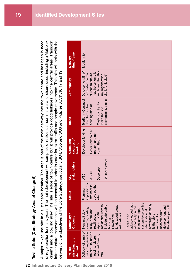Teville Gate: (Core Strategy Area of Change 5) **Teville Gate: (Core Strategy Area of Change 5)** A major mixed use site in a sustainable location. The area is part of the main gateway into the town centre and has been in need a Multiplex Transport sustainable location. The area is part of the main gateway into the town centre and has been in need infrastructure improvements will be essential in order to cater for extra traffic and people movements. This site will help with the bowling alley. The site is edge of town centre but it will provide good linkages into the central areas. of regeneration for many years. The main development will comprise of residential, commercial and leisure uses, including delivery of the objectives of the Core Strategy, particularly SO4, SO5 and SO6 and Policies 3,7,11,16,17 and 19. delivery of the objectives of the Core Strategy, particularly SO4, SO5 and SO6 and Policies 3,7,11,16,17 and 19. A major mixed use site in ത cinema and

| time-frame<br>Delivery             |         | Medium-term                                                                                                                                                                                                                                                                                                                                                                                                                      |
|------------------------------------|---------|----------------------------------------------------------------------------------------------------------------------------------------------------------------------------------------------------------------------------------------------------------------------------------------------------------------------------------------------------------------------------------------------------------------------------------|
|                                    |         |                                                                                                                                                                                                                                                                                                                                                                                                                                  |
| Contingency                        |         | Development Brief<br>viable and that this<br>that the scheme is<br>/ consider the mix<br>of uses to ensure<br>key regeneration<br>site is 'unlocked'.                                                                                                                                                                                                                                                                            |
| Risks                              |         | economically viable<br>Medium - Continual<br>Costs too high to<br>housing market.<br>downturn in the<br>make the site                                                                                                                                                                                                                                                                                                            |
| sources of<br>Costs and            | funding | Developer funding<br>Costs unknown at<br>present and not<br>committed                                                                                                                                                                                                                                                                                                                                                            |
| stakeholders<br>Key                |         | Southern Water<br>Developer<br><b>WSCC</b><br><b>WBC</b>                                                                                                                                                                                                                                                                                                                                                                         |
| <b>Status</b>                      |         | application is<br>imminent to<br>develop the<br>Planning<br>site                                                                                                                                                                                                                                                                                                                                                                 |
| Summary<br><b>Outcome</b>          |         | acknowledged lack<br>system to serve this<br>sewerage capacity<br>esidential units to<br>include affordable<br>landscaped areas<br>the developer will<br>development and<br>of capacity in the<br>cinema, bowling<br>alley, hotel and<br>local sewerage<br>site. Additional<br>accommodate<br>New multiplex<br>Approx 250+<br>with artwork<br>There is an<br>is therefore<br>Paved and<br>etail uses.<br>required to<br>housing. |
| <b>Infrastructure</b><br>Project / | element | Delivery of a mix of<br>uses to regenerate<br>the site - to include<br>public art / realm,<br>housing, leisure,<br>retail.                                                                                                                                                                                                                                                                                                       |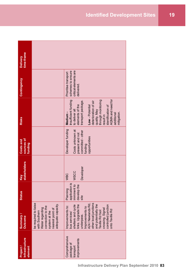| time-frame<br><b>Delivery</b>                 |                                                                                                                                           |                                                                                                                                                                                                                                                                       |
|-----------------------------------------------|-------------------------------------------------------------------------------------------------------------------------------------------|-----------------------------------------------------------------------------------------------------------------------------------------------------------------------------------------------------------------------------------------------------------------------|
| <b>Contingency</b>                            |                                                                                                                                           | schemes to ensure<br>critical elements are<br>Prioritise transport<br>delivered.                                                                                                                                                                                      |
| Risks                                         |                                                                                                                                           | AQMA and need for<br>insufficient funding<br>through monitoring<br>transport package.<br>deterioration of air<br>elements of the<br>identification of<br>Low - Potential<br>quality. May<br>to deliver all<br>mitigation.<br>Medium -<br>additional<br>result in      |
| sources of<br>Costs and<br>funding            |                                                                                                                                           | Developer funding<br>Costs unknown at<br>committed - other<br>present and not<br>opportunities<br>funding                                                                                                                                                             |
| stakeholders<br>Key                           |                                                                                                                                           | Developer<br><b>WSCC</b><br>WBC                                                                                                                                                                                                                                       |
| <b>Status</b>                                 |                                                                                                                                           | application is<br>imminent to<br>develop the<br><b>Planning</b><br>site                                                                                                                                                                                               |
| Summary /<br><b>Outcome</b>                   | be required to liaise<br>adequate capacity.<br>connection to the<br>Water regarding<br>nearest point of<br>with Southern<br>system at the | Improvements to<br>A24 / Newlands Rd,<br>other local junctions<br>and potentially the<br>links. Upgrade the<br>shelters and cycle<br>controlled junction<br>Improvements to:<br>Teville Rd foot<br>crossing. Signal<br>onto Teville Rd<br>bus services/<br>underpass. |
| <b>Infrastructure</b><br>Project /<br>element |                                                                                                                                           | Comprehensive<br>improvements<br>package of<br>transport                                                                                                                                                                                                              |

## **Identified Development Sites 19**

 $\mathcal{L}(\mathcal{A})$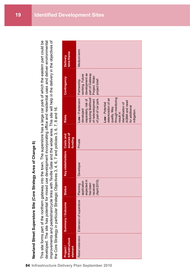Newland Street Superstore Site (Core Strategy Area of Change 6) **Newland Street Superstore Site (Core Strategy Area of Change 6)** This site forms part of the northern gateway into the town. The superstore has a large car park of which the eastern part could be improvements and pedestrian/cycle links with Teville Gate and the wider area. This site will help in the delivery in the objectives of developed. The site has potential for mixed use development incorporating office and residential uses and deliver environmental Teville Gate and the wider area. This site will help in the delivery in the objectives of large car park of which the eastern part could be developed. The site has potential for mixed use development incorporating office and residential uses and deliver environmental 8 and 16. and policies 3, 6, 7, This site forms part of the northern gateway into the town. The superstore has  $\overline{\phantom{0}}$ the Core Strategy in particular Strategic Objectives 3, 4, 6, improvements and pedestrian/cycle links with

| time-frame<br>Delivery                        | Medium-term                                                                                                                                                                                                                                                                                    |
|-----------------------------------------------|------------------------------------------------------------------------------------------------------------------------------------------------------------------------------------------------------------------------------------------------------------------------------------------------|
| <b>Contingency</b>                            | development as<br>part of Gateway<br>Project. Wider<br>working. Future<br>project brief.<br>Partnership                                                                                                                                                                                        |
| Risks                                         | Low - if extension<br>reducing likelihood<br>of part of car park.<br>through monitoring<br>deterioration of air<br>separately, risk of<br>of redevelopment<br>AQMA and need<br>Low - Potential<br>identification of<br>quality. May<br>for additional<br>developed<br>result in<br>mitigation. |
| sources of<br>funding                         | Private                                                                                                                                                                                                                                                                                        |
| Key stakeholders Costs and                    | <b>Developer</b>                                                                                                                                                                                                                                                                               |
| <b>Status</b>                                 | (April 2010).<br>expected in<br>has been<br>application<br>Planning<br>received                                                                                                                                                                                                                |
| Summary / Outcome                             | Retail extension   Extension of superstore                                                                                                                                                                                                                                                     |
| <b>Infrastructure</b><br>Project /<br>element |                                                                                                                                                                                                                                                                                                |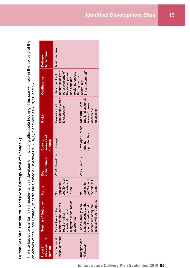British Gas Site: Lyndhurst Road (Core Strategy Area of Change 7) **Lyndhurst Road (Core Strategy Area of Change 7) British Gas Site:**

The site has potential for mixed residential use development including affordable housing. This site will help in the delivery of the objectives of the Core Strategy in particular Strategic Objectives 1, 2, 4, 6, The site has potential for mixed residential use development including affordable housing. This site will help in the delivery of the<br>objectives of the Core Strategy in particular Strategic Objectives 1, 2, 4, 6, 7 and pol and policies 7, 8, 10 and 16.

| <b>Infrastructure</b><br>Project /<br>element | <b>Summary / Outcome</b>                                                                                                        | <b>Status</b>                                                            | stakeholders<br>Key       | sources of<br>Costs and<br><b>funding</b>     | Risks                                                                                                    | <b>Contingency</b>                                                                                                     | time-frame<br><b>Delivery</b> |
|-----------------------------------------------|---------------------------------------------------------------------------------------------------------------------------------|--------------------------------------------------------------------------|---------------------------|-----------------------------------------------|----------------------------------------------------------------------------------------------------------|------------------------------------------------------------------------------------------------------------------------|-------------------------------|
| mitigation works<br>Environmental             | mitigation measures as<br>contaminated and will<br>Site is likely to be<br>investigation and<br>require further<br>appropriate. | yet. Some of<br>application<br>the site stil<br>in use.<br>$\frac{1}{2}$ | WBC/Developer   Developer |                                               | remediation works<br>Low - Cost of<br>is excessive                                                       | ensure flexibility of<br>other elements of<br>exploring options<br>the development<br>The council will<br>and consider | Medium-term                   |
| Transport and<br>Highways                     | access will be required.<br>suitable access to the<br>There currently is no<br>addresses adequate<br>site. A solution that      | yet. Some of<br>application<br>the site stil<br>in use.<br>$\frac{1}{2}$ | WBC/WSCC                  | Developer + other<br>opportunities<br>funding | and land assembly   infrastructure tariff.<br>Medium - Cost<br>issues for new<br>access are<br>excessive | through future<br>yinnumuc                                                                                             |                               |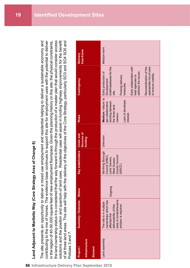Land Adjacent to Martletts Way (Core Strategy Area of Change 8) **Way (Core Strategy Area of Change 8) Land Adjacent to Martletts**

contributing to the mix of homes. The evidence base continues to support this site for employment uses with the potential to deliver the land ownership status it is considered that the way forward is through the production of a master plan that would consider access of all three land areas. This site will help with the delivery of the objectives of the Core Strategy, particularly SO3 and SO4 SO5 and contributing to the mix of homes. The evidence base continues to support this site for employment uses with the potential to deliver in the region of 40-50,000 square feet of new employment floorspace. Given the planning history on this site, the physical constraints, solutions and the position and quantum of land uses. Residential uses will assist in funding highway improvements for the benefit solutions and the position and quantum of land uses. Residential uses will assist in funding highway improvements for the benefit<br>A all throe long crease. This site will halo with the delivery of the schiedition of the Ch sustainable economy and in the region of 40-50,000 square feet of new employment floorspace. Given the planning history on this site, the physical constraints, master plan that would consider access of all three land areas. This site will help with the delivery of the objectives of the Core Strategy, particularly SO3 and SO4 SO5 and ത mixed use employment and residential helping to deliver the land ownership status it is considered that the way forward is through the production of ത The site presents an opportunity to deliver 3 and 7. Policies

| time-frame<br>Delivery                 | Medium-term                                                                                                                                                                                                                                                   |
|----------------------------------------|---------------------------------------------------------------------------------------------------------------------------------------------------------------------------------------------------------------------------------------------------------------|
|                                        |                                                                                                                                                                                                                                                               |
| <b>Contingency</b>                     | brief/masterplan for the<br>Early collaboration with<br>Reconsideration of the<br>appropriate mix of uses<br>address the issues.<br>Early production of<br>Development<br>to ensure viability.<br>lead agencies to<br>Prolong delivery<br>timescale.<br>site. |
| Risks                                  | Medium-failure to<br>Lack of developer<br>working between<br>get collaborative<br>the three land<br>owners.<br>interest.                                                                                                                                      |
| Sources of<br>Costs and<br>funding     | Unknown                                                                                                                                                                                                                                                       |
| Key stakeholders                       | Worthing Borough<br>Council (WBC),<br>County Council<br>Land Owners,<br>West Sussex<br>(WSCC)                                                                                                                                                                 |
| <b>Status</b>                          | <b>Ongoing</b>                                                                                                                                                                                                                                                |
| <b>Summary / Outcome</b>               | area. A comprehensive<br>ownerships which has<br>The site is in multiple<br>deliverability of this<br>solution is required.<br>affected the                                                                                                                   |
| Infrastructure<br>Element<br>Project / | Land assembly                                                                                                                                                                                                                                                 |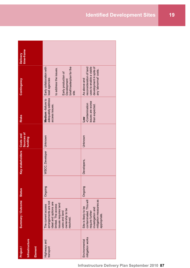| <b>Infrastructure</b><br>Element<br>Project / | Summary / Outcome                                                                                                                                                   | <b>Status</b> | Key stakeholders       | Sources of<br>Costs and<br>funding | Risks                                                              | Contingency                                                                                                                                    | time-frame<br>Delivery |
|-----------------------------------------------|---------------------------------------------------------------------------------------------------------------------------------------------------------------------|---------------|------------------------|------------------------------------|--------------------------------------------------------------------|------------------------------------------------------------------------------------------------------------------------------------------------|------------------------|
| Highways and<br>transport                     | arrangements are not<br>ideal and options are<br>issues requires land<br>limited. The access<br>The current access<br>ownership to be<br>uses and land<br>resolved. | Ongoing       | <b>WSCC, Developer</b> | <b>Unknown</b>                     | adequately address<br>Medium-failure to<br>access issues.          | brief/masterplan for the<br>Early collaboration with<br>to address the issues.<br>Early production of<br>lead agencies<br>Development<br>site. |                        |
| mitigation works<br>Environmental             | mitigation measures as<br>contaminated. This will<br>Site is likely to be<br>investigation and<br>require further<br>appropriate.                                   | Ongoing       | Developers,            | Unknown                            | issues are worse<br>-Contamination<br>than expected.<br><b>NOT</b> | development in spite of<br>reconsideration of land<br>uses to enable a viable<br>any 'abnormal' costs.<br>As above and                         |                        |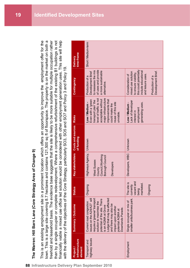The Warren: Hill Barn Lane (Core Strategy Area of Change 9) **Warren: Hill Barn Lane (Core Strategy Area of Change 9)**

This is an existing employment site in This is an existing employment site in a prominent location which offers an opportunity to improve the employment offer for the prominent location which offers an opportunity to improve the employment offer for the town. This is ത large site covering 8.7 hectares and contains 121,500 sq ft of floorspace. The property is on the market on both afreehold and leasehold basis. The evidence base suggests that the site is likely to be more suitable for multiple occupation rather freehold and leasehold basis. The evidence base suggests that the site is likely to be more suitable for multiple occupation rather than by ത single occupier or complete redevelopment. Where a comprehensive refurbishment of the existing B1 buildings is not financially viable financially viable a mixed use office led solution would be considered with other employment generation uses. This site will help mixed use office led solution would be considered with other employment generation uses. This site will help with the delivery of the objectives of the Core Strategy, particularly SO3, SO5 and SO7 and Policy with the delivery of the objectives of the Core Strategy, particularly SO3, SO5 and SO7 and Policy 3 and Policy 19. and Policy 19.

| Infrastructure<br>Project /<br>element | Summary / Outcome                                                                                                                                                                                                                                                                                 | <b>Status</b>                                              | Key stakeholders                                                                                                | Costs and sources<br>of funding | Risks                                                                                                                                                                                                          | Contingency                                                                                                                                                                  | time-frame<br>Delivery |
|----------------------------------------|---------------------------------------------------------------------------------------------------------------------------------------------------------------------------------------------------------------------------------------------------------------------------------------------------|------------------------------------------------------------|-----------------------------------------------------------------------------------------------------------------|---------------------------------|----------------------------------------------------------------------------------------------------------------------------------------------------------------------------------------------------------------|------------------------------------------------------------------------------------------------------------------------------------------------------------------------------|------------------------|
| highway issues<br>Transport and        | require a 'greener' transport<br>Lodge that may be affected<br>issues on the A24/A27 will<br>potential of the site. There<br>solution to maximise the<br>Current road congestion<br>and there may also be<br>is an AQMA at Grove<br>impact upon another<br>Downlands Parade.<br>potential AQMA at | Ongoing                                                    | Highways Agency,   Unknown<br>County<br>Council,Worthing<br>Borough Council<br>West Sussex<br><b>Developers</b> |                                 | major infrastructure<br>level of traffic is not<br>acceptable without<br>improvements that<br>Even with a 'green<br>transport plan' the<br>reuse of this site<br>Low / Medium -<br>could make the<br>unviable. | of uses and provide<br>to reassess the mix<br>a more sustainable<br>Development Brief<br>Production of a<br>alternative.                                                     | Short / Medium-term    |
| Employment                             | smaller units/business park.   currently<br>Single occupier or mix of                                                                                                                                                                                                                             | vacant and<br>The site is<br>marketed.<br>Ongoing<br>being | Developers, WBC                                                                                                 | Unknown                         | ack of developer<br>generating uses.<br>Low / Medium -<br>employment<br>interest in                                                                                                                            | this could potentially<br>Development Brief.<br>include educational<br>mixed use solution<br>o ensure viability,<br>and leisure uses.<br>Consideration of<br>Production of a |                        |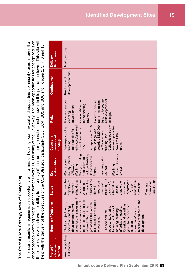The Strand (Core Strategy Area of Change 10) **The Strand (Core Strategy Area of Change 10)**

encompasses Worthing college and the former Lloyd's TSB building at the Causeway. The main opportunities for change focus on these two sites which have the ability to deliver significant urban regeneration and renewal in this part of the town. This site will mix of housing, commercial and supporting community uses in area that Worthing college and the former Lloyd's TSB building at the Causeway. The main opportunities for change focus on these two sites which have the ability to deliver significant urban regeneration and renewal in this part of the town. This site will 8 and 10. help with the delivery of the objectives of the Core Strategy, particularly SO3, SO4, SO5 and SO6 and Policies 2, 3, 7,  $\mathbf \sigma$  regeneration opportunity with aThis site presents encompasses

| <b>Infrastructure</b><br>Project<br>element | Summary / Outcome                                                                                                                                                                                                                                                                                                                                                                                                                                                                                          | <b>Status</b>                                                                                                                                                                                                                                                                                                                                                                             | stakeholders<br>Key                                                                                                                                                                                                       | sources of<br>Costs and<br>funding                                                                                                                                                                                                                                                | Risks                                                                                                                                                                                            | <b>Contingency</b>                 | time-frame<br>Delivery |
|---------------------------------------------|------------------------------------------------------------------------------------------------------------------------------------------------------------------------------------------------------------------------------------------------------------------------------------------------------------------------------------------------------------------------------------------------------------------------------------------------------------------------------------------------------------|-------------------------------------------------------------------------------------------------------------------------------------------------------------------------------------------------------------------------------------------------------------------------------------------------------------------------------------------------------------------------------------------|---------------------------------------------------------------------------------------------------------------------------------------------------------------------------------------------------------------------------|-----------------------------------------------------------------------------------------------------------------------------------------------------------------------------------------------------------------------------------------------------------------------------------|--------------------------------------------------------------------------------------------------------------------------------------------------------------------------------------------------|------------------------------------|------------------------|
| <b>Worthing College</b><br>/ Education      | allow for the reinvestment<br>the educational facilities<br>facilities required for the<br>current site or relocated<br>in and enhancement of<br>The key objective is to<br>provided either on the<br>development that will<br>Consideration will be<br>given to the need for<br>offered. This will be<br>secure an enabling<br>opportunity to bring<br>forward a choice of<br>housing including<br>affordable housing.<br>community/health<br>The site has the<br>development<br>elsewhere.<br>additional | the<br>Le<br>To meet the<br>objective of<br><u>ღ</u><br>has already<br>$\overline{5}$<br>educational<br>educational<br>facilities for<br>permission<br>necessary<br>investment<br>need to be<br>enable the<br>alternative<br>improved<br>Worthing<br>reviewed<br>provision.<br><b>Planning</b><br>College th<br>future of t<br>including<br>in future<br>capacity<br>uses to<br>site will | <b>Borough Council</b><br>College, funding<br>replace 'Building<br>County Council<br>Schools for the<br>Learning Skills<br>mechanism to<br>West Sussex<br>(WSCC),<br>Worthing<br>Worthing<br>Council<br>future',<br>(WBC) | Developers, other<br>College is currently<br>awarded £225,000<br>In September 2010<br>education, Registered<br>finalising plans for<br>Social Landlords<br>opportunities for<br>the College was<br>in Government<br>funding - the<br>how it will be<br>funding<br>(RSL)<br>spent. | Continual downturn<br>additional external<br>edevelopment of<br>funding to secure<br>Failure to secure<br>Failure to secure<br>in the housing<br>development.<br>enabling<br>market.<br>college. | development brief<br>Production of | Medium-Long            |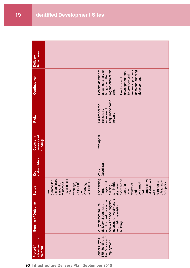| time-frame<br><b>Delivery</b>        |                                                                                                                                                                          |                                                                                                                                                                                                                                                         |
|--------------------------------------|--------------------------------------------------------------------------------------------------------------------------------------------------------------------------|---------------------------------------------------------------------------------------------------------------------------------------------------------------------------------------------------------------------------------------------------------|
| Contingency                          |                                                                                                                                                                          | regeneration of this<br>review appropriate<br>Reconsideration of<br>uses necessary to<br>uses and enabling<br>development brief<br>bring about the<br>to promote and<br>Production of<br>development.<br>site.                                          |
| Risks                                |                                                                                                                                                                          | required to come<br>Failure for the<br>investment<br>necessary<br>forward                                                                                                                                                                               |
| sources of<br>Costs and<br>funding   |                                                                                                                                                                          | Developers                                                                                                                                                                                                                                              |
| stakeholders<br>Key                  |                                                                                                                                                                          | Developers<br>WBC,                                                                                                                                                                                                                                      |
| <b>Status</b>                        | granted for<br>a significant<br>development<br>site.<br>amount of<br>residential<br>dwellings)<br>on part of<br>Worthing<br>College s<br>on part<br>been<br>(124)<br>the | assessed as<br>The existing<br>comprehensive<br>refurbishment<br>TSB<br>required to<br>attract new<br>occupiers.<br>within this<br>confirmed<br>site was<br>review of<br>Lloyds<br>T<br>building<br>part of a<br>former<br>recent<br>that<br>was<br>and |
| Summary / Outcome                    |                                                                                                                                                                          | necessary investment to<br>employment use on this<br>site will be securing the<br>A key element to the<br>refurbish the existing<br>delivery of continued<br>building                                                                                   |
| Infrastructure<br>element<br>Project |                                                                                                                                                                          | <b>TSB Building at</b><br>the Causeway<br>Former Lloyds<br>Employment                                                                                                                                                                                   |

## **19 Identified Development Sites**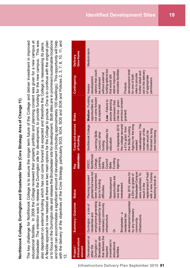Northbrook College, Durrington and Broadwater Sites (Core Strategy Area of Change 11) **Northbrook College, Durrington and Broadwater Sites (Core Strategy Area of Change 11)**

and both can accommodate a significant amount of development (including approximately 100 dwellings). This opportunity will help Broadwater. The intention was to release the Durrington site for development, to provide funding for the new campus. This was A flexible approach is now needed as there are two main options for the College to pursue. One is to continue with the original plan or to focus on the Durrington site and release the Broadwater site for development. Both sites are in prominent sustainable locations with the delivery of the objectives of the Core Strategy, particularly SO3, SO4, SO5 and SO6 and Policies 2, 3, 7, 8, 10, 11, and The key challenge for Northbrook College is to secure the longer term future of the College and deliver investment in improved educational facilities. In 2008 the College reviewed their property portfolio and planning consent was given for a new campus at new campus at or to focus on the Durrington site and release the Broadwater site for development. Both sites are in prominent sustainable locations The key challenge for Northbrook College is to secure the longer term future of the College and deliver investment in improved Broadwater. The intention was to release the Durrington site for development, to provide funding for the new campus. This was A flexible approach is now needed as there are two main options for the College to pursue. One is to continue with the original plan significant amount of development (including approximately 100 dwellings). This opportunity will help with the delivery of the objectives of the Core Strategy, particularly SO3, SO4, SO5 and SO6 and Policies 2, 3, 7, 8, 10, 11, and also dependent on external funding which has not come forward as expected and therefore the College is reassessing its plans. also dependent on external funding which has not come forward as expected and therefore the College is reassessing its plans. educational facilities. In 2008 the College reviewed their property portfolio and planning consent was given for and both can accommodate <u>ب</u>

| <b>Infrastructure</b><br>Project /<br>element                                                                                                   | Summary / Outcome                                                                                                                                                                                                                                        | <b>Status</b>                                                                                                                                                                                                                                                                                                                                         | stakeholders of funding<br>Key                                                                                | Costs and sources Risks                                                                                                                                                                                                                                                                                                                                      |                                                                                                                                                                     | <b>Contingency</b>                                                                                                                                                                                                                                                                                               | time-frame<br>Delivery |
|-------------------------------------------------------------------------------------------------------------------------------------------------|----------------------------------------------------------------------------------------------------------------------------------------------------------------------------------------------------------------------------------------------------------|-------------------------------------------------------------------------------------------------------------------------------------------------------------------------------------------------------------------------------------------------------------------------------------------------------------------------------------------------------|---------------------------------------------------------------------------------------------------------------|--------------------------------------------------------------------------------------------------------------------------------------------------------------------------------------------------------------------------------------------------------------------------------------------------------------------------------------------------------------|---------------------------------------------------------------------------------------------------------------------------------------------------------------------|------------------------------------------------------------------------------------------------------------------------------------------------------------------------------------------------------------------------------------------------------------------------------------------------------------------|------------------------|
| Development at<br>that delivers the<br>Broadwater site<br>nvestment in<br>Durrington or<br>educational<br>either the<br>required<br>facilities. | employment generating<br>development supported<br>uses supported by any<br>necessary community<br>Durrington - a mix of<br>by any necessary<br>residential and<br>Broadwater - a<br>residential led<br>nfrastructure<br>infrastructure<br>community<br>ŏ | granted but have not<br><b>Broadwater Campus</b><br>replacement of 'huts'<br>Sep 2010: plans for<br>with a new 3-storey<br>were submitted. To<br>been implemented<br>a £5m up-grade of<br>Planning consent<br>teaching block to<br>opportunities are<br>Redevelopment<br>due to funding<br>reassessed.<br>result in the<br>now being<br>difficulties. | Northbrook<br>Learning<br>College,<br>Funding<br>WSCC,<br>Agency<br>Council<br><b>Skills</b><br><b>Skills</b> | Northbrook College,   Medium - Funding   Assess<br>redevelopment. The<br>the college secured<br>In September 2010<br>Agency for the long<br>the Skills Funding<br>a £1m grant from<br>financed by long<br>remainder of the<br>opportunities for<br>term borrowing.<br>costs would be<br>Learning Skills<br>Council, other<br>education<br>funding<br>awaited | not come forward<br>previous consent<br>opportunities do<br>Low - Failure to<br>secure planning<br>(risk low - given<br>permission that<br>as expected.<br>granted) | funding options but<br>education facilities<br>development brief<br>options that could<br>aid in the delivery<br>further detail and<br>deliver improved<br>without external<br>sites to provide<br>for one of both<br>that would still<br>of appropriate<br>development<br>be achieved<br>permissions<br>Produce | Medium-term            |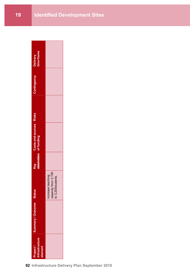| Delivery<br>time-frame                        |                                                                            |
|-----------------------------------------------|----------------------------------------------------------------------------|
| Contingency                                   |                                                                            |
| Risks                                         |                                                                            |
| Costs and sources                             |                                                                            |
| stakeholders of funding<br>Key                |                                                                            |
| <b>Status</b>                                 | capacity from 3,100<br>Builpe<br>dents.<br>increase tea<br>to $3,200$ stuo |
| Summary / Outcome                             |                                                                            |
| <b>Infrastructure</b><br>Project /<br>element |                                                                            |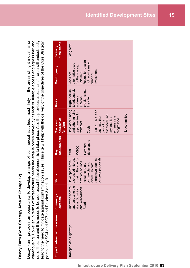# Decoy Farm (Core Strategy Area of Change 12) **Decoy Farm (Core Strategy Area of Change 12)**

warehousing. However, in terms of infrastructure needs the area is poorly served by its lack of suitable access and egress into and out of the area and this needs to be addressed if development is to take place. Also the previous uses a landfill area will undoubtedly range of commercial activities, most likely in the areas of light industrial or landfill area will undoubtedly Decoy Farm provides an opportunity to develop a range of commercial activities, most likely in the areas of light industrial or warehousing. However, in terms of infrastructure needs the area is poorly served by its lack of suitable access and egress into and lead to the need to mitigate against contamination issues. This site will help with the delivery of the objectives of the Core Strategy, lead to the need to mitigate against contamination issues. This site will help with the delivery of the objectives of the Core Strategy, out of the area and this needs to be addressed if development is to take place. Also the previous uses Decoy Farm provides an opportunity to develop 3 and 19. particularly SO4 and SO7 and Policies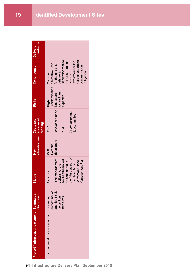| Project / Infrastructure element Summary | <b>Outcome</b>                                                          | <b>Status</b>                                                                                                                                                              | stakeholders sources of<br>Key        | Costs and<br>funding                                                                    | Risks                           | Contingency                                                                                                                                                                                                      | time-frame<br><b>Delivery</b> |
|------------------------------------------|-------------------------------------------------------------------------|----------------------------------------------------------------------------------------------------------------------------------------------------------------------------|---------------------------------------|-----------------------------------------------------------------------------------------|---------------------------------|------------------------------------------------------------------------------------------------------------------------------------------------------------------------------------------------------------------|-------------------------------|
| Environmental mitigation works           | contamination<br>and flood risk<br>measures.<br>orotection<br>Drainage, | the future as part of<br>Risk management<br>Management Plan<br>Teville Stream will<br>Catchment Flood<br>be considered in<br>the River Adur<br>options for the<br>As above | developers<br>Potential<br><b>VBC</b> | Developer funding Issues are<br>£1-2m estimate.<br>Not committed<br><b>VBC</b><br>Cost: | worse than<br>expected.<br>High | need to undertake<br>Recreation that do<br>investment or the<br>not require major<br>contamination   alternative uses<br>for the site e.g.<br>contamination<br>Leisure &<br>mitigation.<br>financial<br>Consider |                               |

| nfrastructure element Summary | <b>Outcome</b>               | <b>Status</b>                           | stakeholders sources of<br>Key | Costs and<br>funding             | Risks      | <b>Contingency</b>                                | <b>Delivery</b><br>time-fram |
|-------------------------------|------------------------------|-----------------------------------------|--------------------------------|----------------------------------|------------|---------------------------------------------------|------------------------------|
| ental mitigation works        | contamination<br>Drainage,   | As above                                | Potential<br><b>VBC</b>        | WBC                              | High       | -contamination alternative uses<br>Consider       |                              |
|                               | and flood risk<br>protection | Risk management<br>options for the      | developers                     | Developer funding issues are     | worse than | for the site e.g.<br>Leisure &                    |                              |
|                               | neasures.                    | Teville Stream will<br>be considered in |                                | Cost:                            | expected.  | Recreation that do<br>not require major           |                              |
|                               |                              | the future as part of<br>the River Adur |                                | £1-2m estimate.<br>Not committed |            | investment or the<br>financial                    |                              |
|                               |                              | Management Plan<br>Catchment Flood      |                                |                                  |            | need to undertake<br>contamination<br>mitigation. |                              |
|                               |                              |                                         |                                |                                  |            |                                                   |                              |

**94 Infrastructure Delivery Plan September 2010**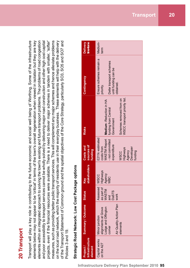## **20 Transport**

Transport will play a key role in contributing to the future economic and social well being of Worthing. Some of the infrastructure elements within an integrated approach to solving the town's existing and future transport problems. The problems of road congestion measures, such as providing better public transport services. This will complement any major schemes and hence alleviate problems on the local road network, which the majority of residents use in their everyday business. These elements will help with the delivery of the Transport Statement of Common ground and the spatial objectives of the Core Strategy, particularly SO3, SO5 and SO7 and elements below may not appear to be 'critical' in terms of the town's overall regeneration when viewed in isolation but they are key elements below may not appear to be 'critical' in terms of the town's overall regeneration when viewed in isolation but they are key measures, such as providing better public transport services. This will complement any major schemes and hence alleviate problems on the local road network, which the majority of residents use in their everyday business. These elements will help with the delivery Worthing. Some of the infrastructure elements within an integrated approach to solving the town's existing and future transport problems. The problems of road congestion and poor accessibility to transport services cannot be wholly solved by delivering major road construction and other high cost capital and poor accessibility to transport services cannot be wholly solved by delivering major road construction and other high cost capital projects, even if the financial resources were available. There is a need to deliver major schemes in tandem with smaller, 'softer' need to deliver major schemes in tandem with smaller, 'softer' Transport Statement of Common ground and the spatial objectives of the Core Strategy, particularly SO3, SO5 and SO7 and key role in contributing to the future economic and social well being of projects, even if the financial resources were available. There is Transport will play 3 and 19. Policies

|                         | <b>Summary / Outcome Status</b> |              | stakeholders<br>Key | sources of<br>Costs and<br>funding | Risks                         | Contingency             | <b>Delivery</b><br>time-frame |
|-------------------------|---------------------------------|--------------|---------------------|------------------------------------|-------------------------------|-------------------------|-------------------------------|
| Minor junction          |                                 | Assessed     | WSCC                | £211k-estimated                    |                               | Ensure schemes remain a | Medium-                       |
| alignments at Grove     |                                 | as part of   | Highways            | costs from                         |                               | priority.               | term                          |
| Lodge and Offington     |                                 | <b>MASTM</b> | Agency              | <b>WASTM Report</b>                | Medium -Reduction in HA       |                         |                               |
| corner                  |                                 | and          | <b>VBC</b>          | - not committed                    | funding from Central          | Defer transport schemes |                               |
|                         |                                 | <b>DaSTS</b> |                     | expenditure                        | Government                    | until funding can be    |                               |
| Air Quality Action Plan |                                 | work         |                     |                                    |                               | obtained.               |                               |
| elements                |                                 |              |                     | WSCC                               | Schemes removed from on       |                         |                               |
|                         |                                 |              |                     | Highways                           | WSCC transport priority list. |                         |                               |
|                         |                                 |              |                     | Agency                             |                               |                         |                               |
|                         |                                 |              |                     | <b>Developer</b>                   |                               |                         |                               |
|                         |                                 |              |                     | funding                            |                               |                         |                               |

# Strategic Road Network: Low Cost Package options **Strategic Road Network: Low Cost Package options**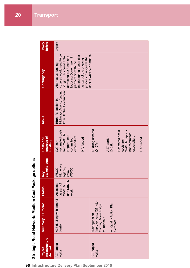| <b>Infrastructure</b><br>element<br>Project | Summary / Outcome                                                                                                      | <b>Status</b>                                        | <b>stakeholders</b><br>Key                       | sources of<br>Costs and<br>funding                                                                                                                                  | Risks                                                                   | Contingency                                                                                                                                                                                                                                                             | <b>frrekarre</b><br><b>Delivery</b> |
|---------------------------------------------|------------------------------------------------------------------------------------------------------------------------|------------------------------------------------------|--------------------------------------------------|---------------------------------------------------------------------------------------------------------------------------------------------------------------------|-------------------------------------------------------------------------|-------------------------------------------------------------------------------------------------------------------------------------------------------------------------------------------------------------------------------------------------------------------------|-------------------------------------|
| A27 capital<br>works                        | A27 dualling with central<br>barrier                                                                                   | and DaSTS<br>Assessec<br>as part of<br>WASTM<br>work | Highways<br>Agency<br>WBC<br>WSCC<br><b>WSCC</b> | -estimated costs<br>from WASTM<br>Report - not<br>expenditure<br>committed<br><b>HA</b> funded<br>£29.88m                                                           | from Central Government<br>Highways Agency funding<br>High-Reduction in | east to west A27 corridor.<br>sources would need to be<br>sought. This could entail<br>neighbouring authorities<br>lobbying Government in<br>attracting EU funds and<br>process to upgrade the<br>as part of the ongoing<br>partnership with the<br>Alternative funding | Langtern                            |
| A27 capital<br>works                        | improvements Offington<br>Air Quality Action Plan<br>Corner, Grove Lodge<br>Major junction<br>roundabout.<br>elements. |                                                      |                                                  | Dualling scheme -<br><b>Estimated costs</b><br>WASTM report -<br>not committed<br>A27 barrier -<br>expenditure<br><b>HA</b> funded<br>costs from<br>£4.67m<br>£462k |                                                                         |                                                                                                                                                                                                                                                                         |                                     |

Strategic Road Network: Medium Cost Package options **Strategic Road Network: Medium Cost Package options**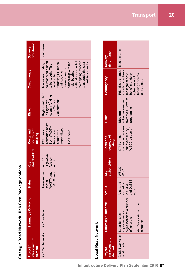| <b>SP 2022</b><br>1<br>$\overline{a}$ |
|---------------------------------------|
| I                                     |
| j<br>Ó                                |
| ۱                                     |
| I<br>۱                                |

| Project /<br>Infrastructure<br>element | Summary / Outcome | <b>Status</b>                                     | <b>stakeholders</b><br>Key               | sources of<br>Costs and<br>funding                                                                         | Risks                                                                                  | <b>Contingency</b>                                                                                                                                                                                                                                                               | time-frame<br><b>Delivery</b> |
|----------------------------------------|-------------------|---------------------------------------------------|------------------------------------------|------------------------------------------------------------------------------------------------------------|----------------------------------------------------------------------------------------|----------------------------------------------------------------------------------------------------------------------------------------------------------------------------------------------------------------------------------------------------------------------------------|-------------------------------|
| A27 Capital works                      | A27 link Road     | Assessed as<br>DaSTS work<br>part of<br>WASTM and | Highways<br>Agency<br>WSCC<br><b>WBC</b> | estimated costs<br>from WASTM<br>Report - not<br>expenditure<br>committed<br><b>HA</b> funded<br>£19.83m - | <b>High - Reduction</b><br>Agency funding<br>from Central<br>Government<br>in Highways | Alternative funding<br>authorities as part of<br>the ongoing process<br>to west A27 corridor.<br>sources would need<br>partnership with the<br>to upgrade the east<br>attracting EU funds<br>to be sought. This<br>Government in<br>neighbouring<br>and lobbying<br>could entail | Long-term                     |

| <b>Infrastructure</b><br>Project /<br>element    | <b>Summary / Outcome</b>                                                                                   | <b>Status</b>                               | stakeholders<br>Key       | sources of<br>Costs and<br>dunding                                    | Risks                                                                                              | Contingency                                                                                              | ime-frame<br><b>Delivery</b> |
|--------------------------------------------------|------------------------------------------------------------------------------------------------------------|---------------------------------------------|---------------------------|-----------------------------------------------------------------------|----------------------------------------------------------------------------------------------------|----------------------------------------------------------------------------------------------------------|------------------------------|
| Capital works on   Local junction<br>local roads | ignalisation at a number   WASTM<br>Air Quality Action Plan<br>improvements -<br>of junctions.<br>elements | and DaSTS<br>Assessed<br>as part of<br>work | <b>VSCC</b><br><b>VBC</b> | committed monies<br>but assessed by<br>WSCC as part of<br>£754k - not | schemes removed in order to achieve<br>from WSCC works   the highest cost<br>programme<br>Medium - | Prioritise schemes   Medium-term<br>benefits or delay<br>funding streams<br>schemes until<br>can be met. |                              |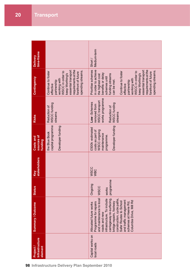| time-frame<br>Delivery                      |                                                                                                                                                                                                 | Medium-term<br>Short /                                                                                                                                                                                                                                                                                                                   |
|---------------------------------------------|-------------------------------------------------------------------------------------------------------------------------------------------------------------------------------------------------|------------------------------------------------------------------------------------------------------------------------------------------------------------------------------------------------------------------------------------------------------------------------------------------------------------------------------------------|
| Contingency                                 | requirements at the<br>essential transport<br>spending streams.<br>WSCC in order to<br>Continue to foster<br>forefront of future<br>keep Worthing's<br>working with<br>partnership<br>effective | in order to achieve<br>requirements at the<br>Prioritise schemes<br>essential transport<br>spending streams.<br>Continue to foster<br>WSCC in order to<br>forefront of future<br>benefits or delay<br>keep Worthing's<br>funding streams<br>the highest cost<br>schemes until<br>working with<br>can be met.<br>partnership<br>effective |
| Risks                                       | WSCC funding<br>Reduction of<br>streams                                                                                                                                                         | works programme<br>WSCC transport<br>Low-Schemes<br>WSCC funding<br>removed from<br>Reduction of<br>streams                                                                                                                                                                                                                              |
| sources of<br>Costs and<br>funding          | capital programme<br>Developer funding<br>the Blue Book                                                                                                                                         | Developer funding<br>£500k -estimated<br>costs as part of<br>WSCC ongoing<br>maintenance<br>programme.                                                                                                                                                                                                                                   |
| stakeholders<br>Key                         |                                                                                                                                                                                                 | WSCC<br><b>WBC</b>                                                                                                                                                                                                                                                                                                                       |
| <b>Status</b>                               |                                                                                                                                                                                                 | programme<br>Ongoing<br><b>WSCC</b><br>works                                                                                                                                                                                                                                                                                             |
| Summary / Outcome                           |                                                                                                                                                                                                 | and maintenance to local<br>carriageway re-surfacing,<br>infrastructure. To include<br>construction, cycle paths,<br>and traffic management<br>Columbia Drive, Mill Rd<br>Safer Routes to School<br>bridge repairs, footway<br>schemes at Heene Rd,<br>Programme for repairs<br>Allocated future works<br>roads and new                  |
| <b>Infrastructure</b><br>element<br>Project |                                                                                                                                                                                                 | Capital works on<br>ocal roads                                                                                                                                                                                                                                                                                                           |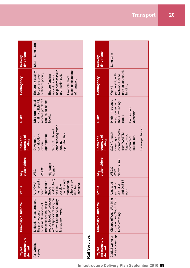| <b>Infrastructure</b><br>Project /<br>element | Summary / Outcome                                                                                                                                                                                                            | <b>Status</b>                                                                                                                                                | stakeholders<br>Key     | sources of<br>Costs and<br><b>funding</b>                                                                                      | Risks                                                                                       | <b>Contingency</b>                                                                                                                                                                                 | time-frame<br>Delivery |
|-----------------------------------------------|------------------------------------------------------------------------------------------------------------------------------------------------------------------------------------------------------------------------------|--------------------------------------------------------------------------------------------------------------------------------------------------------------|-------------------------|--------------------------------------------------------------------------------------------------------------------------------|---------------------------------------------------------------------------------------------|----------------------------------------------------------------------------------------------------------------------------------------------------------------------------------------------------|------------------------|
| Air Quality<br>Issues                         | Mitigation measures and   An AQMA<br>educe levels of pollution   Grove<br>at 'hot spots' including the<br>Grove Lodge Air Quality<br>transport are helping to<br>sustainable modes of<br>Managment Area.<br>the promotion of | Lodge (A27)   Agency<br>has recently<br>that, through<br>identified at<br>monitoring,<br>others may<br>dentified.<br>an it is<br>possible<br>also be<br>been | Highways<br>VSCC<br>WBC | other funding other<br>WSCC, HA and<br>contributions<br>opportunities<br>appropriate)<br><b>Developer</b><br>funding<br>(where | shift insufficient to<br>resolve problem /<br>reduce pollutions<br>Medium - modal<br>evels. | help address issue<br>sustainable modes<br>Ensure air quality<br>sufficient priority.<br>issues are given<br>opportunities to<br>Ensure funding<br>are maximised.<br>Promote more<br>of transport. | Short - Long term      |
|                                               |                                                                                                                                                                                                                              |                                                                                                                                                              |                         |                                                                                                                                |                                                                                             |                                                                                                                                                                                                    |                        |

## **Rail Services**

| <b>Infrastructure</b><br>Project A<br>element | <b>Summary / Outcome</b>                                                                                                 | <b>Status</b>                                   | stakeholders<br>Key                       | sources of<br>Costs and<br>funding                                                                                            | Risks                                                                                                            | Contingency                                                   | time-frame<br>Delivery |
|-----------------------------------------------|--------------------------------------------------------------------------------------------------------------------------|-------------------------------------------------|-------------------------------------------|-------------------------------------------------------------------------------------------------------------------------------|------------------------------------------------------------------------------------------------------------------|---------------------------------------------------------------|------------------------|
|                                               | Capital works at   Closure of West Worthing   Assessed<br>railway crossings   crossing and South Farm  <br>Road crossing | and DaSTS<br>as part of<br><b>MASTM</b><br>work | <b>Network Rail</b><br>VSCC<br><b>WBC</b> | Developer funding<br>estimated costs<br>£32k for each<br>from WASTM<br>Report - not<br>expenditure<br>committed<br>crossing - | oad congestion on   partnership with<br>High - Increased<br>the surrounding<br>Funding not<br>available<br>coads | provide partnership<br>Network Rail to<br>Work in<br>funding, | Long-term              |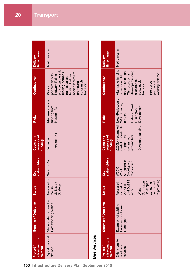| <b>Infrastructure</b><br>Project /<br>element | Summary / Outcome                                 | <b>Status</b>                                                            | stakeholders<br>Key | sources of<br>Costs and<br>funding | Risks                                           | <b>Contingency</b>                                                                                                                                                                             | time-frame<br><b>Delivery</b> |
|-----------------------------------------------|---------------------------------------------------|--------------------------------------------------------------------------|---------------------|------------------------------------|-------------------------------------------------|------------------------------------------------------------------------------------------------------------------------------------------------------------------------------------------------|-------------------------------|
| Capital works at<br>stations                  | Station refurbishment at<br>East Worthing station | Assessed in   Network Rail<br><b>Utilisation</b><br>Strategy<br>the Rail |                     | Network Rail<br><b>£unknown</b>    | Medium -Lack of<br>funding from<br>Network Rail | provide partnership<br>been allocated for<br>funding, perhaps<br>funding that has<br>partnership with<br>Network Rail to<br>from developer<br>sustainable<br>promoting<br>transport<br>Work in | Medium-term                   |

**Bus Services**

| <b>Infrastructure</b><br>Project /<br>element | <b>Summary / Outcome</b>                                     | <b>Status</b>                                                                                                                              | stakeholders<br>Key                                                 | sources of<br>Costs and<br>funding                                                                             | Risks                                   | <b>Contingency</b>                                                                                                                                                                                                                                | time-frame<br><b>Delivery</b> |
|-----------------------------------------------|--------------------------------------------------------------|--------------------------------------------------------------------------------------------------------------------------------------------|---------------------------------------------------------------------|----------------------------------------------------------------------------------------------------------------|-----------------------------------------|---------------------------------------------------------------------------------------------------------------------------------------------------------------------------------------------------------------------------------------------------|-------------------------------|
| <b>Extensions to</b><br>ocal bus<br>services  | Pulse service to West<br>Extension of existing<br>Durrington | and DaSTS<br>to providing<br>Consortium<br>Assessed<br>Durrington<br>Developer<br>committed<br>as part of<br><b>MASTM</b><br>West<br>work. | Stagecoach<br><b>Developers</b><br>Consortium<br>WSCC<br><b>VBC</b> | costs from WASTM   WSCC funding<br>Developer funding   Development<br>Report - not<br>expenditure<br>committed | Delay in West<br>Durrington<br>streams. | £200k+-estimated Low-Reduction of Alternative funding   Medium-term<br>need to be sought.<br>developer funding<br>This could entail<br>working with the<br>sources would<br>allocated to<br>sustainable<br>partnership<br>Pro-active<br>transport |                               |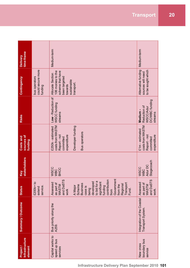| time-frame<br><b>Delivery</b>                 |                                                | Medium-term                                                                                                                                                                                                                                                        | Medium-term                                                                     |
|-----------------------------------------------|------------------------------------------------|--------------------------------------------------------------------------------------------------------------------------------------------------------------------------------------------------------------------------------------------------------------------|---------------------------------------------------------------------------------|
| Contingency                                   | could secure more<br>bus operators<br>funding  | 106 monies to the<br>scheme that have<br>Allocate Section<br>been targeted<br>sustainable<br>transport<br>towards                                                                                                                                                  | Alternative funding<br>to be sought which<br>sources will need                  |
| Risks                                         |                                                | Low - Reduction of<br>WSCC funding<br>streams                                                                                                                                                                                                                      | DC/WBC funding<br>Reduction of<br><b>WSCC/Adur</b><br>Medium -<br>streams       |
| sources of<br>Costs and<br>funding            |                                                | costs from WASTM<br>Developer funding<br>£250k - estimated<br><b>Bus operators</b><br>Report - not<br>expenditure<br>committed                                                                                                                                     | costs from WASTM<br>£1m - estimated<br>Report - not<br>expenditure<br>committed |
| stakeholders<br>Key                           |                                                | <b>WSCC</b><br><b>BHCC</b><br><b>WBC</b>                                                                                                                                                                                                                           | Stagecoach<br>Adur DC<br><b>WSCC</b><br><b>VBC</b>                              |
| <b>Status</b>                                 | $\overline{O}$<br>£200k+<br>service.<br>extend | Government<br>contribution<br>and DaSTS<br>to bid for a<br>developed<br>significant<br>Assessed<br>as part of<br>Transport<br><b>Business</b><br><b>WASTM</b><br>Scheme<br>from the<br>Regional<br>A Major<br>funding<br>case is<br>being<br>Fund.<br>work<br>from | and DaSTS<br>Assessed<br>as part of<br><b>WASTM</b><br>work.                    |
| <b>Summary / Outcome</b>                      |                                                | Bus priority along the<br>A259.                                                                                                                                                                                                                                    | Integration of the Coastal<br>Transport System.                                 |
| <b>Infrastructure</b><br>Project /<br>element |                                                | Capital works to<br>speed up bus<br>services                                                                                                                                                                                                                       | boundary bus<br>New cross<br>service                                            |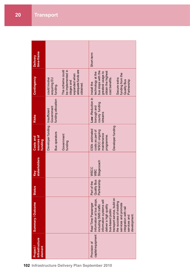| time-frame<br><b>Delivery</b>               |                                                                                                                                                      | Short-term                                                                                                                                                                                                                                                                                     |
|---------------------------------------------|------------------------------------------------------------------------------------------------------------------------------------------------------|------------------------------------------------------------------------------------------------------------------------------------------------------------------------------------------------------------------------------------------------------------------------------------------------|
| <b>Contingency</b>                          | adequate funds are<br>The scheme could<br>be implemented in<br>expanded when<br>could involve<br>acquiring EU<br>stages and<br>obtained.<br>funding. | bus stops with the<br>obtain the highest<br>greatest usage to<br>technology at the<br>funding from the<br>cost benefits.<br>Secure extra<br>Quality Bus<br>Partnership<br>Install the                                                                                                          |
| Risks                                       | funding allocation<br>Government<br>Insufficient                                                                                                     | Low-Reduction in<br>county funding<br>borough and<br>streams                                                                                                                                                                                                                                   |
| sources of<br>Costs and<br>funding          | Developer funding<br><b>Bus operators</b><br>Government<br>funding                                                                                   | Developer funding<br>£50k-estimated<br>WSCC ongoing<br>costs as part of<br>maintenance<br>programme.                                                                                                                                                                                           |
| stakeholders<br>Key                         |                                                                                                                                                      | Stagecoach<br><b>WSCC</b><br><b>WBC</b>                                                                                                                                                                                                                                                        |
| <b>Status</b>                               |                                                                                                                                                      | Partnership<br>Quality Bus<br>Part of the                                                                                                                                                                                                                                                      |
| Summary / Outcome                           |                                                                                                                                                      | transport service, build on<br>Information at bus stops,<br>including SMS traffic<br>information systems will<br>the success of existing<br>services and promote<br>Real Time Passenger<br>deliver a high quality<br>bus-based public<br>integration with rail<br>development.<br>services and |
| <b>Infrastructure</b><br>Project<br>element |                                                                                                                                                      | capital equipment<br>Provision of                                                                                                                                                                                                                                                              |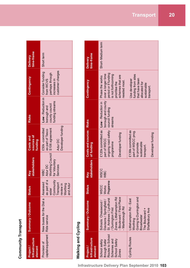**Community Transport Community Transport**

| time-frame<br><b>Delivery</b>              | Short term                                                                                             |
|--------------------------------------------|--------------------------------------------------------------------------------------------------------|
| <b>Contingency</b>                         | customer charges<br>perhaps through<br>ncreases in<br>from WCVS                                        |
| Risks                                      | Low - Reduction in   Consider funding<br>funding streams<br>county council<br>borough and              |
| sources of<br>Costs and<br><b>Admoling</b> | Developer funding<br>£50k -committed<br>Worthing Council S106 agreement<br>as part of Tesco<br>Adur DC |
| stakeholders<br>Key                        | for Voluntary<br>Adur DC<br>Services<br><b>WBC</b>                                                     |
| <b>Status</b>                              | as part of a<br>Assessed<br>Community<br>Transport<br>and Adur<br>Northing<br>review i<br>wider        |
| <b>Summary / Outcome</b>                   | New buses for the Dial a                                                                               |
| Infrastructure<br>Project /<br>element     | capital equipment   Ride service<br>Provision of                                                       |

# **Walking and Cycling**

|                            |                                               |                                                                                                                                                                             | <u>Tran</u><br>ort<br>0<br>$ \mathbf{S} $                                                                                  | 20  |
|----------------------------|-----------------------------------------------|-----------------------------------------------------------------------------------------------------------------------------------------------------------------------------|----------------------------------------------------------------------------------------------------------------------------|-----|
|                            |                                               |                                                                                                                                                                             |                                                                                                                            |     |
|                            | time-frame<br>Delivery                        | Short-Medium term                                                                                                                                                           |                                                                                                                            |     |
|                            | <b>Contingency</b>                            | period or if funding<br>over a longer time<br>is not forthcoming<br>schemes that are<br>Phase the works<br>needed most.<br>prioritise the                                   | funding from sites<br>that have been<br>Use developer<br>allocated for<br>sustainable<br>transport.                        |     |
|                            | <b>Risks</b>                                  | borough and county<br>£120k committed as Low - Reduction in<br>council funding<br>streams                                                                                   |                                                                                                                            |     |
|                            | Costs and sources<br>of funding               | part of WSCC<br>ongoing road safety<br>Developer funding<br>programme                                                                                                       | £139k committed as<br>part of WSCC prog.<br>to promote<br>Developer funding<br>sustainable<br>transport.                   |     |
|                            | stakeholders<br>Key                           | <b>WSCC</b><br><b>WBC</b>                                                                                                                                                   |                                                                                                                            |     |
|                            | <b>Status</b>                                 | Programme<br><b>WSCC</b><br>Works                                                                                                                                           |                                                                                                                            |     |
|                            | Summary / Outcome                             | Boulevard / Field Place<br>/ Durrington First<br>Zones: Littlehampton Rd<br>St. Andrews / Lyndhurst<br>Davisons / Springfield /<br>Schools: Chesswood /<br>- Marlborough Rd | Goring to Durrington and<br>Littlehampton Rd - East<br>The Boulevard +<br>Shaftesbury Ave<br><b>Broadwater</b><br>Worthing |     |
| <b>DIIIいく DIII DIIIINX</b> | <b>Infrastructure</b><br>Project /<br>element | Routes to School<br>School Safety<br>through Safer<br>Schemes and<br>School safety<br>Zones                                                                                 | Cycling Routes                                                                                                             |     |
|                            |                                               |                                                                                                                                                                             | <b>Infrastructure Delivery Plan September 2010</b>                                                                         | 103 |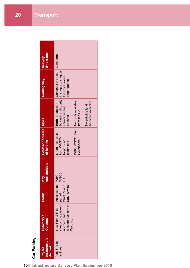| time-frame<br><b>Delivery</b>         |                                                                                                                                        |
|---------------------------------------|----------------------------------------------------------------------------------------------------------------------------------------|
| <b>Contingency</b>                    | High - Reduction in   Construct the sites   Long term<br>borough and county in stages to stagger<br>the costs over a<br>longer period. |
|                                       | becomes available.<br>No funds available<br>No suitable land<br>council funding<br>from the HA<br>streams                              |
| Costs and sources Risks<br>of funding | WBC, WSCC, HA,<br>£10m - est costs<br>from WASTM<br>Report - not<br><b>Developers</b><br>committed                                     |
| stakeholders<br>Key                   | WSCC<br><b>WBC</b><br>∡<br>±                                                                                                           |
| <b>Status</b>                         | Assessed as                                                                                                                            |
| Summary /<br><b>Outcome</b>           | western outskirts of   DaSTS work.<br>New Park & Ride<br>Worthing                                                                      |
| Infrastructure<br>roject /<br>element | Park & Ride<br>facilities                                                                                                              |

## **Car Parking**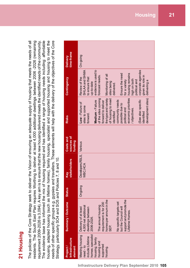## **21 Housing**

housing, adapted housing (such as lifetime homes), family housing, specialist and supported housing and housing to meet the needs of other specific groups e.g. gypsies and travellers. These elements will help with the delivery of the objectives of the Core residents. The South East Plan requires Worthing to deliver at least 4,000 additional dwellings between 2006 -2026 (remaining The evidence base has informed the mix of housing required and has identified a range of housing needs including: affordable requirement 2009-2026 is 3,094). A key aim is to ensure that the new housing delivered meets the identified needs of the community. The policies of the Core Strategy seek to deliver the Vision of ensuring an adequate supply of housing that meets the needs of all Vision of ensuring an adequate supply of housing that meets the needs of all Worthing to deliver at least 4,000 additional dwellings between 2006 -2026 (remaining A key aim is to ensure that the new housing delivered meets the identified needs of the community.<br>the mive of bouncies required and best iffeed as reason of bouncies acode including . <del>Af</del>erdable range of housing needs including: affordable housing, adapted housing (such as lifetime homes), family housing, specialist and supported housing and housing to meet the needs of other specific groups e.g. gypsies and travellers. These elements will help with the delivery of the objectives of the Core The evidence base has informed the mix of housing required and has identified 8 and 10. The policies of the Core Strategy seek to deliver the Strategy, particularly SOS and SOS and Policies 7, particular and Policies 7,  $\sim$ residents. The South East Plan requires requirement 2009-2026 is 3,094).

| time-frame<br>Delivery                        | Dn-going                                                                                                                                                                                                                                                                                                                         |
|-----------------------------------------------|----------------------------------------------------------------------------------------------------------------------------------------------------------------------------------------------------------------------------------------------------------------------------------------------------------------------------------|
| Contingency                                   | evidence is used to<br>SHLAA and SHMA<br>corporate agendas<br>housing remains<br>Ensure the need<br>Monitoring of all<br>forecast needs.<br>given its role in<br>to ensure that<br>Review of the<br>high on both<br>political and<br>delivering a<br>for a variety<br>sites being<br>up-to-date<br>delivered.                    |
| Risks                                         | the type and variety<br>economic priorities<br>development sites)<br>of housing to meet<br>of the sites coming<br>See also specific<br>forward to deliver<br>community needs<br>Medium - Failure<br>Low - Failure of<br>possible due to<br>sites to come<br>political and<br>objectives.<br>identified<br>identified<br>forward. |
| sources of<br>Costs and<br>funding            | <b>Various</b>                                                                                                                                                                                                                                                                                                                   |
| stakeholders<br>Key                           | Developers, RSLS,<br>WBC, HCA                                                                                                                                                                                                                                                                                                    |
| <b>Status</b>                                 | Ongoing                                                                                                                                                                                                                                                                                                                          |
| <b>Summary / Outcome</b>                      | homes per annum in the<br>support and promote the<br>No specific targets set<br>requirement is for 200<br>The annual housing<br>4,000 net additional<br>but the Council will<br>Delivery of at least<br>dwellings between<br>Lifetime Homes.<br>2006-2026.<br>SEP.                                                               |
| <b>Infrastructure</b><br>Project /<br>element | homes; specialist<br>Meeting housing<br>include:Lifetime<br>housing; family<br>housing and<br>supported<br>$need - to$<br>housing.                                                                                                                                                                                               |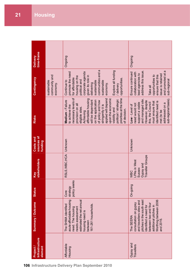| <b>Infrastructure</b><br>Project /<br>element | Summary / Outcome                                                                                                                                                                                           | <b>Status</b>                    | stakeholders<br>Key                                                   | sources of<br>Costs and<br><b>funding</b> | Risks                                                                                                                                                                                                                                                                                                                                                    | Contingency                                                                                                                                                                                                                                                          | time-frame<br>Delivery |
|-----------------------------------------------|-------------------------------------------------------------------------------------------------------------------------------------------------------------------------------------------------------------|----------------------------------|-----------------------------------------------------------------------|-------------------------------------------|----------------------------------------------------------------------------------------------------------------------------------------------------------------------------------------------------------------------------------------------------------------------------------------------------------------------------------------------------------|----------------------------------------------------------------------------------------------------------------------------------------------------------------------------------------------------------------------------------------------------------------------|------------------------|
|                                               |                                                                                                                                                                                                             |                                  |                                                                       |                                           |                                                                                                                                                                                                                                                                                                                                                          | community and<br>sustainable<br>economy.                                                                                                                                                                                                                             |                        |
| Affordable<br>Housing                         | acute affordable housing<br>estimated the net annual<br>161-261 households.<br>The SHMA identified<br>needs assessment<br>need. The housing<br>housing need is<br>between                                   | policy seeks<br>strategy<br>Core | RSLS, WBC, HCA   Unknown                                              |                                           | necessary levels of<br>priorities at the time<br>applied will depend<br>upon the economic<br>affordable housing<br>political / strategic<br>will be dependant<br>Medium - Failure<br>on the application<br>of policy and how<br>stringently it is<br>provision on all<br>to achieve the<br>eligible sites.<br>viability and<br>of decision.<br>Achieving | ω<br>Explore all funding<br>promote the need<br>corporate agenda<br>communities and<br>given its role in<br>housing on the<br>for affordable<br>opportunities.<br>political and<br>Continue to<br>sustainable<br>sustainable<br>delivering<br>economy.<br>/ delivery | Ongoing                |
| Gypsy and<br>Travellers                       | pitches in the south east<br>Worthing between 2006<br>and travellers sites and<br>consultation on gypsy<br>between two and four<br>additional pitches in<br>identified a need for<br>The SEERA<br>and 2016. | On-going                         | Traveller Groups<br>LPAs in West<br>Gypsy and<br>Sussex<br><b>WBC</b> | Unknown                                   | sub-regional basis)<br>and managed site.<br>However, despite<br>must ensure that<br>identified need is<br>this, the Council<br>support a viable<br>addressed on a<br>need would not<br>Low - Level of<br>met (to be                                                                                                                                      | and promoted at a<br>address this issue<br>Ensure continued<br>collaboration with<br>lead agencies to<br>issue is retained<br>opportunities to<br>ensure that this<br>sub-regional<br>Take all                                                                       | Ongoing                |

**21 Housing**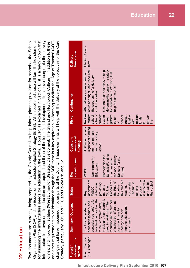## **22 Education**

changes that have happened in other parts of the County. These elements will help with the delivery of the objectives of the Core Organisation Plan (SOP) and the Education Infrastructure Spatial Strategy (EISS). When published these will form the key elements Two documents are currently being prepared by the County Council to help inform planned provision for schools - the School Organisation Plan (SOP) and the Education Infrastructure Spatial Strategy (EISS). When published these will form the key elements for assessing the infrastructure needs for education in the town. However, as explained in Section B, it is already known that for assessing the infrastructure needs for education in the town. However, as explained in Section B, it is already known that infrastructure improvements in education are required and three of the identified development sites above incorporate the delivery infrastructure improvements in education are required and three of the identified development sites above incorporate the delivery Transfer' (AOT) Two documents are currently being prepared by the County Council to help inform planned provision for schools - the School of new and improved facilities (West Durrington Strategic Development, The Strand and Northbrook College). In addition to these, of new and improved facilities (West Durrington Strategic Development, The Strand and Northbrook College). In addition to these, and other requirements to be identified through the SOP there is a key aspiration in Worthing to deliver the 'Age of Transfer' (AOT) changes that have happened in other parts of the County. These elements will help with the delivery of the objectives of the Core Worthing to deliver the 'Age of key aspiration in and other requirements to be identified through the SOP there is Strategy, particularly SO5 and SO6 and Policies 11 and 12. Strategy, particularly SO5 and SO6 and Policies 11 and 12.

| time-frame<br><b>Delivery</b>                 | Medium / long -<br>term                                                                                                                                                                                                                                                                                                                |
|-----------------------------------------------|----------------------------------------------------------------------------------------------------------------------------------------------------------------------------------------------------------------------------------------------------------------------------------------------------------------------------------------|
| Risks Contingency                             | could be sought - and if secured,<br>determine the long term strategy<br>Use the SOP and EISS to help<br>Medium   Alternative sources of funding<br>for education in Worthing that<br>the programme for delivery<br>help facilitates AOT<br>could be earlier.                                                                          |
|                                               | haufiert<br>sites of<br>school<br>pattern<br>preferred<br>size to<br>sufficient<br>together<br><b>reulicient</b><br>ogradn,<br>deliver<br>school<br>meet<br>funds<br>with<br>the                                                                                                                                                       |
| sources of<br>Costs and<br>funding            | AOT would require<br>significant funding<br>for new primary<br>and secondary<br>school.                                                                                                                                                                                                                                                |
| <b>stakeholders</b><br>Key                    | Schools (Funding<br>replace Building<br>Partnerships for<br>Department for<br>Schools for the<br>mechanism to<br>Education<br>Future).<br>WSCC                                                                                                                                                                                         |
| <b>Status</b>                                 | this plan but<br>aspiration of<br>is uncertain<br>programme<br>Schools for<br>successful.<br>the subject<br><u>စ</u><br><u>.</u><br>ප<br>The future<br>previously<br>A bid was<br>WSCC.<br>made to<br><b>Building</b><br>the Futu<br>to deliver<br>was not<br>funding<br>and will<br>Key                                               |
| Summary / Outcome                             | less land hungry then the<br>middle and high) currently<br>secondary schools) is far<br>reduction in the number<br>education (primary and<br>used in Worthing. The<br>of school transfers that<br>three tier system (first,<br>The two tier system of<br>improve educational<br>pupils will have to<br>undergo can help<br>attainment. |
| <b>Infrastructure</b><br>Project /<br>element | Age of Transfer<br>(AOT) changes                                                                                                                                                                                                                                                                                                       |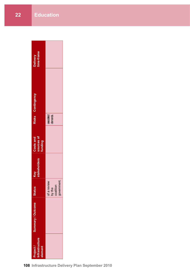| <b>hfrastructure</b><br>Project /<br>element | Summary / Outcome | <b>Status</b>                                         | <b>stakeholders</b><br>Key | Costs and<br>sources of<br>funding |                       | Risks Contingency | Delivery<br>time-frame |
|----------------------------------------------|-------------------|-------------------------------------------------------|----------------------------|------------------------------------|-----------------------|-------------------|------------------------|
|                                              |                   | j<br>of a review<br>governmen.<br>coalition<br>by the |                            |                                    | asociatol<br>denrands |                   |                        |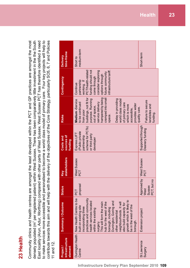## **23 Health**

to make services more accessible and personalised to become a world class model of primary care. Four key projects will help to densely populated (m<sup>2</sup> per registered patient) within West Sussex. There has been comparatively little investment in the the South Community clinics and health centres are amongst the least developed within the PCT and GP practices are amongst the most Community clinics and health centres are amongst the least developed within the PCT and GP practices are amongst the most world class model of primary care. Four key projects will help to West Sussex. There has been comparatively little investment in the the South a need 7 and Policies West Sussex PCT has therefore identified contribute towards this aim and will help with the delivery of the objectives of the Core Strategy, particularly SO5, 6, West Sussex. East locality (Arun, Adur, Worthing) compared with other parts of to make services more accessible and personalised to become per registered patient) within densely populated (m 11 and 12.

| time-frame<br><b>Delivery</b>                 | medium-term<br>Short to                                                                                                                                                                                                                                                                                                                                                                                              | Short-term                                                       |
|-----------------------------------------------|----------------------------------------------------------------------------------------------------------------------------------------------------------------------------------------------------------------------------------------------------------------------------------------------------------------------------------------------------------------------------------------------------------------------|------------------------------------------------------------------|
| Contingency                                   | PCT/health-related<br>funding should not<br>infrastructure tariff.<br>consider exploring<br>future community<br>options through<br>come through<br>partnership<br>working. If<br>Continue                                                                                                                                                                                                                            |                                                                  |
| Risks                                         | cramped into small<br>buildings, not fit for<br>hampered by being<br>purpose. Running<br>Delay in providing<br>world class model<br>Medium-Service<br>service delivery<br>to be continued<br>of primary care<br>provides wider<br>which is more<br>out of space,<br>accessible,<br>from poor<br>space.                                                                                                               | Failure to secure<br>land/sites and<br>quality care.<br>funding. |
| sources of<br>Costs and<br>funding            | scheme for PCTs)<br>(Public private<br>Express LIFT<br>or third party<br>partnership<br>developer                                                                                                                                                                                                                                                                                                                    | Supported through<br>Deanery funding                             |
| <b>stakeholders</b><br>Key                    | West Sussex<br>12<br>2                                                                                                                                                                                                                                                                                                                                                                                               | Approved by   West Sussex<br>PCT                                 |
| <b>Status</b>                                 | proposal                                                                                                                                                                                                                                                                                                                                                                                                             | <b>OU</b><br>PCT, but<br>Sussex<br>West                          |
| Summary / Outcome                             | New Health Centre to be<br>practices and community<br>neighbourhoods. It will<br>also build capacity for<br>growth which is likely to<br>Durrington, Goring and<br>health services located<br>surgery.<br>This will form the main<br>hub for the west of the<br>be in the west of the<br>built on existing site<br>incorporating three<br>borough, including<br>within the existing<br>other residential<br>borough. | <b>Extension project</b>                                         |
| <b>Infrastructure</b><br>Project /<br>element | Durrington Health<br>Centre                                                                                                                                                                                                                                                                                                                                                                                          | St Lawrence<br>Surgery                                           |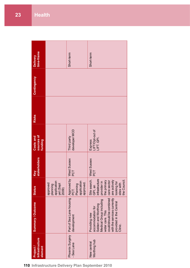| <b>Infrastructure</b><br>Project /<br>element | Summary / Outcome                                                                                                                                                                                         | <b>Status</b>                                                                                                                                                      | stakeholders<br>Key | sources of<br>Costs and<br>funding       | <b>Risks</b> | Contingency | time-frame<br>Delivery |
|-----------------------------------------------|-----------------------------------------------------------------------------------------------------------------------------------------------------------------------------------------------------------|--------------------------------------------------------------------------------------------------------------------------------------------------------------------|---------------------|------------------------------------------|--------------|-------------|------------------------|
|                                               |                                                                                                                                                                                                           | planning<br>application<br>yet (Sept<br>approved<br>2009)                                                                                                          |                     |                                          |              |             |                        |
| Sea Lane                                      | Phoenix Surgery   Part of Sea Lane housing   Approved by   West Sussex<br>development                                                                                                                     | Planning<br>application<br>approved.<br>PCT.                                                                                                                       | PCT                 | developer MCD<br>Third party             |              |             | Short-term             |
| Worthing hub<br>New central                   | with the services currently<br>could/should be combined<br>Medical Group including<br>provided in the Central<br>Selden and Worthing<br>accommodation for<br>wider care. This<br>Providing new<br>Clinic. | Site search.<br>GPI, an<br>infrastructure<br>provider in<br>the primary<br>care sector<br>are actively<br>looking for<br>looking for<br>sites with<br>the Council. | West Sussex<br>PCT  | LIFT/Opt-out of<br>LIFT. GPI.<br>Express |              |             | Short-term             |

<u> Tanzania de la contrada de la contrada de la contrada de la contrada de la contrada de la contrada de la con</u>

## **110 Infrastructure Delivery Plan September 2010**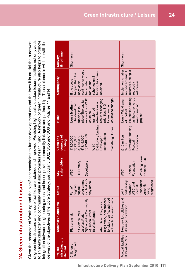## 24 Green Infrastructure / Leisure **24 Green Infrastructure / Leisure**

to an area's character and community value it also promotes health living. A network of green infrastructure also helps to promote integration between neighbouring areas and hence provide community linkages and partnership. These elements will help with the a network of green infrastructure and leisure facilities are retained and improved. Providing high quality outdoor leisure facilities not only adds A network of green infrastructure also helps to promote integration between neighbouring areas and hence provide community linkages and partnership. These elements will help with the Worthing and the significant constraints to further development around the town it is crucial the delivery of the objectives of the Core Strategy, particularly SO2. SO5 and SO6 and Policies 11 and 14. delivery of the objectives of the Core Strategy, particularly SO2. SO5 and SO6 and Policies 11 and14. to an area's character and community value it also promotes health living. Given the character of

| <b>Infrastructure</b><br>Project /<br>element | Summary / Outcome                                                                                                                                                                                                               | <b>Status</b>                                                                                                   | <b>stakeholders</b><br>Key                                             | sources of<br>Costs and<br>funding                                                                                                                         | Risks                                                                                                                                                                                                                   | <b>Contingency</b>                                                                                                                                   | time-frame<br><b>Delivery</b> |
|-----------------------------------------------|---------------------------------------------------------------------------------------------------------------------------------------------------------------------------------------------------------------------------------|-----------------------------------------------------------------------------------------------------------------|------------------------------------------------------------------------|------------------------------------------------------------------------------------------------------------------------------------------------------------|-------------------------------------------------------------------------------------------------------------------------------------------------------------------------------------------------------------------------|------------------------------------------------------------------------------------------------------------------------------------------------------|-------------------------------|
| playground<br>Children's                      | 3)Maybridge Community<br>at Beach House Grounds<br>for play area / splash pad<br>(Big Lottery) and proposal<br>Also: Beach Play area<br>4) Queen Street<br>5) West Parade<br>1) Victoria Park<br>Play areas at:<br>2) West Park | for children's<br>programme<br>play areas.<br>ongoing<br>Part of<br>capital                                     | Developers<br><b>BIG Lottery</b><br><b>WBC</b>                         | <b>BIG Lottery funding</b><br>*Worthing Homes<br>contributions<br>5) £140,000<br>4) £45,000*<br>2) £45,000<br>3) £45,000<br>1) £50,000<br>Developer<br>WBC | could also change.<br>monies from WBC<br>result of changing<br>place. The capital<br>Low / Medium -<br>elsewhere as a<br>The developer<br>ottery funding<br>priorities. BIG<br>funding is in<br>transferred<br>could be | contingency would<br>funding has been<br>happen then the<br>schemes until<br>be to defer or<br>If the above<br>only viable<br>educe the<br>obtained. | Short-term                    |
| Football facilities<br>at Palatine Park       | New pavilion, pitches and<br>drainage installation                                                                                                                                                                              | Foundation<br>partnership<br>progressed<br><b>WBC</b> and<br>between<br>currently<br>Football<br>being<br>Joint | Worthing Town<br>Football Club<br>Foundation<br>Football<br><b>WBC</b> | Developer funding<br>£1.6 million<br>Foundation<br>Football<br><b>VBC</b>                                                                                  | Foundation funding<br>as the scheme is a<br>Low - Withdrawal<br>match funding<br>of Football<br>project                                                                                                                 | Implement smaller<br>external funding is<br>evised scheme if<br>withdrawn.<br>reduced /                                                              | Short-term                    |